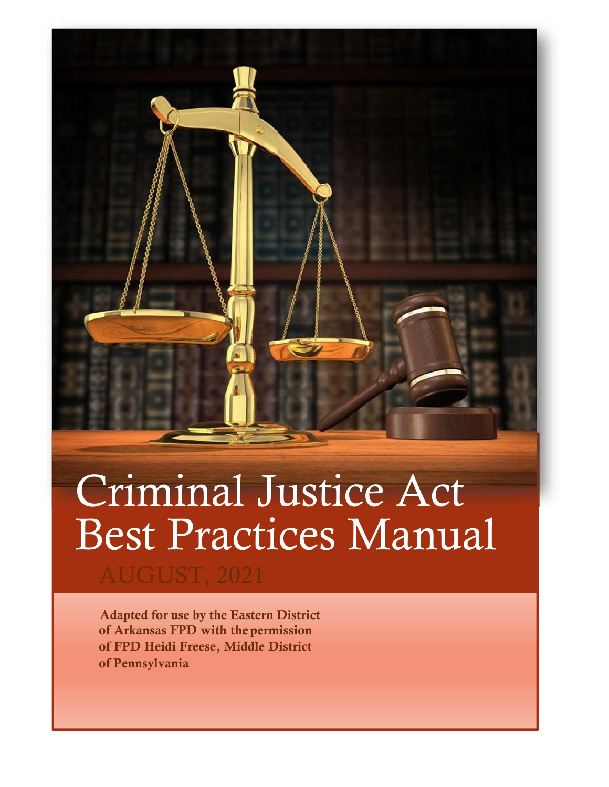# Criminal Justice Act Best Practices Manual

AUGUST, 2021

 Adapted for use by the Eastern District of Arkansas FPD with the permission of FPD Heidi Freese, Middle District of Pennsylvania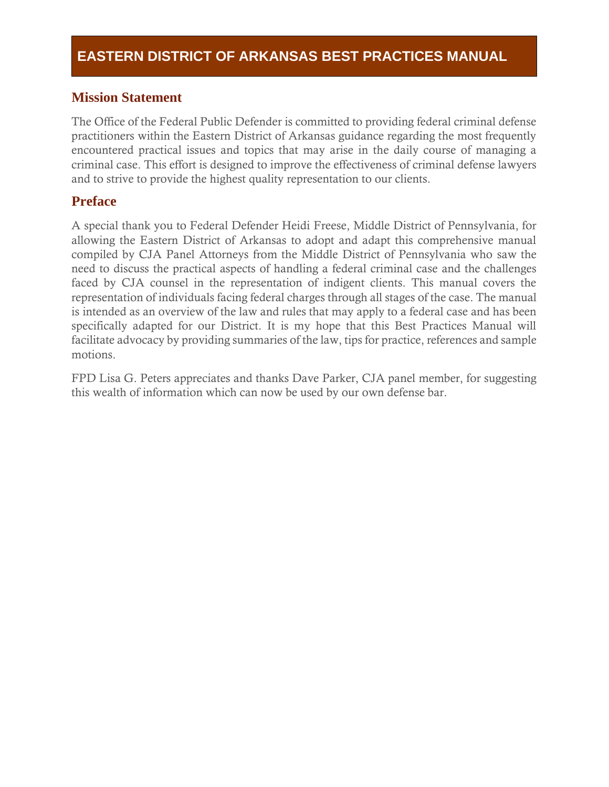### **Mission Statement**

The Office of the Federal Public Defender is committed to providing federal criminal defense practitioners within the Eastern District of Arkansas guidance regarding the most frequently encountered practical issues and topics that may arise in the daily course of managing a criminal case. This effort is designed to improve the effectiveness of criminal defense lawyers and to strive to provide the highest quality representation to our clients.

### **Preface**

A special thank you to Federal Defender Heidi Freese, Middle District of Pennsylvania, for allowing the Eastern District of Arkansas to adopt and adapt this comprehensive manual compiled by CJA Panel Attorneys from the Middle District of Pennsylvania who saw the need to discuss the practical aspects of handling a federal criminal case and the challenges faced by CJA counsel in the representation of indigent clients. This manual covers the representation of individuals facing federal charges through all stages of the case. The manual is intended as an overview of the law and rules that may apply to a federal case and has been specifically adapted for our District. It is my hope that this Best Practices Manual will facilitate advocacy by providing summaries of the law, tips for practice, references and sample motions.

FPD Lisa G. Peters appreciates and thanks Dave Parker, CJA panel member, for suggesting this wealth of information which can now be used by our own defense bar.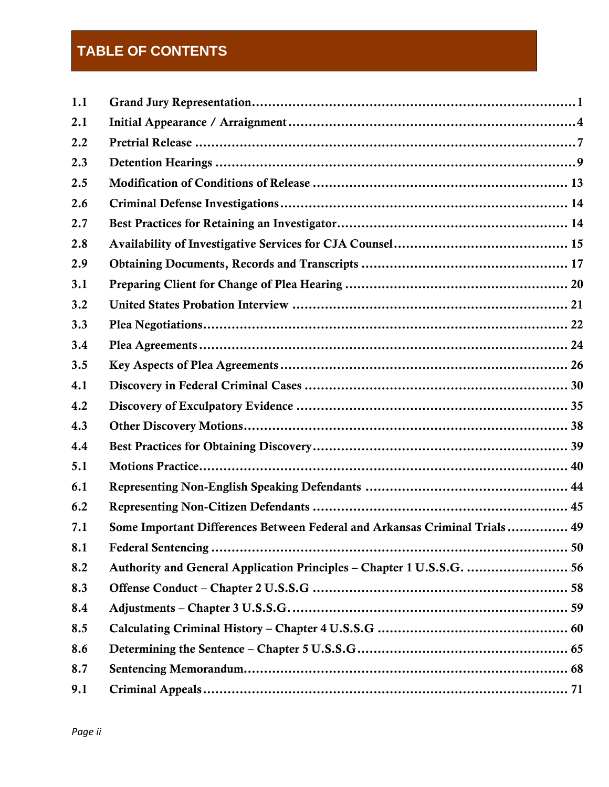# **TABLE OF CONTENTS**

| 1.1 |                                                                            |
|-----|----------------------------------------------------------------------------|
| 2.1 |                                                                            |
| 2.2 |                                                                            |
| 2.3 |                                                                            |
| 2.5 |                                                                            |
| 2.6 |                                                                            |
| 2.7 |                                                                            |
| 2.8 |                                                                            |
| 2.9 |                                                                            |
| 3.1 |                                                                            |
| 3.2 |                                                                            |
| 3.3 |                                                                            |
| 3.4 |                                                                            |
| 3.5 |                                                                            |
| 4.1 |                                                                            |
| 4.2 |                                                                            |
| 4.3 |                                                                            |
| 4.4 |                                                                            |
| 5.1 |                                                                            |
| 6.1 |                                                                            |
| 6.2 |                                                                            |
| 7.1 | Some Important Differences Between Federal and Arkansas Criminal Trials 49 |
| 8.1 |                                                                            |
| 8.2 | Authority and General Application Principles - Chapter 1 U.S.S.G.  56      |
| 8.3 |                                                                            |
| 8.4 |                                                                            |
| 8.5 |                                                                            |
| 8.6 |                                                                            |
| 8.7 |                                                                            |
| 9.1 |                                                                            |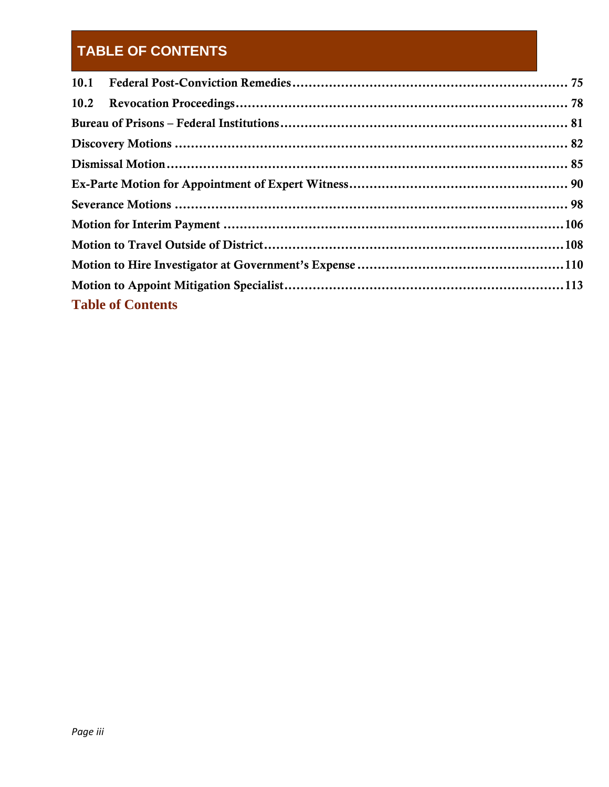# **TABLE OF CONTENTS**

|  | <b>Table of Contents</b> |  |
|--|--------------------------|--|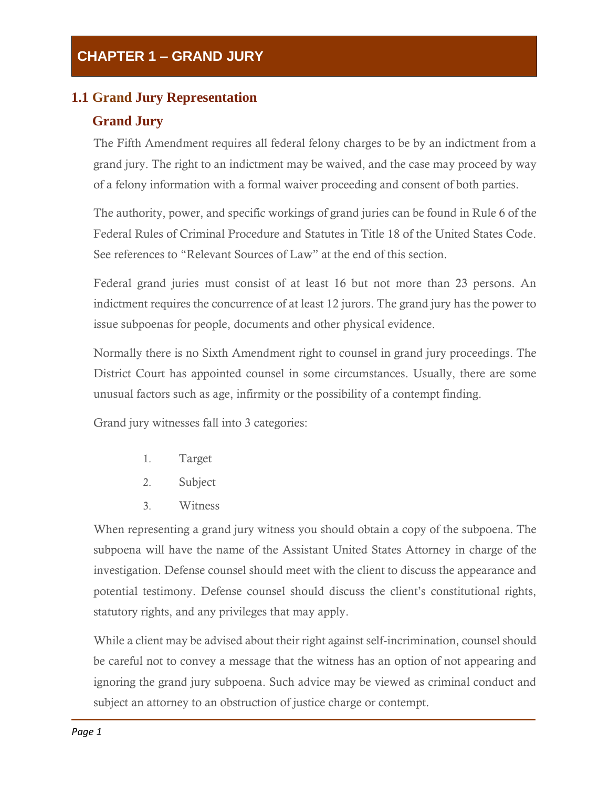### <span id="page-4-0"></span>**1.1 Grand Jury Representation**

### **Grand Jury**

The Fifth Amendment requires all federal felony charges to be by an indictment from a grand jury. The right to an indictment may be waived, and the case may proceed by way of a felony information with a formal waiver proceeding and consent of both parties.

The authority, power, and specific workings of grand juries can be found in Rule 6 of the Federal Rules of Criminal Procedure and Statutes in Title 18 of the United States Code. See references to "Relevant Sources of Law" at the end of this section.

Federal grand juries must consist of at least 16 but not more than 23 persons. An indictment requires the concurrence of at least 12 jurors. The grand jury has the power to issue subpoenas for people, documents and other physical evidence.

Normally there is no Sixth Amendment right to counsel in grand jury proceedings. The District Court has appointed counsel in some circumstances. Usually, there are some unusual factors such as age, infirmity or the possibility of a contempt finding.

Grand jury witnesses fall into 3 categories:

- 1. Target
- 2. Subject
- 3. Witness

When representing a grand jury witness you should obtain a copy of the subpoena. The subpoena will have the name of the Assistant United States Attorney in charge of the investigation. Defense counsel should meet with the client to discuss the appearance and potential testimony. Defense counsel should discuss the client's constitutional rights, statutory rights, and any privileges that may apply.

While a client may be advised about their right against self-incrimination, counsel should be careful not to convey a message that the witness has an option of not appearing and ignoring the grand jury subpoena. Such advice may be viewed as criminal conduct and subject an attorney to an obstruction of justice charge or contempt.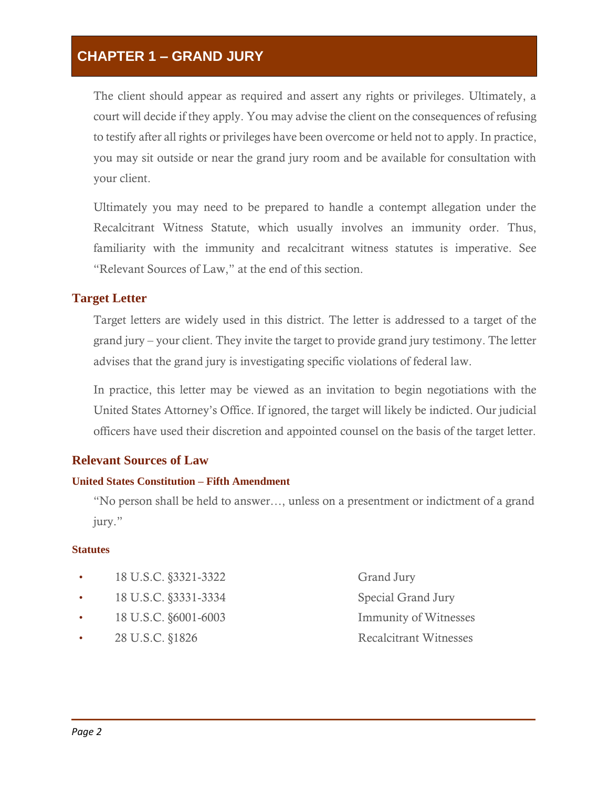### **CHAPTER 1 – GRAND JURY**

The client should appear as required and assert any rights or privileges. Ultimately, a court will decide if they apply. You may advise the client on the consequences of refusing to testify after all rights or privileges have been overcome or held not to apply. In practice, you may sit outside or near the grand jury room and be available for consultation with your client.

Ultimately you may need to be prepared to handle a contempt allegation under the Recalcitrant Witness Statute, which usually involves an immunity order. Thus, familiarity with the immunity and recalcitrant witness statutes is imperative. See "Relevant Sources of Law," at the end of this section.

#### **Target Letter**

Target letters are widely used in this district. The letter is addressed to a target of the grand jury – your client. They invite the target to provide grand jury testimony. The letter advises that the grand jury is investigating specific violations of federal law.

In practice, this letter may be viewed as an invitation to begin negotiations with the United States Attorney's Office. If ignored, the target will likely be indicted. Our judicial officers have used their discretion and appointed counsel on the basis of the target letter.

#### **Relevant Sources of Law**

#### **United States Constitution – Fifth Amendment**

"No person shall be held to answer…, unless on a presentment or indictment of a grand jury."

#### **Statutes**

- 18 U.S.C. §3321‐3322 Grand Jury
- 18 U.S.C. §3331-3334 Special Grand Jury
- 
- 
- 18 U.S.C. §6001-6003 Immunity of Witnesses 28 U.S.C. §1826 Recalcitrant Witnesses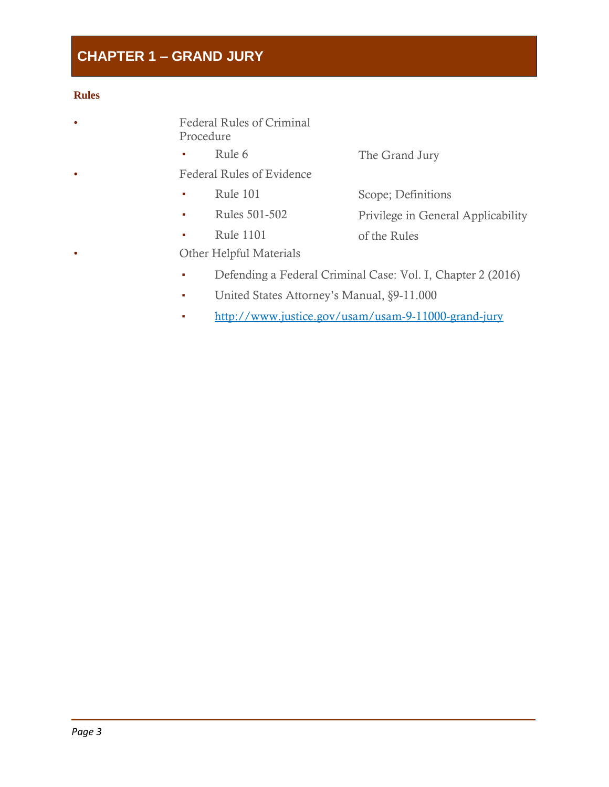# **CHAPTER 1 – GRAND JURY**

#### **Rules**

- Federal Rules of Criminal Procedure
	- Rule 6 The Grand Jury
- Federal Rules of Evidence
	- Rule 101
- Scope; Definitions
- Rules 501-502
- Privilege in General Applicability
- Rule 1101
- of the Rules
- Other Helpful Materials
- Defending a Federal Criminal Case: Vol. I, Chapter 2 (2016)
- United States Attorney's Manual, §9‐11.000
- <http://www.justice.gov/usam/usam>-9-11000-grand-jury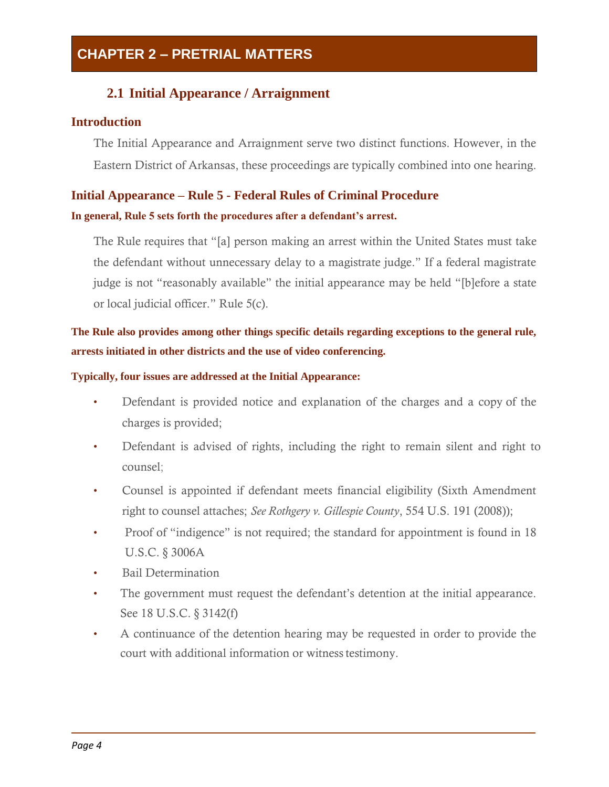### **2.1 Initial Appearance / Arraignment**

### <span id="page-7-0"></span>**Introduction**

The Initial Appearance and Arraignment serve two distinct functions. However, in the Eastern District of Arkansas, these proceedings are typically combined into one hearing.

### **Initial Appearance – Rule 5 - Federal Rules of Criminal Procedure**

### **In general, Rule 5 sets forth the procedures after a defendant's arrest.**

The Rule requires that "[a] person making an arrest within the United States must take the defendant without unnecessary delay to a magistrate judge." If a federal magistrate judge is not "reasonably available" the initial appearance may be held "[b]efore a state or local judicial officer." Rule 5(c).

### **The Rule also provides among other things specific details regarding exceptions to the general rule, arrests initiated in other districts and the use of video conferencing.**

#### **Typically, four issues are addressed at the Initial Appearance:**

- Defendant is provided notice and explanation of the charges and a copy of the charges is provided;
- Defendant is advised of rights, including the right to remain silent and right to counsel;
- Counsel is appointed if defendant meets financial eligibility (Sixth Amendment right to counsel attaches; *See Rothgery v. Gillespie County*, 554 U.S. 191 (2008));
- Proof of "indigence" is not required; the standard for appointment is found in 18 U.S.C. § 3006A
- Bail Determination
- The government must request the defendant's detention at the initial appearance. See 18 U.S.C. § 3142(f)
- A continuance of the detention hearing may be requested in order to provide the court with additional information or witness testimony.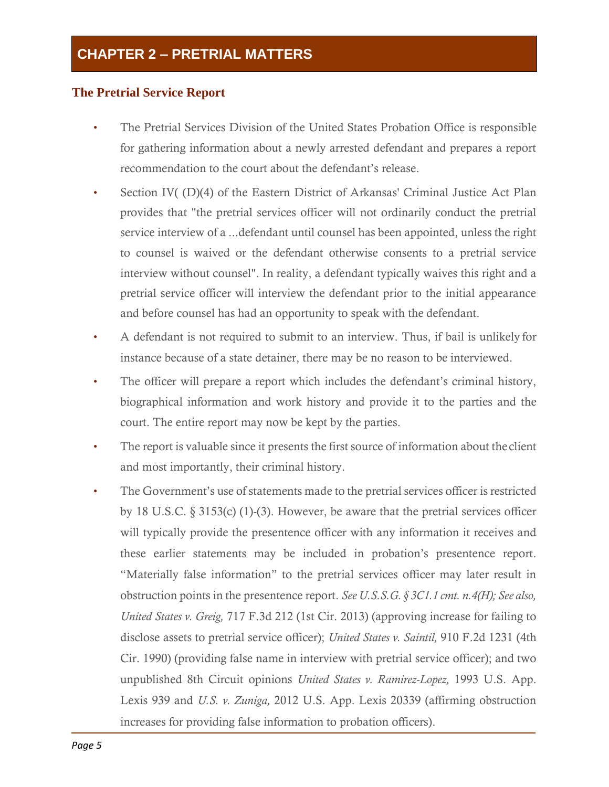### **The Pretrial Service Report**

- The Pretrial Services Division of the United States Probation Office is responsible for gathering information about a newly arrested defendant and prepares a report recommendation to the court about the defendant's release.
- Section IV( (D)(4) of the Eastern District of Arkansas' Criminal Justice Act Plan provides that "the pretrial services officer will not ordinarily conduct the pretrial service interview of a ...defendant until counsel has been appointed, unless the right to counsel is waived or the defendant otherwise consents to a pretrial service interview without counsel". In reality, a defendant typically waives this right and a pretrial service officer will interview the defendant prior to the initial appearance and before counsel has had an opportunity to speak with the defendant.
- A defendant is not required to submit to an interview. Thus, if bail is unlikely for instance because of a state detainer, there may be no reason to be interviewed.
- The officer will prepare a report which includes the defendant's criminal history, biographical information and work history and provide it to the parties and the court. The entire report may now be kept by the parties.
- The report is valuable since it presents the first source of information about the client and most importantly, their criminal history.
- The Government's use of statements made to the pretrial services officer is restricted by 18 U.S.C. § 3153(c) (1)-(3). However, be aware that the pretrial services officer will typically provide the presentence officer with any information it receives and these earlier statements may be included in probation's presentence report. "Materially false information" to the pretrial services officer may later result in obstruction points in the presentence report. *See U.S.S.G. § 3C1.1 cmt. n.4(H); See also, United States v. Greig,* 717 F.3d 212 (1st Cir. 2013) (approving increase for failing to disclose assets to pretrial service officer); *United States v. Saintil,* 910 F.2d 1231 (4th Cir. 1990) (providing false name in interview with pretrial service officer); and two unpublished 8th Circuit opinions *United States v. Ramirez-Lopez,* 1993 U.S. App. Lexis 939 and *U.S. v. Zuniga,* 2012 U.S. App. Lexis 20339 (affirming obstruction increases for providing false information to probation officers).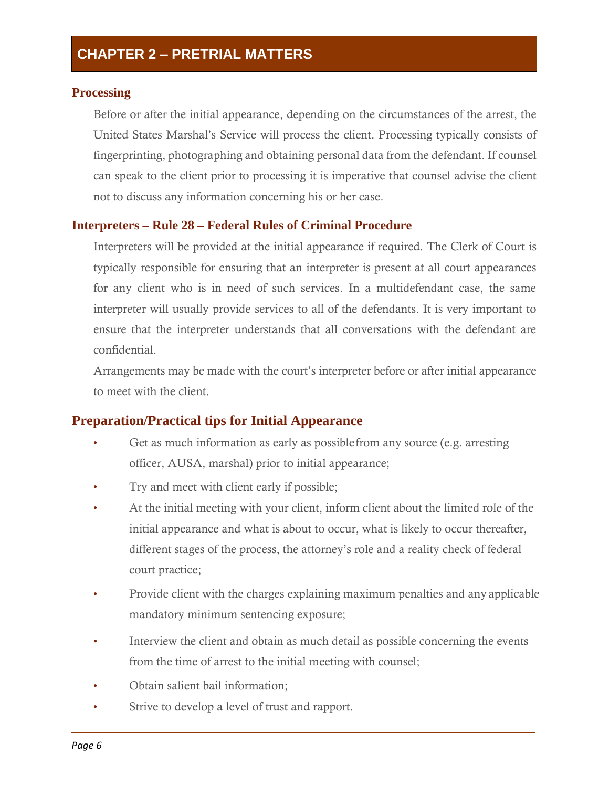### **Processing**

Before or after the initial appearance, depending on the circumstances of the arrest, the United States Marshal's Service will process the client. Processing typically consists of fingerprinting, photographing and obtaining personal data from the defendant. If counsel can speak to the client prior to processing it is imperative that counsel advise the client not to discuss any information concerning his or her case.

### **Interpreters – Rule 28 – Federal Rules of Criminal Procedure**

Interpreters will be provided at the initial appearance if required. The Clerk of Court is typically responsible for ensuring that an interpreter is present at all court appearances for any client who is in need of such services. In a multidefendant case, the same interpreter will usually provide services to all of the defendants. It is very important to ensure that the interpreter understands that all conversations with the defendant are confidential.

Arrangements may be made with the court's interpreter before or after initial appearance to meet with the client.

### **Preparation/Practical tips for Initial Appearance**

- Get as much information as early as possiblefrom any source (e.g. arresting officer, AUSA, marshal) prior to initial appearance;
- Try and meet with client early if possible;
- At the initial meeting with your client, inform client about the limited role of the initial appearance and what is about to occur, what is likely to occur thereafter, different stages of the process, the attorney's role and a reality check of federal court practice;
- Provide client with the charges explaining maximum penalties and any applicable mandatory minimum sentencing exposure;
- Interview the client and obtain as much detail as possible concerning the events from the time of arrest to the initial meeting with counsel;
- Obtain salient bail information;
- Strive to develop a level of trust and rapport.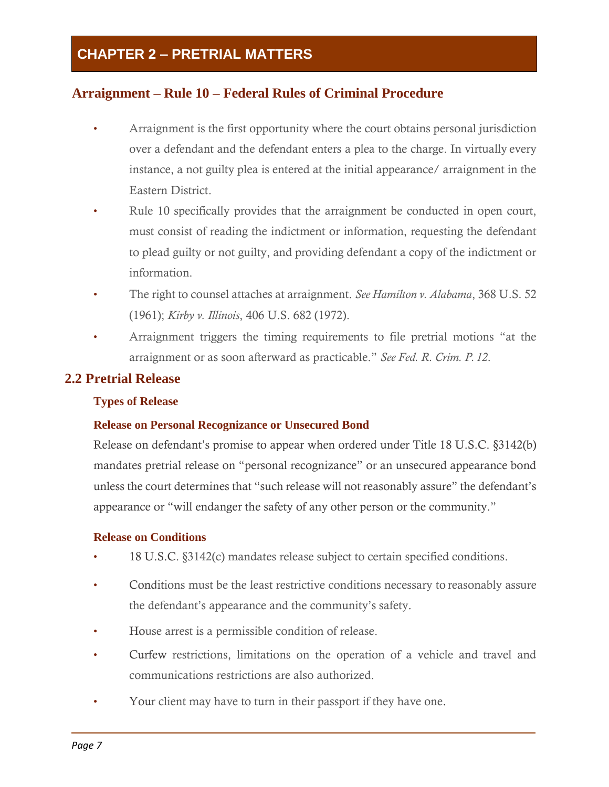### **Arraignment – Rule 10 – Federal Rules of Criminal Procedure**

- Arraignment is the first opportunity where the court obtains personal jurisdiction over a defendant and the defendant enters a plea to the charge. In virtually every instance, a not guilty plea is entered at the initial appearance/ arraignment in the Eastern District.
- Rule 10 specifically provides that the arraignment be conducted in open court, must consist of reading the indictment or information, requesting the defendant to plead guilty or not guilty, and providing defendant a copy of the indictment or information.
- The right to counsel attaches at arraignment. *See Hamilton v. Alabama*, 368 U.S. 52 (1961); *Kirby v. Illinois*, 406 U.S. 682 (1972).
- Arraignment triggers the timing requirements to file pretrial motions "at the arraignment or as soon afterward as practicable." *See Fed. R. Crim. P. 12*.

### <span id="page-10-0"></span>**2.2 Pretrial Release**

### **Types of Release**

### **Release on Personal Recognizance or Unsecured Bond**

Release on defendant's promise to appear when ordered under Title 18 U.S.C. §3142(b) mandates pretrial release on "personal recognizance" or an unsecured appearance bond unless the court determines that "such release will not reasonably assure" the defendant's appearance or "will endanger the safety of any other person or the community."

#### **Release on Conditions**

- 18 U.S.C. §3142(c) mandates release subject to certain specified conditions.
- Conditions must be the least restrictive conditions necessary to reasonably assure the defendant's appearance and the community's safety.
- House arrest is a permissible condition of release.
- Curfew restrictions, limitations on the operation of a vehicle and travel and communications restrictions are also authorized.
- Your client may have to turn in their passport if they have one.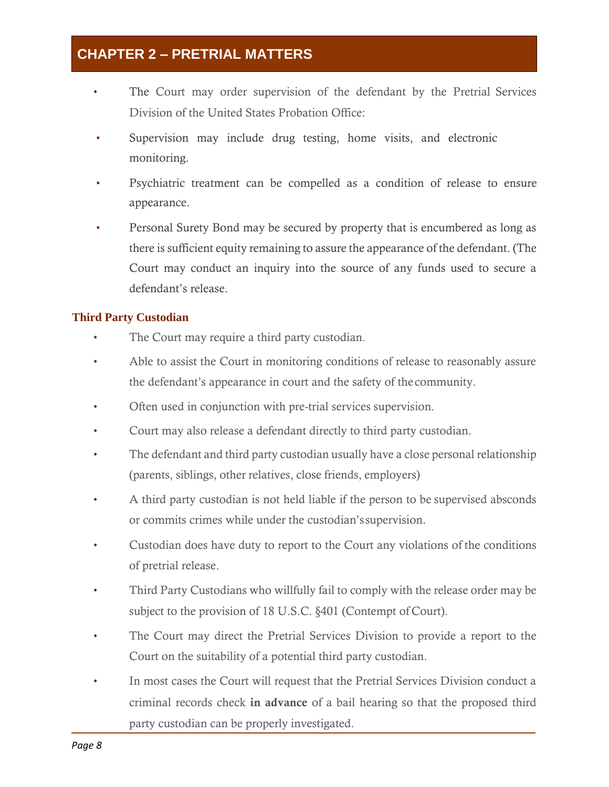- The Court may order supervision of the defendant by the Pretrial Services Division of the United States Probation Office:
- Supervision may include drug testing, home visits, and electronic monitoring.
- Psychiatric treatment can be compelled as a condition of release to ensure appearance.
- Personal Surety Bond may be secured by property that is encumbered as long as there is sufficient equity remaining to assure the appearance of the defendant. (The Court may conduct an inquiry into the source of any funds used to secure a defendant's release.

### **Third Party Custodian**

- The Court may require a third party custodian.
- Able to assist the Court in monitoring conditions of release to reasonably assure the defendant's appearance in court and the safety of thecommunity.
- Often used in conjunction with pre-trial services supervision.
- Court may also release a defendant directly to third party custodian.
- The defendant and third party custodian usually have a close personal relationship (parents, siblings, other relatives, close friends, employers)
- A third party custodian is not held liable if the person to be supervised absconds or commits crimes while under the custodian'ssupervision.
- Custodian does have duty to report to the Court any violations of the conditions of pretrial release.
- Third Party Custodians who willfully fail to comply with the release order may be subject to the provision of 18 U.S.C. §401 (Contempt of Court).
- The Court may direct the Pretrial Services Division to provide a report to the Court on the suitability of a potential third party custodian.
- In most cases the Court will request that the Pretrial Services Division conduct a criminal records check in advance of a bail hearing so that the proposed third party custodian can be properly investigated.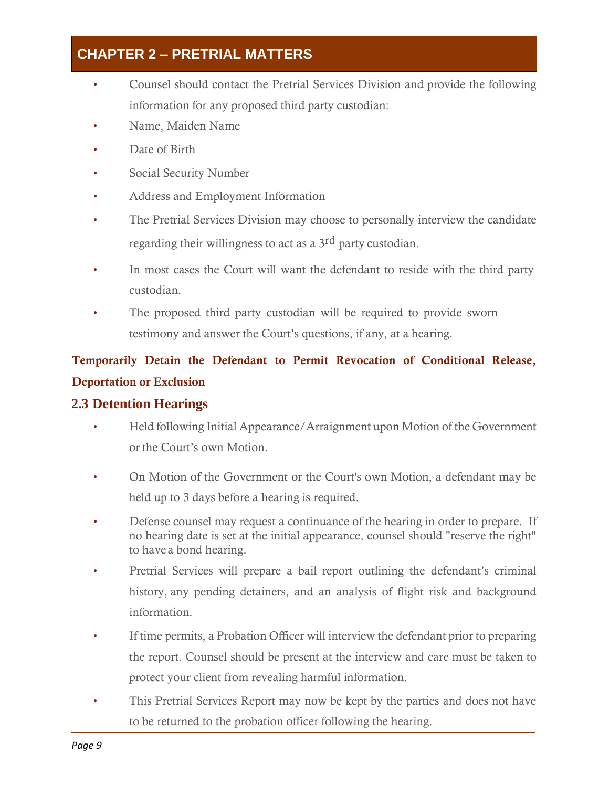- Counsel should contact the Pretrial Services Division and provide the following information for any proposed third party custodian:
- Name, Maiden Name
- Date of Birth
- Social Security Number
- Address and Employment Information
- The Pretrial Services Division may choose to personally interview the candidate regarding their willingness to act as a 3rd party custodian.
- In most cases the Court will want the defendant to reside with the third party custodian.
- The proposed third party custodian will be required to provide sworn testimony and answer the Court's questions, if any, at a hearing.

# Temporarily Detain the Defendant to Permit Revocation of Conditional Release, Deportation or Exclusion

### <span id="page-12-0"></span>**2.3 Detention Hearings**

- Held following Initial Appearance/Arraignment upon Motion of the Government or the Court's own Motion.
- On Motion of the Government or the Court's own Motion, a defendant may be held up to 3 days before a hearing is required.
- Defense counsel may request a continuance of the hearing in order to prepare. If no hearing date is set at the initial appearance, counsel should "reserve the right" to have a bond hearing.
- Pretrial Services will prepare a bail report outlining the defendant's criminal history, any pending detainers, and an analysis of flight risk and background information.
- If time permits, a Probation Officer will interview the defendant prior to preparing the report. Counsel should be present at the interview and care must be taken to protect your client from revealing harmful information.
- This Pretrial Services Report may now be kept by the parties and does not have to be returned to the probation officer following the hearing.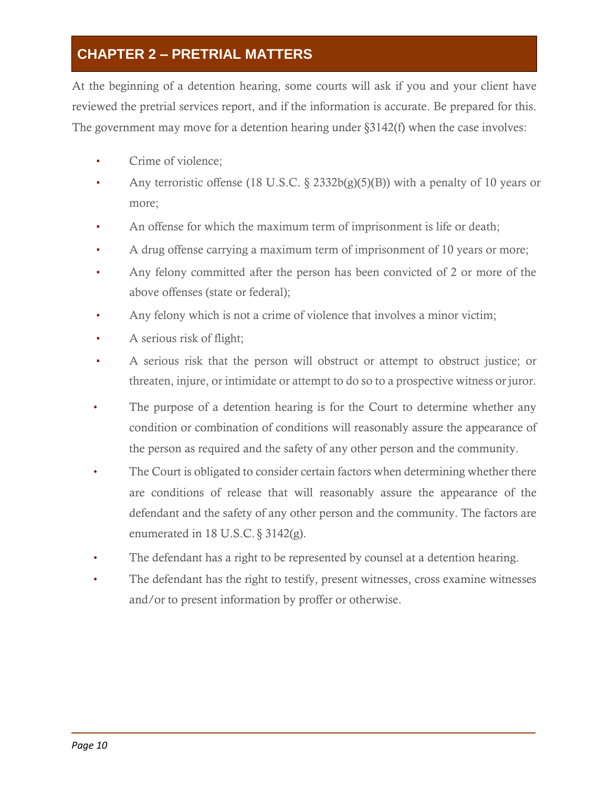At the beginning of a detention hearing, some courts will ask if you and your client have reviewed the pretrial services report, and if the information is accurate. Be prepared for this. The government may move for a detention hearing under §3142(f) when the case involves:

- Crime of violence:
- Any terroristic offense (18 U.S.C. § 2332b(g)(5)(B)) with a penalty of 10 years or more;
- An offense for which the maximum term of imprisonment is life or death;
- A drug offense carrying a maximum term of imprisonment of 10 years or more;
- Any felony committed after the person has been convicted of 2 or more of the above offenses (state or federal);
- Any felony which is not a crime of violence that involves a minor victim;
- A serious risk of flight;
- A serious risk that the person will obstruct or attempt to obstruct justice; or threaten, injure, or intimidate or attempt to do so to a prospective witness or juror.
- The purpose of a detention hearing is for the Court to determine whether any condition or combination of conditions will reasonably assure the appearance of the person as required and the safety of any other person and the community.
- The Court is obligated to consider certain factors when determining whether there are conditions of release that will reasonably assure the appearance of the defendant and the safety of any other person and the community. The factors are enumerated in 18 U.S.C. § 3142(g).
- The defendant has a right to be represented by counsel at a detention hearing.
- The defendant has the right to testify, present witnesses, cross examine witnesses and/or to present information by proffer or otherwise.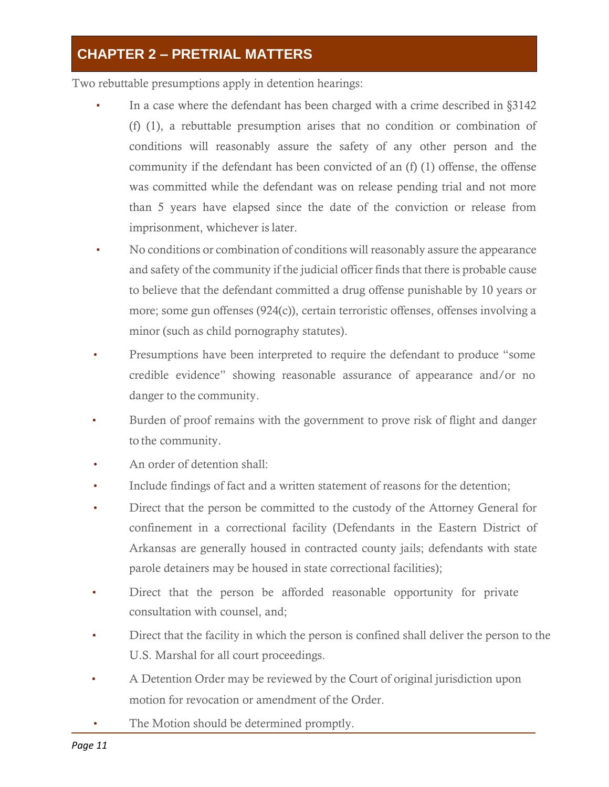Two rebuttable presumptions apply in detention hearings:

- In a case where the defendant has been charged with a crime described in §3142 (f) (1), a rebuttable presumption arises that no condition or combination of conditions will reasonably assure the safety of any other person and the community if the defendant has been convicted of an (f) (1) offense, the offense was committed while the defendant was on release pending trial and not more than 5 years have elapsed since the date of the conviction or release from imprisonment, whichever is later.
- No conditions or combination of conditions will reasonably assure the appearance and safety of the community if the judicial officer finds that there is probable cause to believe that the defendant committed a drug offense punishable by 10 years or more; some gun offenses (924(c)), certain terroristic offenses, offenses involving a minor (such as child pornography statutes).
- Presumptions have been interpreted to require the defendant to produce "some" credible evidence" showing reasonable assurance of appearance and/or no danger to the community.
- Burden of proof remains with the government to prove risk of flight and danger to the community.
- An order of detention shall:
- Include findings of fact and a written statement of reasons for the detention;
- Direct that the person be committed to the custody of the Attorney General for confinement in a correctional facility (Defendants in the Eastern District of Arkansas are generally housed in contracted county jails; defendants with state parole detainers may be housed in state correctional facilities);
- Direct that the person be afforded reasonable opportunity for private consultation with counsel, and;
- **•** Direct that the facility in which the person is confined shall deliver the person to the U.S. Marshal for all court proceedings.
- A Detention Order may be reviewed by the Court of original jurisdiction upon motion for revocation or amendment of the Order.
- The Motion should be determined promptly.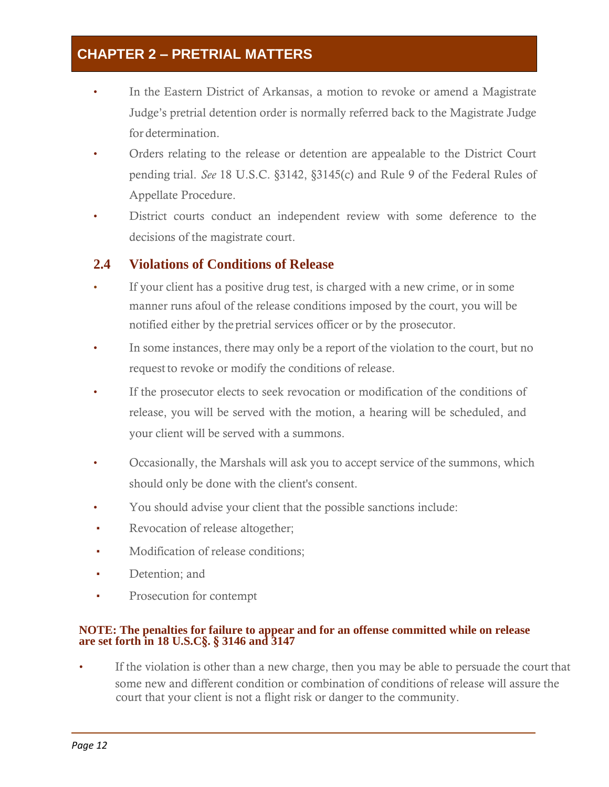- In the Eastern District of Arkansas, a motion to revoke or amend a Magistrate Judge's pretrial detention order is normally referred back to the Magistrate Judge for determination.
- Orders relating to the release or detention are appealable to the District Court pending trial. *See* 18 U.S.C. §3142, §3145(c) and Rule 9 of the Federal Rules of Appellate Procedure.
- District courts conduct an independent review with some deference to the decisions of the magistrate court.

### **2.4 Violations of Conditions of Release**

- If your client has a positive drug test, is charged with a new crime, or in some manner runs afoul of the release conditions imposed by the court, you will be notified either by thepretrial services officer or by the prosecutor.
- In some instances, there may only be a report of the violation to the court, but no request to revoke or modify the conditions of release.
- If the prosecutor elects to seek revocation or modification of the conditions of release, you will be served with the motion, a hearing will be scheduled, and your client will be served with a summons.
- Occasionally, the Marshals will ask you to accept service of the summons, which should only be done with the client's consent.
- You should advise your client that the possible sanctions include:
- Revocation of release altogether;
- Modification of release conditions;
- Detention; and
- Prosecution for contempt

#### **NOTE: The penalties for failure to appear and for an offense committed while on release are set forth in 18 U.S.C**§**.** § **3146 and 3147**

If the violation is other than a new charge, then you may be able to persuade the court that some new and different condition or combination of conditions of release will assure the court that your client is not a flight risk or danger to the community.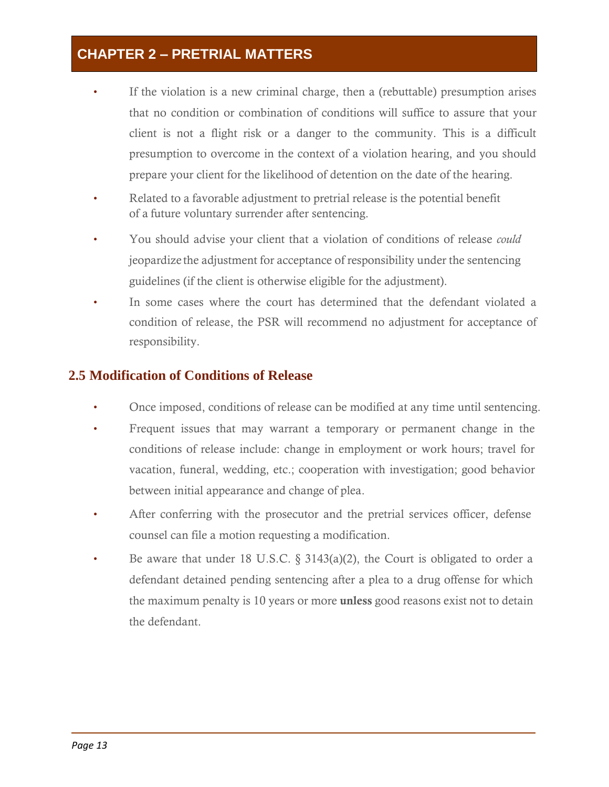- If the violation is a new criminal charge, then a (rebuttable) presumption arises that no condition or combination of conditions will suffice to assure that your client is not a flight risk or a danger to the community. This is a difficult presumption to overcome in the context of a violation hearing, and you should prepare your client for the likelihood of detention on the date of the hearing.
- Related to a favorable adjustment to pretrial release is the potential benefit of a future voluntary surrender after sentencing.
- You should advise your client that a violation of conditions of release *could*  jeopardize the adjustment for acceptance of responsibility under the sentencing guidelines (if the client is otherwise eligible for the adjustment).
- In some cases where the court has determined that the defendant violated a condition of release, the PSR will recommend no adjustment for acceptance of responsibility.

### <span id="page-16-0"></span>**2.5 Modification of Conditions of Release**

- Once imposed, conditions of release can be modified at any time until sentencing.
- Frequent issues that may warrant a temporary or permanent change in the conditions of release include: change in employment or work hours; travel for vacation, funeral, wedding, etc.; cooperation with investigation; good behavior between initial appearance and change of plea.
- After conferring with the prosecutor and the pretrial services officer, defense counsel can file a motion requesting a modification.
- Be aware that under 18 U.S.C.  $\S$  3143(a)(2), the Court is obligated to order a defendant detained pending sentencing after a plea to a drug offense for which the maximum penalty is 10 years or more unless good reasons exist not to detain the defendant.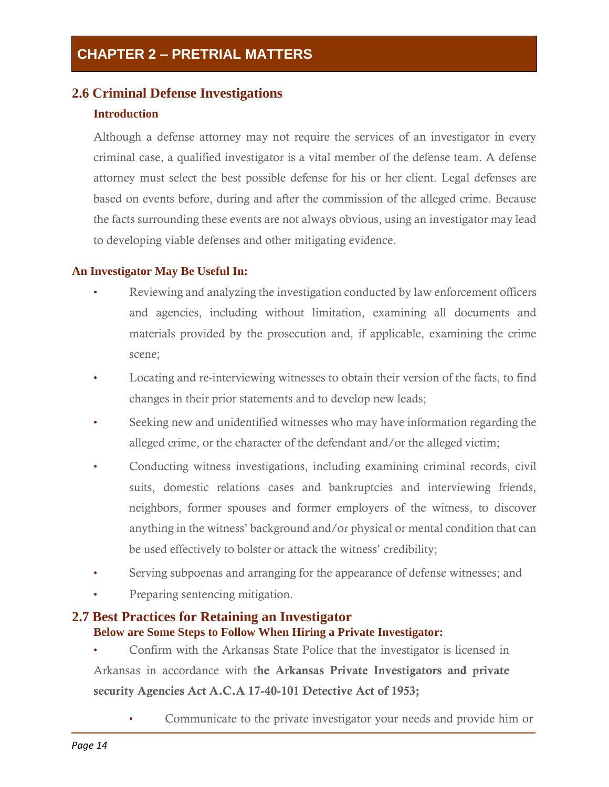### <span id="page-17-0"></span>**2.6 Criminal Defense Investigations**

### **Introduction**

Although a defense attorney may not require the services of an investigator in every criminal case, a qualified investigator is a vital member of the defense team. A defense attorney must select the best possible defense for his or her client. Legal defenses are based on events before, during and after the commission of the alleged crime. Because the facts surrounding these events are not always obvious, using an investigator may lead to developing viable defenses and other mitigating evidence.

### **An Investigator May Be Useful In:**

- Reviewing and analyzing the investigation conducted by law enforcement officers and agencies, including without limitation, examining all documents and materials provided by the prosecution and, if applicable, examining the crime scene;
- Locating and re-interviewing witnesses to obtain their version of the facts, to find changes in their prior statements and to develop new leads;
- Seeking new and unidentified witnesses who may have information regarding the alleged crime, or the character of the defendant and/or the alleged victim;
- Conducting witness investigations, including examining criminal records, civil suits, domestic relations cases and bankruptcies and interviewing friends, neighbors, former spouses and former employers of the witness, to discover anything in the witness' background and/or physical or mental condition that can be used effectively to bolster or attack the witness' credibility;
- Serving subpoenas and arranging for the appearance of defense witnesses; and
- Preparing sentencing mitigation.

### <span id="page-17-1"></span>**2.7 Best Practices for Retaining an Investigator Below are Some Steps to Follow When Hiring a Private Investigator:**

- Confirm with the Arkansas State Police that the investigator is licensed in Arkansas in accordance with the Arkansas Private Investigators and private security Agencies Act A.C.A 17-40-101 Detective Act of 1953;
	- Communicate to the private investigator your needs and provide him or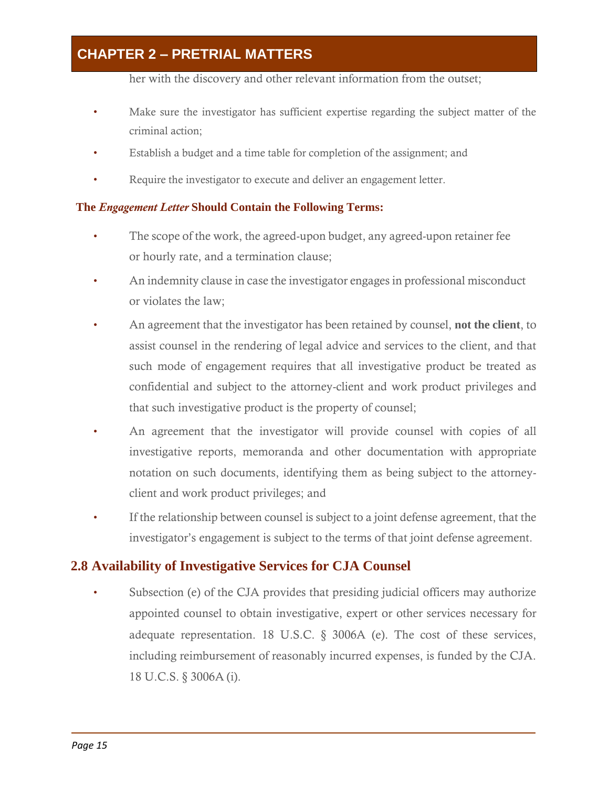her with the discovery and other relevant information from the outset;

- Make sure the investigator has sufficient expertise regarding the subject matter of the criminal action;
- Establish a budget and a time table for completion of the assignment; and
- Require the investigator to execute and deliver an engagement letter.

### **The** *Engagement Letter* **Should Contain the Following Terms:**

- The scope of the work, the agreed-upon budget, any agreed-upon retainer fee or hourly rate, and a termination clause;
- An indemnity clause in case the investigator engages in professional misconduct or violates the law;
- An agreement that the investigator has been retained by counsel, **not the client**, to assist counsel in the rendering of legal advice and services to the client, and that such mode of engagement requires that all investigative product be treated as confidential and subject to the attorney-client and work product privileges and that such investigative product is the property of counsel;
- An agreement that the investigator will provide counsel with copies of all investigative reports, memoranda and other documentation with appropriate notation on such documents, identifying them as being subject to the attorneyclient and work product privileges; and
- If the relationship between counsel is subject to a joint defense agreement, that the investigator's engagement is subject to the terms of that joint defense agreement.

### <span id="page-18-0"></span>**2.8 Availability of Investigative Services for CJA Counsel**

Subsection (e) of the CJA provides that presiding judicial officers may authorize appointed counsel to obtain investigative, expert or other services necessary for adequate representation. 18 U.S.C.  $\S$  3006A (e). The cost of these services, including reimbursement of reasonably incurred expenses, is funded by the CJA. 18 U.C.S. § 3006A (i).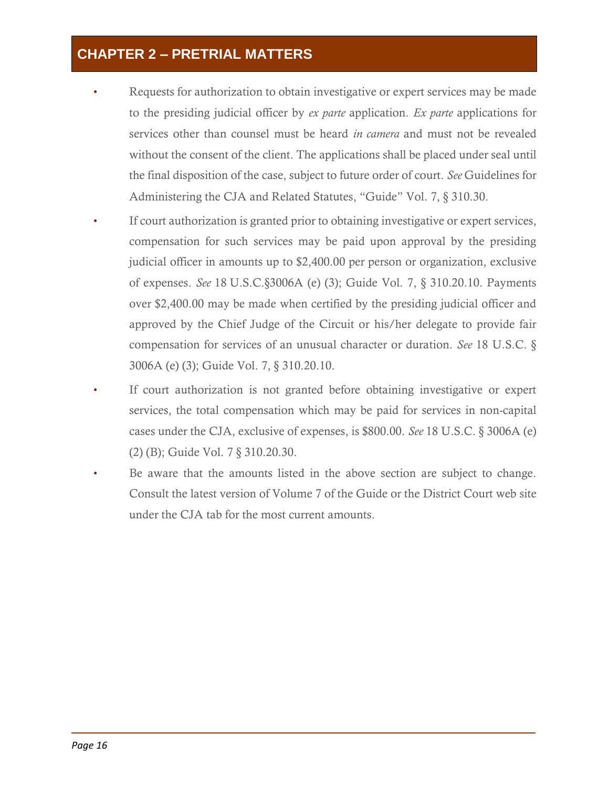- Requests for authorization to obtain investigative or expert services may be made to the presiding judicial officer by *ex parte* application. *Ex parte* applications for services other than counsel must be heard *in camera* and must not be revealed without the consent of the client. The applications shall be placed under seal until the final disposition of the case, subject to future order of court. *See* Guidelines for Administering the CJA and Related Statutes, "Guide" Vol. 7, § 310.30.
- If court authorization is granted prior to obtaining investigative or expert services, compensation for such services may be paid upon approval by the presiding judicial officer in amounts up to \$2,400.00 per person or organization, exclusive of expenses. *See* 18 U.S.C.§3006A (e) (3); Guide Vol. 7, § 310.20.10. Payments over \$2,400.00 may be made when certified by the presiding judicial officer and approved by the Chief Judge of the Circuit or his/her delegate to provide fair compensation for services of an unusual character or duration. *See* 18 U.S.C. § 3006A (e) (3); Guide Vol. 7, § 310.20.10.
- If court authorization is not granted before obtaining investigative or expert services, the total compensation which may be paid for services in non-capital cases under the CJA, exclusive of expenses, is \$800.00. *See* 18 U.S.C. § 3006A (e) (2) (B); Guide Vol. 7 § 310.20.30.
- Be aware that the amounts listed in the above section are subject to change. Consult the latest version of Volume 7 of the Guide or the District Court web site under the CJA tab for the most current amounts.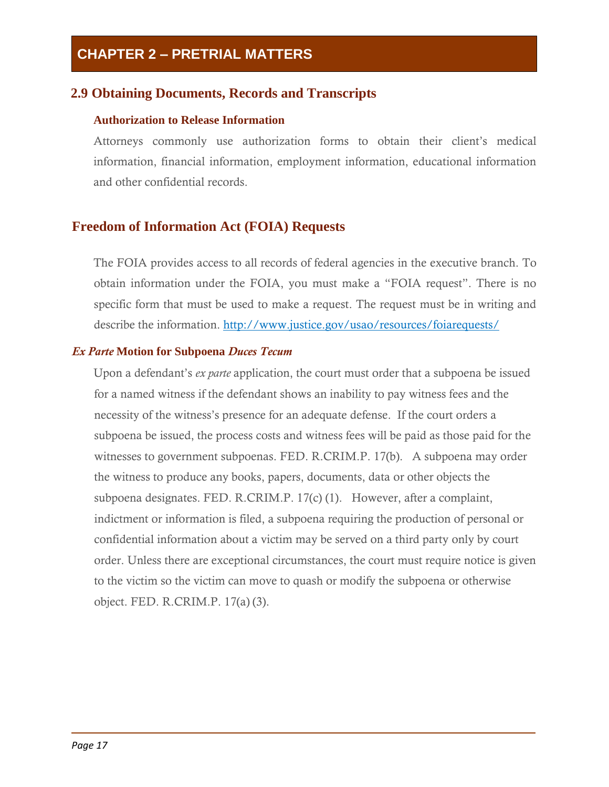### <span id="page-20-0"></span>**2.9 Obtaining Documents, Records and Transcripts**

#### **Authorization to Release Information**

Attorneys commonly use authorization forms to obtain their client's medical information, financial information, employment information, educational information and other confidential records.

### **Freedom of Information Act (FOIA) Requests**

The FOIA provides access to all records of federal agencies in the executive branch. To obtain information under the FOIA, you must make a "FOIA request". There is no specific form that must be used to make a request. The request must be in writing and describe the information.<http://www.justice.gov/usao/resources/foiarequests/>

#### *Ex Parte* **Motion for Subpoena** *Duces Tecum*

Upon a defendant's *ex parte* application, the court must order that a subpoena be issued for a named witness if the defendant shows an inability to pay witness fees and the necessity of the witness's presence for an adequate defense. If the court orders a subpoena be issued, the process costs and witness fees will be paid as those paid for the witnesses to government subpoenas. FED. R.CRIM.P. 17(b). A subpoena may order the witness to produce any books, papers, documents, data or other objects the subpoena designates. FED. R.CRIM.P. 17(c) (1). However, after a complaint, indictment or information is filed, a subpoena requiring the production of personal or confidential information about a victim may be served on a third party only by court order. Unless there are exceptional circumstances, the court must require notice is given to the victim so the victim can move to quash or modify the subpoena or otherwise object. FED. R.CRIM.P. 17(a) (3).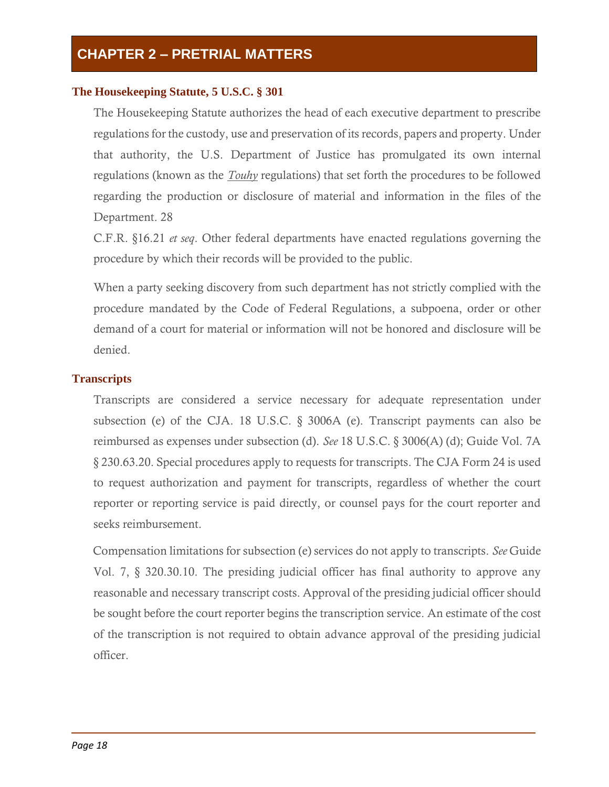#### **The Housekeeping Statute, 5 U.S.C. § 301**

The Housekeeping Statute authorizes the head of each executive department to prescribe regulations for the custody, use and preservation of its records, papers and property. Under that authority, the U.S. Department of Justice has promulgated its own internal regulations (known as the *Touhy* regulations) that set forth the procedures to be followed regarding the production or disclosure of material and information in the files of the Department. 28

C.F.R. §16.21 *et seq*. Other federal departments have enacted regulations governing the procedure by which their records will be provided to the public.

When a party seeking discovery from such department has not strictly complied with the procedure mandated by the Code of Federal Regulations, a subpoena, order or other demand of a court for material or information will not be honored and disclosure will be denied.

#### **Transcripts**

Transcripts are considered a service necessary for adequate representation under subsection (e) of the CJA. 18 U.S.C. § 3006A (e). Transcript payments can also be reimbursed as expenses under subsection (d). *See* 18 U.S.C. § 3006(A) (d); Guide Vol. 7A § 230.63.20. Special procedures apply to requests for transcripts. The CJA Form 24 is used to request authorization and payment for transcripts, regardless of whether the court reporter or reporting service is paid directly, or counsel pays for the court reporter and seeks reimbursement.

Compensation limitations for subsection (e) services do not apply to transcripts. *See* Guide Vol. 7, § 320.30.10. The presiding judicial officer has final authority to approve any reasonable and necessary transcript costs. Approval of the presiding judicial officer should be sought before the court reporter begins the transcription service. An estimate of the cost of the transcription is not required to obtain advance approval of the presiding judicial officer.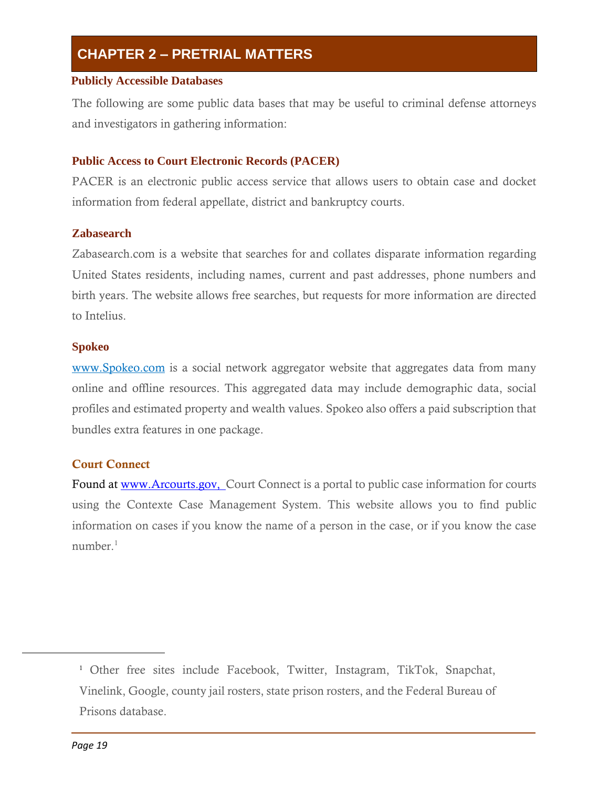#### **Publicly Accessible Databases**

The following are some public data bases that may be useful to criminal defense attorneys and investigators in gathering information:

#### **Public Access to Court Electronic Records (PACER)**

PACER is an electronic public access service that allows users to obtain case and docket information from federal appellate, district and bankruptcy courts.

#### **Zabasearch**

Zabasearch.com is a website that searches for and collates disparate information regarding United States residents, including names, current and past addresses, phone numbers and birth years. The website allows free searches, but requests for more information are directed to Intelius.

#### **Spokeo**

[www.Spokeo.com](http://www.spokeo.com/) is a social network aggregator website that aggregates data from many online and offline resources. This aggregated data may include demographic data, social profiles and estimated property and wealth values. Spokeo also offers a paid subscription that bundles extra features in one package.

### Court Connect

Found at www.Arcourts.gov, Court Connect is a portal to public case information for courts using the Contexte Case Management System. This website allows you to find public information on cases if you know the name of a person in the case, or if you know the case  $number<sup>1</sup>$ 

<sup>1</sup> Other free sites include Facebook, Twitter, Instagram, TikTok, Snapchat, Vinelink, Google, county jail rosters, state prison rosters, and the Federal Bureau of Prisons database.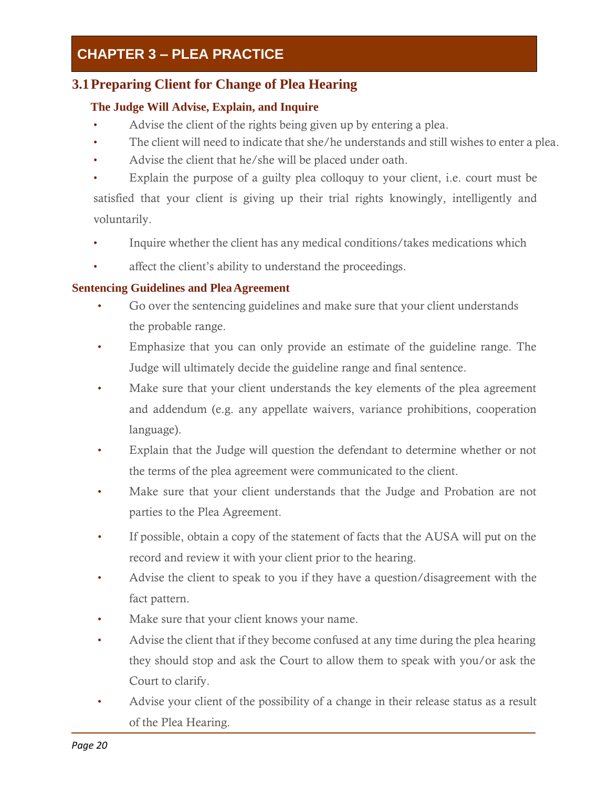### <span id="page-23-0"></span>**3.1Preparing Client for Change of Plea Hearing**

### **The Judge Will Advise, Explain, and Inquire**

- Advise the client of the rights being given up by entering a plea.
- The client will need to indicate that she/he understands and still wishes to enter a plea.
- Advise the client that he/she will be placed under oath.
- Explain the purpose of a guilty plea colloquy to your client, i.e. court must be satisfied that your client is giving up their trial rights knowingly, intelligently and voluntarily.
- Inquire whether the client has any medical conditions/takes medications which
- affect the client's ability to understand the proceedings.

### **Sentencing Guidelines and PleaAgreement**

- Go over the sentencing guidelines and make sure that your client understands the probable range.
- Emphasize that you can only provide an estimate of the guideline range. The Judge will ultimately decide the guideline range and final sentence.
- Make sure that your client understands the key elements of the plea agreement and addendum (e.g. any appellate waivers, variance prohibitions, cooperation language).
- Explain that the Judge will question the defendant to determine whether or not the terms of the plea agreement were communicated to the client.
- Make sure that your client understands that the Judge and Probation are not parties to the Plea Agreement.
- If possible, obtain a copy of the statement of facts that the AUSA will put on the record and review it with your client prior to the hearing.
- Advise the client to speak to you if they have a question/disagreement with the fact pattern.
- Make sure that your client knows your name.
- Advise the client that if they become confused at any time during the plea hearing they should stop and ask the Court to allow them to speak with you/or ask the Court to clarify.
- Advise your client of the possibility of a change in their release status as a result of the Plea Hearing.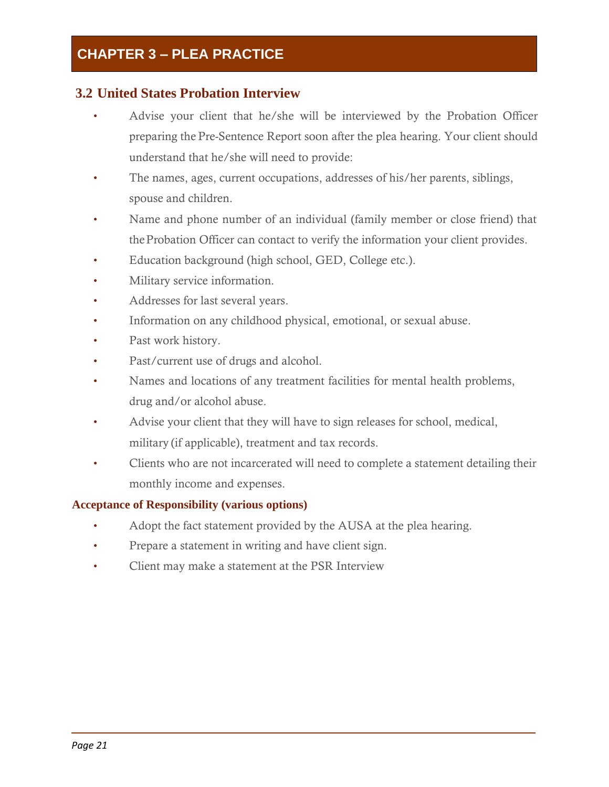### <span id="page-24-0"></span>**3.2 United States Probation Interview**

- Advise your client that he/she will be interviewed by the Probation Officer preparing the Pre-Sentence Report soon after the plea hearing. Your client should understand that he/she will need to provide:
- The names, ages, current occupations, addresses of his/her parents, siblings, spouse and children.
- Name and phone number of an individual (family member or close friend) that theProbation Officer can contact to verify the information your client provides.
- Education background (high school, GED, College etc.).
- Military service information.
- Addresses for last several years.
- Information on any childhood physical, emotional, or sexual abuse.
- Past work history.
- Past/current use of drugs and alcohol.
- Names and locations of any treatment facilities for mental health problems, drug and/or alcohol abuse.
- Advise your client that they will have to sign releases for school, medical, military (if applicable), treatment and tax records.
- Clients who are not incarcerated will need to complete a statement detailing their monthly income and expenses.

### **Acceptance of Responsibility (various options)**

- Adopt the fact statement provided by the AUSA at the plea hearing.
- Prepare a statement in writing and have client sign.
- Client may make a statement at the PSR Interview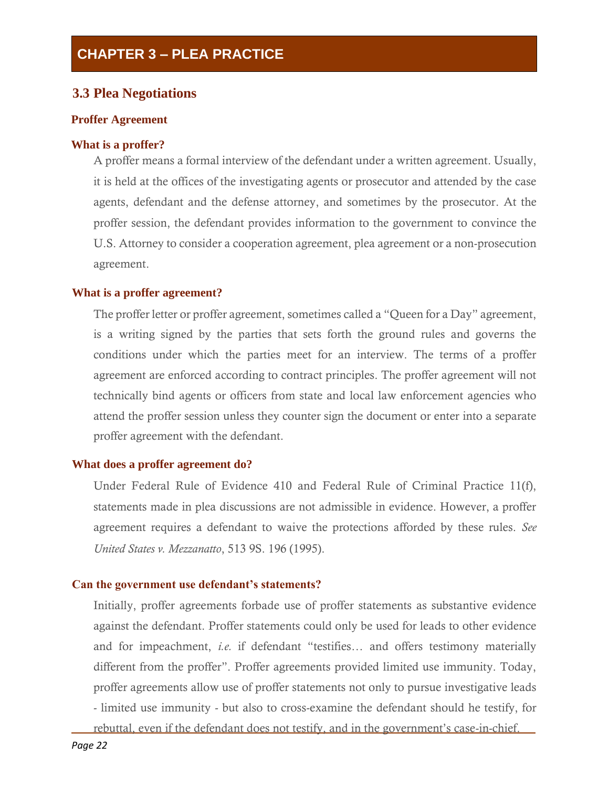### <span id="page-25-0"></span>**3.3 Plea Negotiations**

#### **Proffer Agreement**

#### **What is a proffer?**

A proffer means a formal interview of the defendant under a written agreement. Usually, it is held at the offices of the investigating agents or prosecutor and attended by the case agents, defendant and the defense attorney, and sometimes by the prosecutor. At the proffer session, the defendant provides information to the government to convince the U.S. Attorney to consider a cooperation agreement, plea agreement or a non-prosecution agreement.

#### **What is a proffer agreement?**

The proffer letter or proffer agreement, sometimes called a "Queen for a Day" agreement, is a writing signed by the parties that sets forth the ground rules and governs the conditions under which the parties meet for an interview. The terms of a proffer agreement are enforced according to contract principles. The proffer agreement will not technically bind agents or officers from state and local law enforcement agencies who attend the proffer session unless they counter sign the document or enter into a separate proffer agreement with the defendant.

#### **What does a proffer agreement do?**

Under Federal Rule of Evidence 410 and Federal Rule of Criminal Practice 11(f), statements made in plea discussions are not admissible in evidence. However, a proffer agreement requires a defendant to waive the protections afforded by these rules. *See United States v. Mezzanatto*, 513 9S. 196 (1995).

#### **Can the government use defendant's statements?**

Initially, proffer agreements forbade use of proffer statements as substantive evidence against the defendant. Proffer statements could only be used for leads to other evidence and for impeachment, *i.e.* if defendant "testifies… and offers testimony materially different from the proffer". Proffer agreements provided limited use immunity. Today, proffer agreements allow use of proffer statements not only to pursue investigative leads - limited use immunity - but also to cross-examine the defendant should he testify, for rebuttal, even if the defendant does not testify, and in the government's case-in-chief.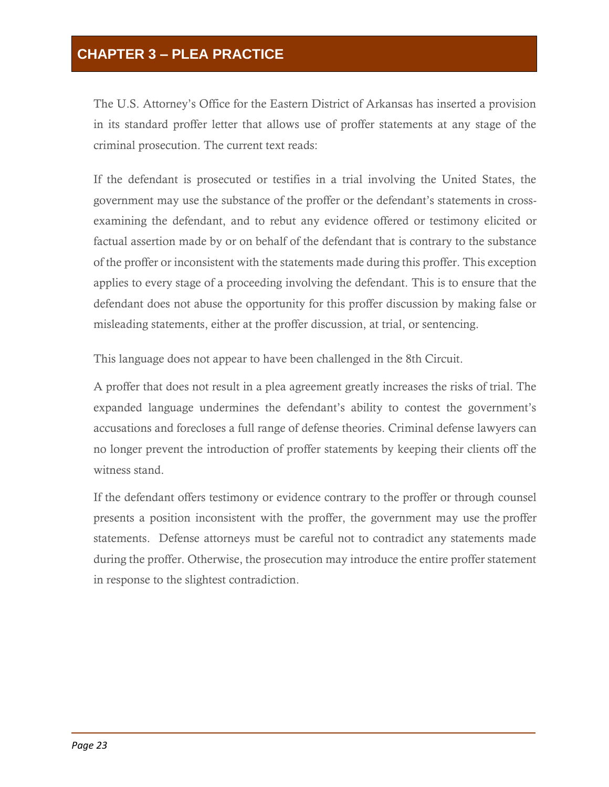The U.S. Attorney's Office for the Eastern District of Arkansas has inserted a provision in its standard proffer letter that allows use of proffer statements at any stage of the criminal prosecution. The current text reads:

If the defendant is prosecuted or testifies in a trial involving the United States, the government may use the substance of the proffer or the defendant's statements in crossexamining the defendant, and to rebut any evidence offered or testimony elicited or factual assertion made by or on behalf of the defendant that is contrary to the substance of the proffer or inconsistent with the statements made during this proffer. This exception applies to every stage of a proceeding involving the defendant. This is to ensure that the defendant does not abuse the opportunity for this proffer discussion by making false or misleading statements, either at the proffer discussion, at trial, or sentencing.

This language does not appear to have been challenged in the 8th Circuit.

A proffer that does not result in a plea agreement greatly increases the risks of trial. The expanded language undermines the defendant's ability to contest the government's accusations and forecloses a full range of defense theories. Criminal defense lawyers can no longer prevent the introduction of proffer statements by keeping their clients off the witness stand.

If the defendant offers testimony or evidence contrary to the proffer or through counsel presents a position inconsistent with the proffer, the government may use the proffer statements. Defense attorneys must be careful not to contradict any statements made during the proffer. Otherwise, the prosecution may introduce the entire proffer statement in response to the slightest contradiction.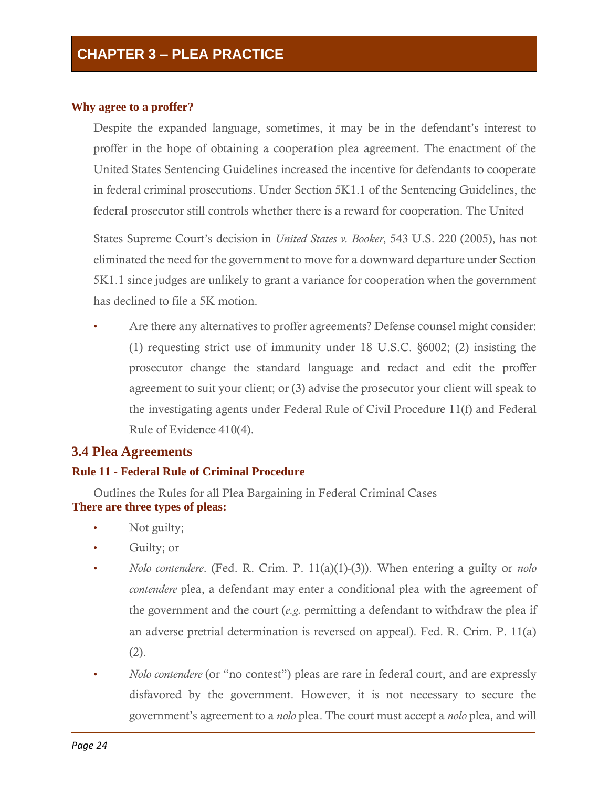#### **Why agree to a proffer?**

Despite the expanded language, sometimes, it may be in the defendant's interest to proffer in the hope of obtaining a cooperation plea agreement. The enactment of the United States Sentencing Guidelines increased the incentive for defendants to cooperate in federal criminal prosecutions. Under Section 5K1.1 of the Sentencing Guidelines, the federal prosecutor still controls whether there is a reward for cooperation. The United

States Supreme Court's decision in *United States v. Booker*, 543 U.S. 220 (2005), has not eliminated the need for the government to move for a downward departure under Section 5K1.1 since judges are unlikely to grant a variance for cooperation when the government has declined to file a 5K motion.

Are there any alternatives to proffer agreements? Defense counsel might consider: (1) requesting strict use of immunity under 18 U.S.C. §6002; (2) insisting the prosecutor change the standard language and redact and edit the proffer agreement to suit your client; or (3) advise the prosecutor your client will speak to the investigating agents under Federal Rule of Civil Procedure 11(f) and Federal Rule of Evidence 410(4).

### <span id="page-27-0"></span>**3.4 Plea Agreements**

#### **Rule 11 - Federal Rule of Criminal Procedure**

Outlines the Rules for all Plea Bargaining in Federal Criminal Cases **There are three types of pleas:**

- Not guilty;
- Guilty; or
- *Nolo contendere*. (Fed. R. Crim. P. 11(a)(1)-(3)). When entering a guilty or *nolo contendere* plea, a defendant may enter a conditional plea with the agreement of the government and the court (*e.g.* permitting a defendant to withdraw the plea if an adverse pretrial determination is reversed on appeal). Fed. R. Crim. P. 11(a) (2).
- *Nolo contendere* (or "no contest") pleas are rare in federal court, and are expressly disfavored by the government. However, it is not necessary to secure the government's agreement to a *nolo* plea. The court must accept a *nolo* plea, and will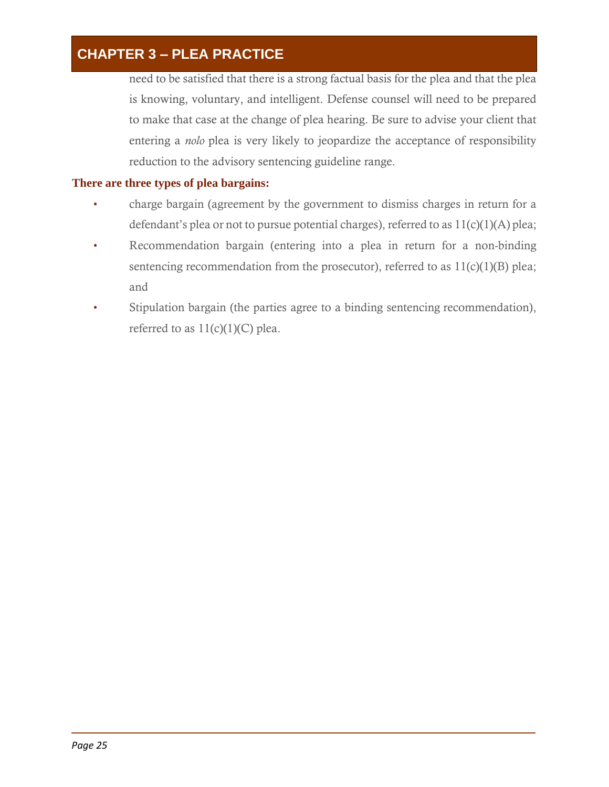need to be satisfied that there is a strong factual basis for the plea and that the plea is knowing, voluntary, and intelligent. Defense counsel will need to be prepared to make that case at the change of plea hearing. Be sure to advise your client that entering a *nolo* plea is very likely to jeopardize the acceptance of responsibility reduction to the advisory sentencing guideline range.

### **There are three types of plea bargains:**

- charge bargain (agreement by the government to dismiss charges in return for a defendant's plea or not to pursue potential charges), referred to as  $11(c)(1)(A)$  plea;
- Recommendation bargain (entering into a plea in return for a non-binding sentencing recommendation from the prosecutor), referred to as  $11(c)(1)(B)$  plea; and
- Stipulation bargain (the parties agree to a binding sentencing recommendation), referred to as  $11(c)(1)(C)$  plea.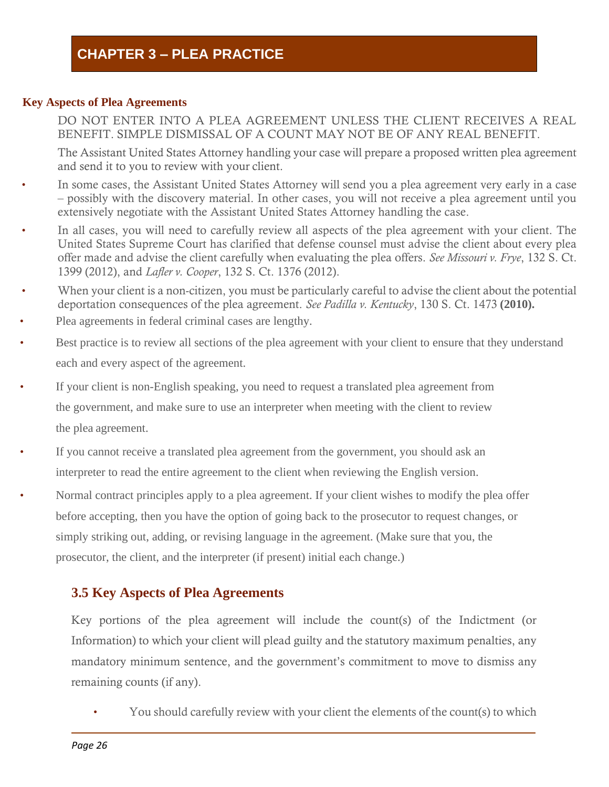#### **Key Aspects of Plea Agreements**

DO NOT ENTER INTO A PLEA AGREEMENT UNLESS THE CLIENT RECEIVES A REAL BENEFIT. SIMPLE DISMISSAL OF A COUNT MAY NOT BE OF ANY REAL BENEFIT.

The Assistant United States Attorney handling your case will prepare a proposed written plea agreement and send it to you to review with your client.

- In some cases, the Assistant United States Attorney will send you a plea agreement very early in a case – possibly with the discovery material. In other cases, you will not receive a plea agreement until you extensively negotiate with the Assistant United States Attorney handling the case.
- In all cases, you will need to carefully review all aspects of the plea agreement with your client. The United States Supreme Court has clarified that defense counsel must advise the client about every plea offer made and advise the client carefully when evaluating the plea offers. *See Missouri v. Frye*, 132 S. Ct. 1399 (2012), and *Lafler v. Cooper*, 132 S. Ct. 1376 (2012).
- When your client is a non-citizen, you must be particularly careful to advise the client about the potential deportation consequences of the plea agreement. *See Padilla v. Kentucky*, 130 S. Ct. 1473 **(2010).**
- Plea agreements in federal criminal cases are lengthy.
- Best practice is to review all sections of the plea agreement with your client to ensure that they understand each and every aspect of the agreement.
- If your client is non-English speaking, you need to request a translated plea agreement from the government, and make sure to use an interpreter when meeting with the client to review the plea agreement.
- If you cannot receive a translated plea agreement from the government, you should ask an interpreter to read the entire agreement to the client when reviewing the English version.
- Normal contract principles apply to a plea agreement. If your client wishes to modify the plea offer before accepting, then you have the option of going back to the prosecutor to request changes, or simply striking out, adding, or revising language in the agreement. (Make sure that you, the prosecutor, the client, and the interpreter (if present) initial each change.)

### <span id="page-29-0"></span>**3.5 Key Aspects of Plea Agreements**

Key portions of the plea agreement will include the count(s) of the Indictment (or Information) to which your client will plead guilty and the statutory maximum penalties, any mandatory minimum sentence, and the government's commitment to move to dismiss any remaining counts (if any).

• You should carefully review with your client the elements of the count(s) to which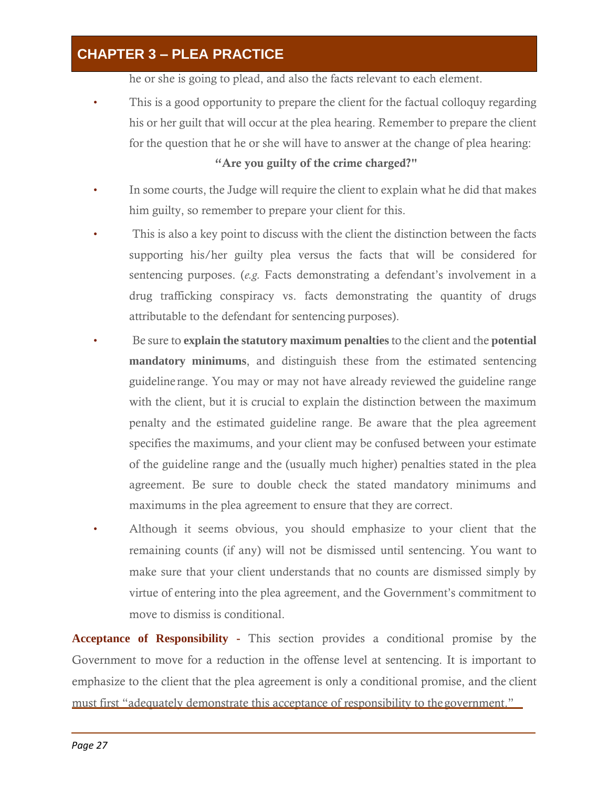he or she is going to plead, and also the facts relevant to each element.

This is a good opportunity to prepare the client for the factual colloquy regarding his or her guilt that will occur at the plea hearing. Remember to prepare the client for the question that he or she will have to answer at the change of plea hearing:

### "Are you guilty of the crime charged?"

- In some courts, the Judge will require the client to explain what he did that makes him guilty, so remember to prepare your client for this.
- This is also a key point to discuss with the client the distinction between the facts supporting his/her guilty plea versus the facts that will be considered for sentencing purposes. (*e.g.* Facts demonstrating a defendant's involvement in a drug trafficking conspiracy vs. facts demonstrating the quantity of drugs attributable to the defendant for sentencing purposes).
- Be sure to **explain the statutory maximum penalties** to the client and the **potential mandatory minimums**, and distinguish these from the estimated sentencing guideline range. You may or may not have already reviewed the guideline range with the client, but it is crucial to explain the distinction between the maximum penalty and the estimated guideline range. Be aware that the plea agreement specifies the maximums, and your client may be confused between your estimate of the guideline range and the (usually much higher) penalties stated in the plea agreement. Be sure to double check the stated mandatory minimums and maximums in the plea agreement to ensure that they are correct.
- Although it seems obvious, you should emphasize to your client that the remaining counts (if any) will not be dismissed until sentencing. You want to make sure that your client understands that no counts are dismissed simply by virtue of entering into the plea agreement, and the Government's commitment to move to dismiss is conditional.

**Acceptance of Responsibility -** This section provides a conditional promise by the Government to move for a reduction in the offense level at sentencing. It is important to emphasize to the client that the plea agreement is only a conditional promise, and the client must first "adequately demonstrate this acceptance of responsibility to thegovernment."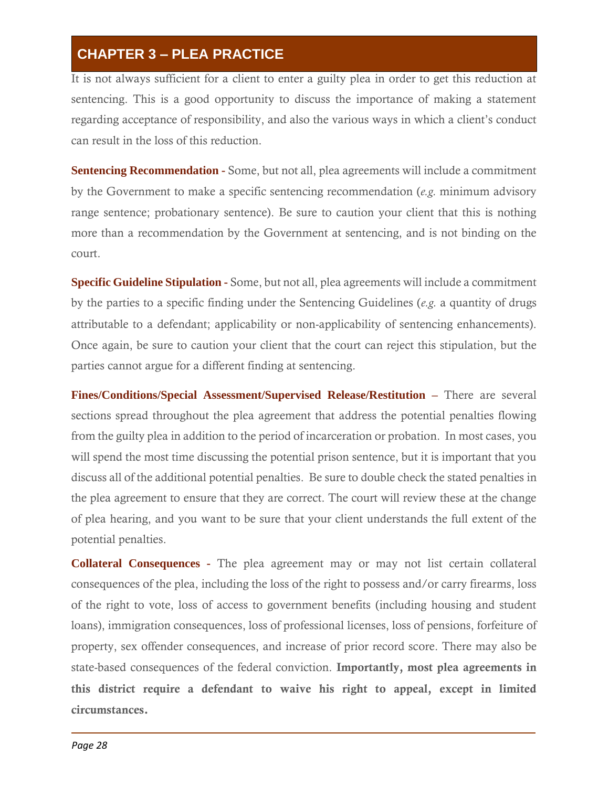It is not always sufficient for a client to enter a guilty plea in order to get this reduction at sentencing. This is a good opportunity to discuss the importance of making a statement regarding acceptance of responsibility, and also the various ways in which a client's conduct can result in the loss of this reduction.

**Sentencing Recommendation -** Some, but not all, plea agreements will include a commitment by the Government to make a specific sentencing recommendation (*e.g.* minimum advisory range sentence; probationary sentence). Be sure to caution your client that this is nothing more than a recommendation by the Government at sentencing, and is not binding on the court.

**Specific Guideline Stipulation -** Some, but not all, plea agreements will include a commitment by the parties to a specific finding under the Sentencing Guidelines (*e.g.* a quantity of drugs attributable to a defendant; applicability or non-applicability of sentencing enhancements). Once again, be sure to caution your client that the court can reject this stipulation, but the parties cannot argue for a different finding at sentencing.

**Fines/Conditions/Special Assessment/Supervised Release/Restitution –** There are several sections spread throughout the plea agreement that address the potential penalties flowing from the guilty plea in addition to the period of incarceration or probation. In most cases, you will spend the most time discussing the potential prison sentence, but it is important that you discuss all of the additional potential penalties. Be sure to double check the stated penalties in the plea agreement to ensure that they are correct. The court will review these at the change of plea hearing, and you want to be sure that your client understands the full extent of the potential penalties.

**Collateral Consequences -** The plea agreement may or may not list certain collateral consequences of the plea, including the loss of the right to possess and/or carry firearms, loss of the right to vote, loss of access to government benefits (including housing and student loans), immigration consequences, loss of professional licenses, loss of pensions, forfeiture of property, sex offender consequences, and increase of prior record score. There may also be state-based consequences of the federal conviction. Importantly, most plea agreements in this district require a defendant to waive his right to appeal, except in limited circumstances.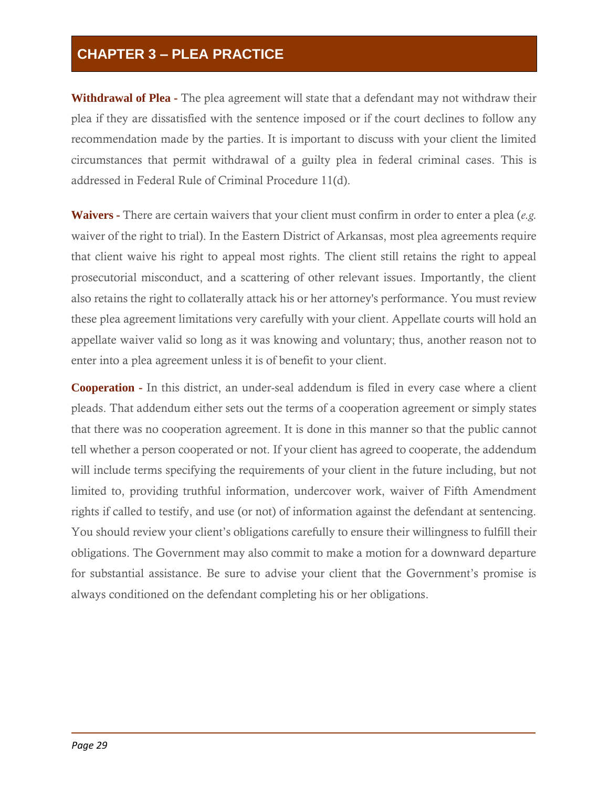**Withdrawal of Plea -** The plea agreement will state that a defendant may not withdraw their plea if they are dissatisfied with the sentence imposed or if the court declines to follow any recommendation made by the parties. It is important to discuss with your client the limited circumstances that permit withdrawal of a guilty plea in federal criminal cases. This is addressed in Federal Rule of Criminal Procedure 11(d).

**Waivers -** There are certain waivers that your client must confirm in order to enter a plea (*e.g.*  waiver of the right to trial). In the Eastern District of Arkansas, most plea agreements require that client waive his right to appeal most rights. The client still retains the right to appeal prosecutorial misconduct, and a scattering of other relevant issues. Importantly, the client also retains the right to collaterally attack his or her attorney's performance. You must review these plea agreement limitations very carefully with your client. Appellate courts will hold an appellate waiver valid so long as it was knowing and voluntary; thus, another reason not to enter into a plea agreement unless it is of benefit to your client.

**Cooperation -** In this district, an under-seal addendum is filed in every case where a client pleads. That addendum either sets out the terms of a cooperation agreement or simply states that there was no cooperation agreement. It is done in this manner so that the public cannot tell whether a person cooperated or not. If your client has agreed to cooperate, the addendum will include terms specifying the requirements of your client in the future including, but not limited to, providing truthful information, undercover work, waiver of Fifth Amendment rights if called to testify, and use (or not) of information against the defendant at sentencing. You should review your client's obligations carefully to ensure their willingness to fulfill their obligations. The Government may also commit to make a motion for a downward departure for substantial assistance. Be sure to advise your client that the Government's promise is always conditioned on the defendant completing his or her obligations.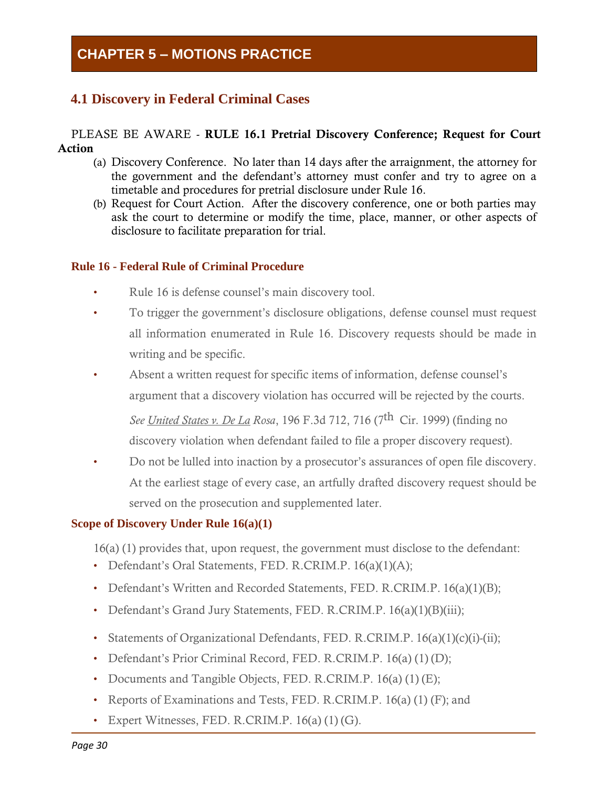### <span id="page-33-0"></span>**4.1 Discovery in Federal Criminal Cases**

#### PLEASE BE AWARE - RULE 16.1 Pretrial Discovery Conference; Request for Court Action

- (a) Discovery Conference. No later than 14 days after the arraignment, the attorney for the government and the defendant's attorney must confer and try to agree on a timetable and procedures for pretrial disclosure under Rule 16.
- (b) Request for Court Action. After the discovery conference, one or both parties may ask the court to determine or modify the time, place, manner, or other aspects of disclosure to facilitate preparation for trial.

### **Rule 16 - Federal Rule of Criminal Procedure**

- Rule 16 is defense counsel's main discovery tool.
- To trigger the government's disclosure obligations, defense counsel must request all information enumerated in Rule 16. Discovery requests should be made in writing and be specific.
- Absent a written request for specific items of information, defense counsel's argument that a discovery violation has occurred will be rejected by the courts.

*See United States v. De La Rosa*, 196 F.3d 712, 716 (7 th Cir. 1999) (finding no discovery violation when defendant failed to file a proper discovery request).

• Do not be lulled into inaction by a prosecutor's assurances of open file discovery. At the earliest stage of every case, an artfully drafted discovery request should be served on the prosecution and supplemented later.

#### **Scope of Discovery Under Rule 16(a)(1)**

16(a) (1) provides that, upon request, the government must disclose to the defendant:

- Defendant's Oral Statements, FED. R.CRIM.P. 16(a)(1)(A);
- Defendant's Written and Recorded Statements, FED. R.CRIM.P. 16(a)(1)(B);
- Defendant's Grand Jury Statements, FED. R.CRIM.P. 16(a)(1)(B)(iii);
- Statements of Organizational Defendants, FED. R.CRIM.P. 16(a)(1)(c)(i)-(ii);
- Defendant's Prior Criminal Record, FED. R.CRIM.P. 16(a) (1) (D);
- Documents and Tangible Objects, FED. R.CRIM.P. 16(a) (1) (E);
- Reports of Examinations and Tests, FED. R.CRIM.P. 16(a) (1) (F); and
- Expert Witnesses, FED. R.CRIM.P.  $16(a) (1) (G)$ .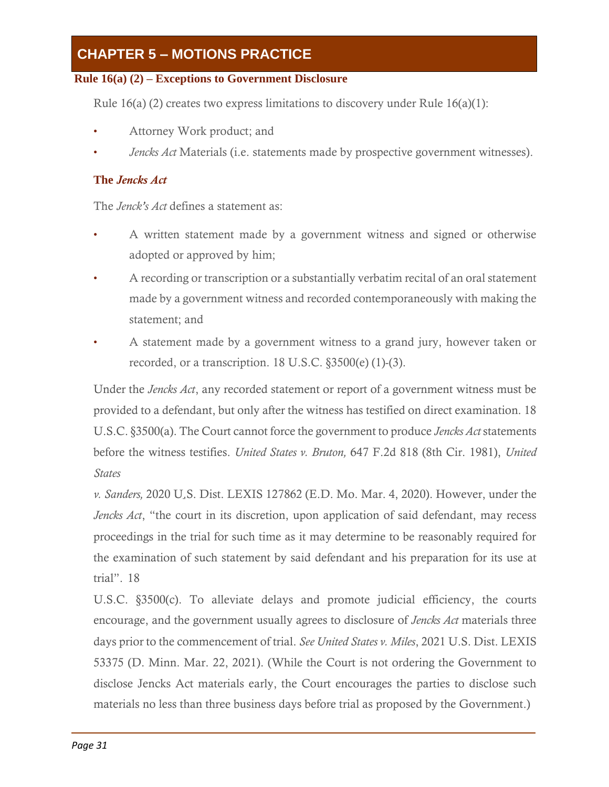# **CHAPTER 5 – MOTIONS PRACTICE**

### **Rule 16(a) (2) – Exceptions to Government Disclosure**

Rule 16(a) (2) creates two express limitations to discovery under Rule  $16(a)(1)$ :

- Attorney Work product; and
- *Jencks Act* Materials (i.e. statements made by prospective government witnesses).

### **The** *Jencks Act*

The *Jenck's Act* defines a statement as:

- A written statement made by a government witness and signed or otherwise adopted or approved by him;
- A recording or transcription or a substantially verbatim recital of an oral statement made by a government witness and recorded contemporaneously with making the statement; and
- A statement made by a government witness to a grand jury, however taken or recorded, or a transcription. 18 U.S.C. §3500(e) (1)-(3).

Under the *Jencks Act*, any recorded statement or report of a government witness must be provided to a defendant, but only after the witness has testified on direct examination. 18 U.S.C. §3500(a). The Court cannot force the government to produce *Jencks Act* statements before the witness testifies. *United States v. Bruton,* 647 F.2d 818 (8th Cir. 1981), *United States*

*v. Sanders,* 2020 U.S. Dist. LEXIS 127862 (E.D. Mo. Mar. 4, 2020). However, under the *Jencks Act*, "the court in its discretion, upon application of said defendant, may recess proceedings in the trial for such time as it may determine to be reasonably required for the examination of such statement by said defendant and his preparation for its use at trial". 18

U.S.C. §3500(c). To alleviate delays and promote judicial efficiency, the courts encourage, and the government usually agrees to disclosure of *Jencks Act* materials three days prior to the commencement of trial. *See United States v. Miles*, 2021 U.S. Dist. LEXIS 53375 (D. Minn. Mar. 22, 2021). (While the Court is not ordering the Government to disclose Jencks Act materials early, the Court encourages the parties to disclose such materials no less than three business days before trial as proposed by the Government.)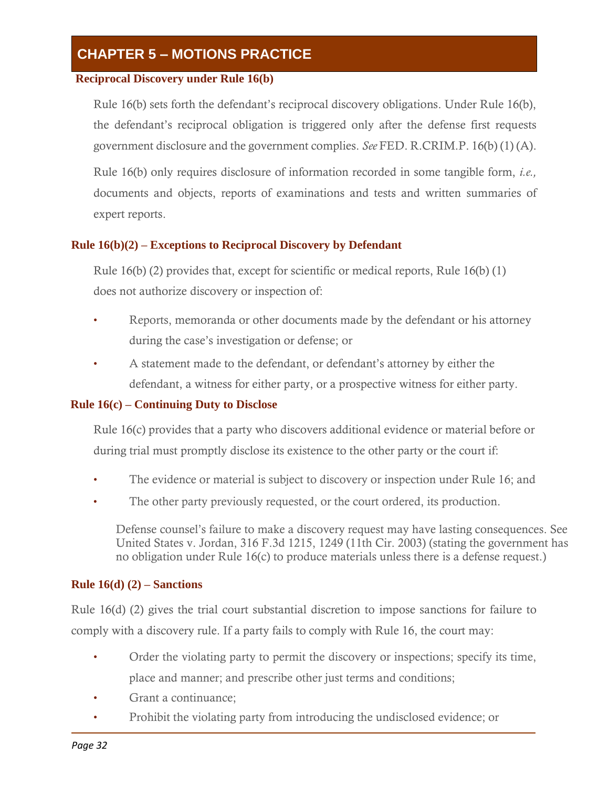# **CHAPTER 5 – MOTIONS PRACTICE**

### **Reciprocal Discovery under Rule 16(b)**

Rule 16(b) sets forth the defendant's reciprocal discovery obligations. Under Rule 16(b), the defendant's reciprocal obligation is triggered only after the defense first requests government disclosure and the government complies. *See* FED. R.CRIM.P. 16(b) (1) (A).

Rule 16(b) only requires disclosure of information recorded in some tangible form, *i.e.,*  documents and objects, reports of examinations and tests and written summaries of expert reports.

### **Rule 16(b)(2) – Exceptions to Reciprocal Discovery by Defendant**

Rule 16(b) (2) provides that, except for scientific or medical reports, Rule 16(b) (1) does not authorize discovery or inspection of:

- Reports, memoranda or other documents made by the defendant or his attorney during the case's investigation or defense; or
- A statement made to the defendant, or defendant's attorney by either the defendant, a witness for either party, or a prospective witness for either party.

### **Rule 16(c) – Continuing Duty to Disclose**

Rule 16(c) provides that a party who discovers additional evidence or material before or during trial must promptly disclose its existence to the other party or the court if:

- The evidence or material is subject to discovery or inspection under Rule 16; and
- The other party previously requested, or the court ordered, its production.

Defense counsel's failure to make a discovery request may have lasting consequences. See United States v. Jordan, 316 F.3d 1215, 1249 (11th Cir. 2003) (stating the government has no obligation under Rule 16(c) to produce materials unless there is a defense request.)

### **Rule 16(d) (2) – Sanctions**

Rule 16(d) (2) gives the trial court substantial discretion to impose sanctions for failure to comply with a discovery rule. If a party fails to comply with Rule 16, the court may:

- Order the violating party to permit the discovery or inspections; specify its time, place and manner; and prescribe other just terms and conditions;
- Grant a continuance:
- Prohibit the violating party from introducing the undisclosed evidence; or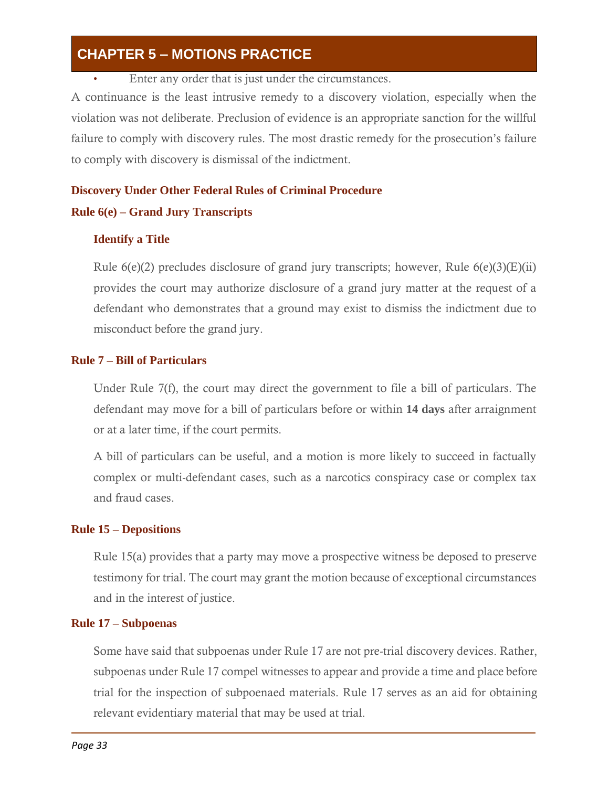Enter any order that is just under the circumstances.

A continuance is the least intrusive remedy to a discovery violation, especially when the violation was not deliberate. Preclusion of evidence is an appropriate sanction for the willful failure to comply with discovery rules. The most drastic remedy for the prosecution's failure to comply with discovery is dismissal of the indictment.

### **Discovery Under Other Federal Rules of Criminal Procedure Rule 6(e) – Grand Jury Transcripts**

#### **Identify a Title**

Rule  $6(e)(2)$  precludes disclosure of grand jury transcripts; however, Rule  $6(e)(3)(E)(ii)$ provides the court may authorize disclosure of a grand jury matter at the request of a defendant who demonstrates that a ground may exist to dismiss the indictment due to misconduct before the grand jury.

#### **Rule 7 – Bill of Particulars**

Under Rule 7(f), the court may direct the government to file a bill of particulars. The defendant may move for a bill of particulars before or within **14 days** after arraignment or at a later time, if the court permits.

A bill of particulars can be useful, and a motion is more likely to succeed in factually complex or multi-defendant cases, such as a narcotics conspiracy case or complex tax and fraud cases.

#### **Rule 15 – Depositions**

Rule 15(a) provides that a party may move a prospective witness be deposed to preserve testimony for trial. The court may grant the motion because of exceptional circumstances and in the interest of justice.

#### **Rule 17 – Subpoenas**

Some have said that subpoenas under Rule 17 are not pre-trial discovery devices. Rather, subpoenas under Rule 17 compel witnesses to appear and provide a time and place before trial for the inspection of subpoenaed materials. Rule 17 serves as an aid for obtaining relevant evidentiary material that may be used at trial.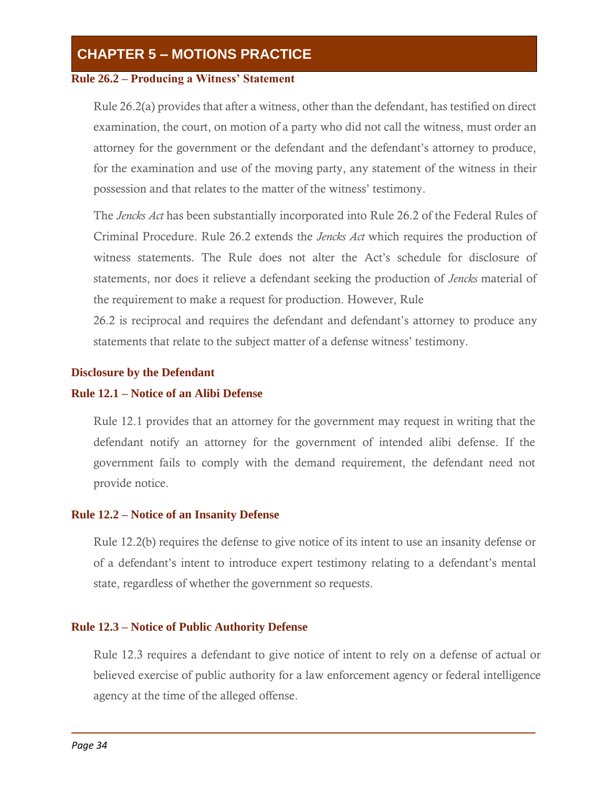#### **Rule 26.2 – Producing a Witness' Statement**

Rule 26.2(a) provides that after a witness, other than the defendant, has testified on direct examination, the court, on motion of a party who did not call the witness, must order an attorney for the government or the defendant and the defendant's attorney to produce, for the examination and use of the moving party, any statement of the witness in their possession and that relates to the matter of the witness' testimony.

The *Jencks Act* has been substantially incorporated into Rule 26.2 of the Federal Rules of Criminal Procedure. Rule 26.2 extends the *Jencks Act* which requires the production of witness statements. The Rule does not alter the Act's schedule for disclosure of statements, nor does it relieve a defendant seeking the production of *Jencks* material of the requirement to make a request for production. However, Rule

26.2 is reciprocal and requires the defendant and defendant's attorney to produce any statements that relate to the subject matter of a defense witness' testimony.

#### **Disclosure by the Defendant**

#### **Rule 12.1 – Notice of an Alibi Defense**

Rule 12.1 provides that an attorney for the government may request in writing that the defendant notify an attorney for the government of intended alibi defense. If the government fails to comply with the demand requirement, the defendant need not provide notice.

#### **Rule 12.2 – Notice of an Insanity Defense**

Rule 12.2(b) requires the defense to give notice of its intent to use an insanity defense or of a defendant's intent to introduce expert testimony relating to a defendant's mental state, regardless of whether the government so requests.

#### **Rule 12.3 – Notice of Public Authority Defense**

Rule 12.3 requires a defendant to give notice of intent to rely on a defense of actual or believed exercise of public authority for a law enforcement agency or federal intelligence agency at the time of the alleged offense.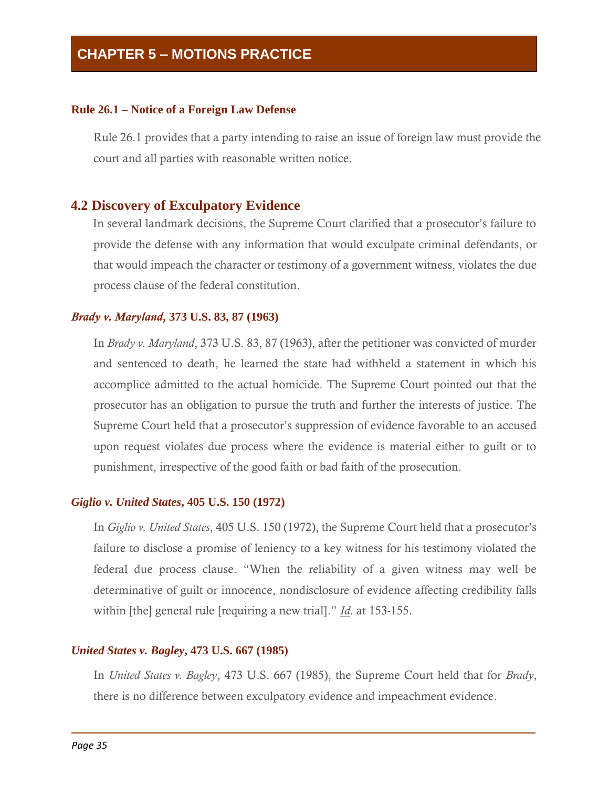#### **Rule 26.1 – Notice of a Foreign Law Defense**

Rule 26.1 provides that a party intending to raise an issue of foreign law must provide the court and all parties with reasonable written notice.

#### **4.2 Discovery of Exculpatory Evidence**

In several landmark decisions, the Supreme Court clarified that a prosecutor's failure to provide the defense with any information that would exculpate criminal defendants, or that would impeach the character or testimony of a government witness, violates the due process clause of the federal constitution.

#### *Brady v. Maryland,* **373 U.S. 83, 87 (1963)**

In *Brady v. Maryland*, 373 U.S. 83, 87 (1963), after the petitioner was convicted of murder and sentenced to death, he learned the state had withheld a statement in which his accomplice admitted to the actual homicide. The Supreme Court pointed out that the prosecutor has an obligation to pursue the truth and further the interests of justice. The Supreme Court held that a prosecutor's suppression of evidence favorable to an accused upon request violates due process where the evidence is material either to guilt or to punishment, irrespective of the good faith or bad faith of the prosecution.

#### *Giglio v. United States***, 405 U.S. 150 (1972)**

In *Giglio v. United States*, 405 U.S. 150 (1972), the Supreme Court held that a prosecutor's failure to disclose a promise of leniency to a key witness for his testimony violated the federal due process clause. "When the reliability of a given witness may well be determinative of guilt or innocence, nondisclosure of evidence affecting credibility falls within [the] general rule [requiring a new trial]." *Id*. at 153-155.

#### *United States v. Bagley***, 473 U.S. 667 (1985)**

In *United States v. Bagley*, 473 U.S. 667 (1985), the Supreme Court held that for *Brady*, there is no difference between exculpatory evidence and impeachment evidence.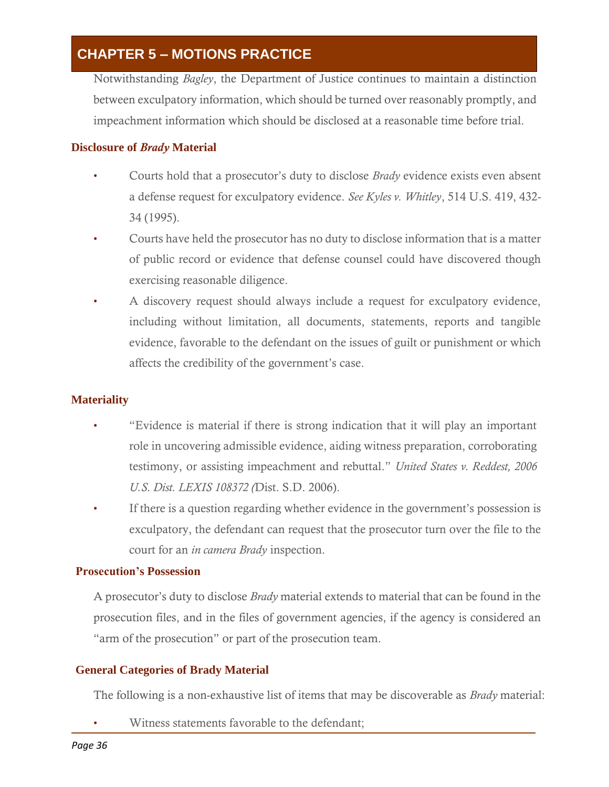Notwithstanding *Bagley*, the Department of Justice continues to maintain a distinction between exculpatory information, which should be turned over reasonably promptly, and impeachment information which should be disclosed at a reasonable time before trial.

#### **Disclosure of** *Brady* **Material**

- Courts hold that a prosecutor's duty to disclose *Brady* evidence exists even absent a defense request for exculpatory evidence. *See Kyles v. Whitley*, 514 U.S. 419, 432- 34 (1995).
- Courts have held the prosecutor has no duty to disclose information that is a matter of public record or evidence that defense counsel could have discovered though exercising reasonable diligence.
- A discovery request should always include a request for exculpatory evidence, including without limitation, all documents, statements, reports and tangible evidence, favorable to the defendant on the issues of guilt or punishment or which affects the credibility of the government's case.

#### **Materiality**

- "Evidence is material if there is strong indication that it will play an important role in uncovering admissible evidence, aiding witness preparation, corroborating testimony, or assisting impeachment and rebuttal." *United States v. Reddest, 2006 U.S. Dist. LEXIS 108372 (*Dist. S.D. 2006).
- If there is a question regarding whether evidence in the government's possession is exculpatory, the defendant can request that the prosecutor turn over the file to the court for an *in camera Brady* inspection.

#### **Prosecution's Possession**

A prosecutor's duty to disclose *Brady* material extends to material that can be found in the prosecution files, and in the files of government agencies, if the agency is considered an "arm of the prosecution" or part of the prosecution team.

#### **General Categories of Brady Material**

The following is a non-exhaustive list of items that may be discoverable as *Brady* material:

Witness statements favorable to the defendant;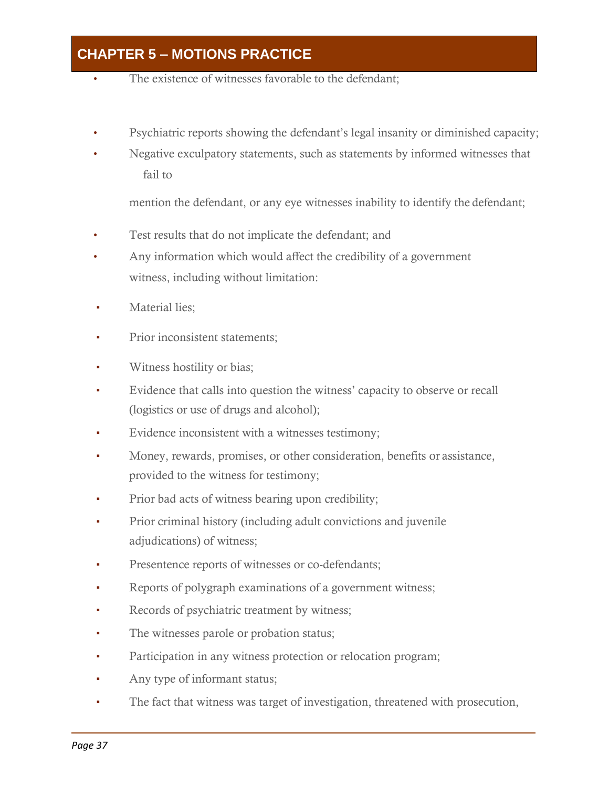- The existence of witnesses favorable to the defendant;
- Psychiatric reports showing the defendant's legal insanity or diminished capacity;
- Negative exculpatory statements, such as statements by informed witnesses that fail to

mention the defendant, or any eye witnesses inability to identify the defendant;

- Test results that do not implicate the defendant; and
- Any information which would affect the credibility of a government witness, including without limitation:
- Material lies;
- Prior inconsistent statements;
- Witness hostility or bias;
- Evidence that calls into question the witness' capacity to observe or recall (logistics or use of drugs and alcohol);
- Evidence inconsistent with a witnesses testimony;
- Money, rewards, promises, or other consideration, benefits or assistance, provided to the witness for testimony;
- Prior bad acts of witness bearing upon credibility;
- Prior criminal history (including adult convictions and juvenile adjudications) of witness;
- Presentence reports of witnesses or co-defendants;
- Reports of polygraph examinations of a government witness;
- Records of psychiatric treatment by witness;
- The witnesses parole or probation status;
- **Participation in any witness protection or relocation program;**
- Any type of informant status;
- The fact that witness was target of investigation, threatened with prosecution,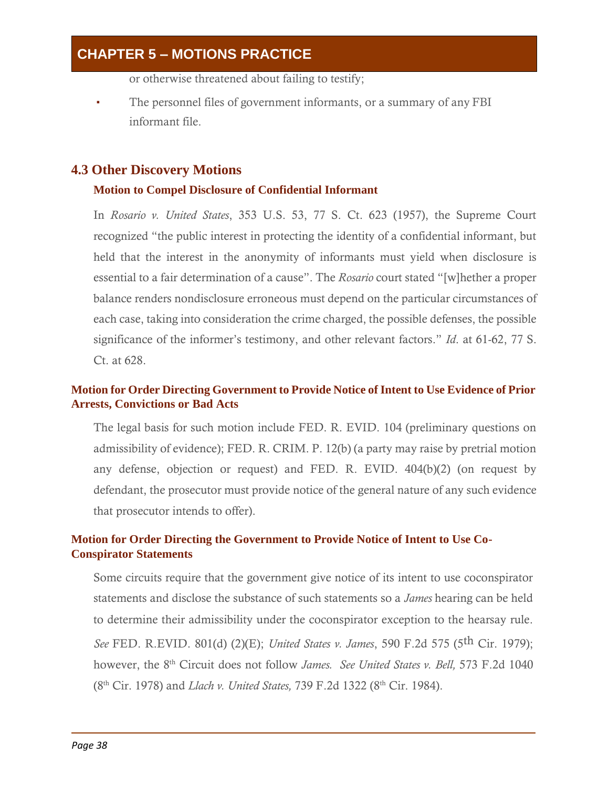or otherwise threatened about failing to testify;

The personnel files of government informants, or a summary of any FBI informant file.

#### **4.3 Other Discovery Motions**

#### **Motion to Compel Disclosure of Confidential Informant**

In *Rosario v. United States*, 353 U.S. 53, 77 S. Ct. 623 (1957), the Supreme Court recognized "the public interest in protecting the identity of a confidential informant, but held that the interest in the anonymity of informants must yield when disclosure is essential to a fair determination of a cause". The *Rosario* court stated "[w]hether a proper balance renders nondisclosure erroneous must depend on the particular circumstances of each case, taking into consideration the crime charged, the possible defenses, the possible significance of the informer's testimony, and other relevant factors." *Id*. at 61-62, 77 S. Ct. at 628.

#### **Motion for Order Directing Government to Provide Notice of Intent to Use Evidence of Prior Arrests, Convictions or Bad Acts**

The legal basis for such motion include FED. R. EVID. 104 (preliminary questions on admissibility of evidence); FED. R. CRIM. P. 12(b) (a party may raise by pretrial motion any defense, objection or request) and FED. R. EVID. 404(b)(2) (on request by defendant, the prosecutor must provide notice of the general nature of any such evidence that prosecutor intends to offer).

#### **Motion for Order Directing the Government to Provide Notice of Intent to Use Co-Conspirator Statements**

Some circuits require that the government give notice of its intent to use coconspirator statements and disclose the substance of such statements so a *James* hearing can be held to determine their admissibility under the coconspirator exception to the hearsay rule. *See* FED. R.EVID. 801(d) (2)(E); *United States v. James*, 590 F.2d 575 (5th Cir. 1979); however, the 8th Circuit does not follow *James. See United States v. Bell,* 573 F.2d 1040 (8th Cir. 1978) and *Llach v. United States,* 739 F.2d 1322 (8th Cir. 1984).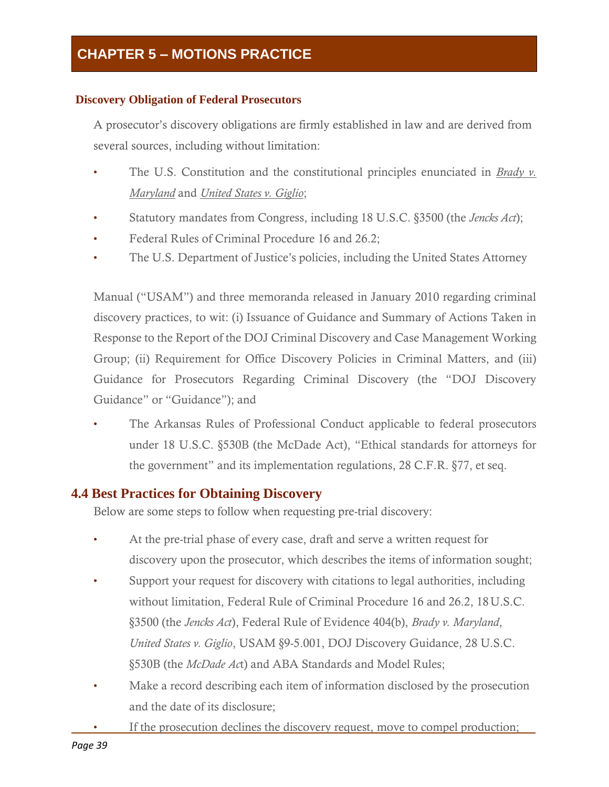#### **Discovery Obligation of Federal Prosecutors**

A prosecutor's discovery obligations are firmly established in law and are derived from several sources, including without limitation:

- The U.S. Constitution and the constitutional principles enunciated in *Brady v. Maryland* and *United States v. Giglio*;
- Statutory mandates from Congress, including 18 U.S.C. §3500 (the *Jencks Act*);
- Federal Rules of Criminal Procedure 16 and 26.2;
- The U.S. Department of Justice's policies, including the United States Attorney

Manual ("USAM") and three memoranda released in January 2010 regarding criminal discovery practices, to wit: (i) Issuance of Guidance and Summary of Actions Taken in Response to the Report of the DOJ Criminal Discovery and Case Management Working Group; (ii) Requirement for Office Discovery Policies in Criminal Matters, and (iii) Guidance for Prosecutors Regarding Criminal Discovery (the "DOJ Discovery Guidance" or "Guidance"); and

• The Arkansas Rules of Professional Conduct applicable to federal prosecutors under 18 U.S.C. §530B (the McDade Act), "Ethical standards for attorneys for the government" and its implementation regulations, 28 C.F.R. §77, et seq.

#### **4.4 Best Practices for Obtaining Discovery**

Below are some steps to follow when requesting pre-trial discovery:

- At the pre-trial phase of every case, draft and serve a written request for discovery upon the prosecutor, which describes the items of information sought;
- Support your request for discovery with citations to legal authorities, including without limitation, Federal Rule of Criminal Procedure 16 and 26.2, 18U.S.C. §3500 (the *Jencks Act*), Federal Rule of Evidence 404(b), *Brady v. Maryland*, *United States v. Giglio*, USAM §9-5.001, DOJ Discovery Guidance, 28 U.S.C. §530B (the *McDade Ac*t) and ABA Standards and Model Rules;
- Make a record describing each item of information disclosed by the prosecution and the date of its disclosure;
- If the prosecution declines the discovery request, move to compel production;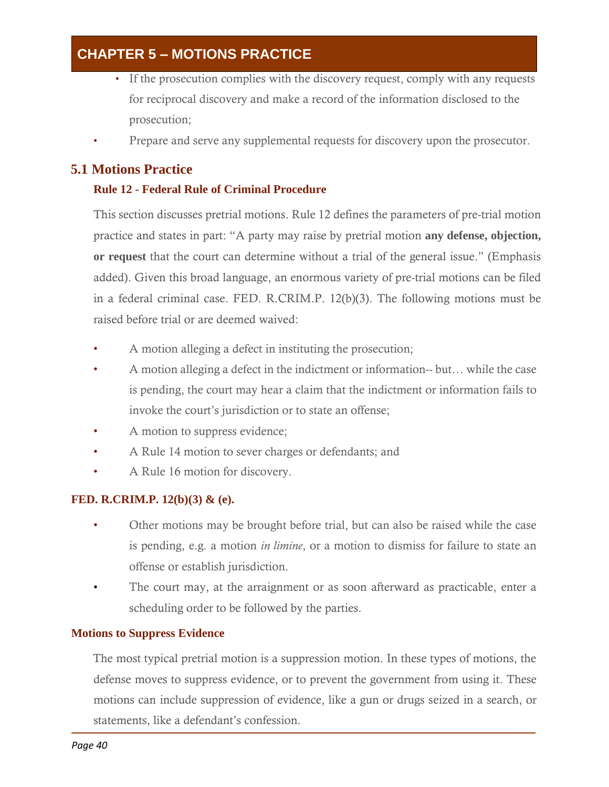- If the prosecution complies with the discovery request, comply with any requests for reciprocal discovery and make a record of the information disclosed to the prosecution;
- Prepare and serve any supplemental requests for discovery upon the prosecutor.

#### **5.1 Motions Practice**

#### **Rule 12 - Federal Rule of Criminal Procedure**

This section discusses pretrial motions. Rule 12 defines the parameters of pre-trial motion practice and states in part: "A party may raise by pretrial motion **any defense, objection, or request** that the court can determine without a trial of the general issue." (Emphasis added). Given this broad language, an enormous variety of pre-trial motions can be filed in a federal criminal case. FED. R.CRIM.P. 12(b)(3). The following motions must be raised before trial or are deemed waived:

- A motion alleging a defect in instituting the prosecution;
- A motion alleging a defect in the indictment or information-- but… while the case is pending, the court may hear a claim that the indictment or information fails to invoke the court's jurisdiction or to state an offense;
- A motion to suppress evidence;
- A Rule 14 motion to sever charges or defendants; and
- A Rule 16 motion for discovery.

#### **FED. R.CRIM.P. 12(b)(3) & (e).**

- Other motions may be brought before trial, but can also be raised while the case is pending, e.g. a motion *in limine*, or a motion to dismiss for failure to state an offense or establish jurisdiction.
- The court may, at the arraignment or as soon afterward as practicable, enter a scheduling order to be followed by the parties.

#### **Motions to Suppress Evidence**

The most typical pretrial motion is a suppression motion. In these types of motions, the defense moves to suppress evidence, or to prevent the government from using it. These motions can include suppression of evidence, like a gun or drugs seized in a search, or statements, like a defendant's confession.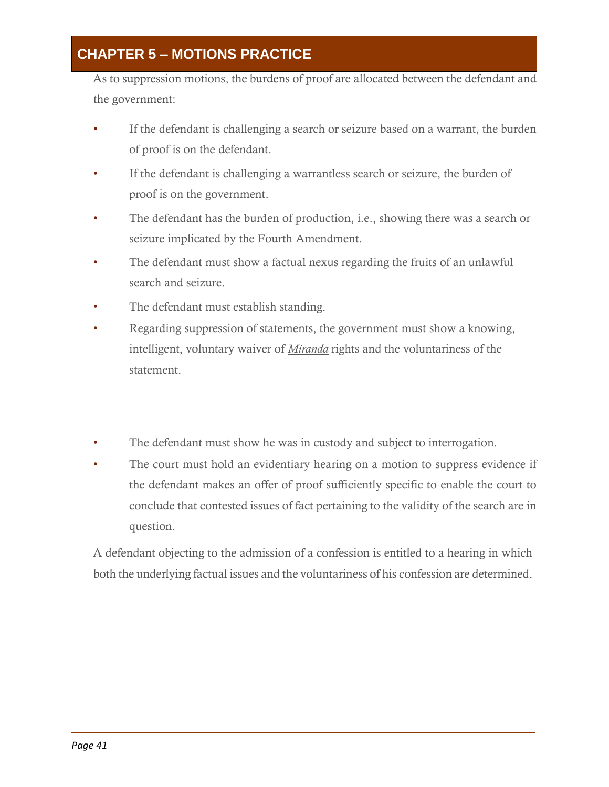As to suppression motions, the burdens of proof are allocated between the defendant and the government:

- If the defendant is challenging a search or seizure based on a warrant, the burden of proof is on the defendant.
- If the defendant is challenging a warrantless search or seizure, the burden of proof is on the government.
- The defendant has the burden of production, i.e., showing there was a search or seizure implicated by the Fourth Amendment.
- The defendant must show a factual nexus regarding the fruits of an unlawful search and seizure.
- The defendant must establish standing.
- Regarding suppression of statements, the government must show a knowing, intelligent, voluntary waiver of *Miranda* rights and the voluntariness of the statement.
- The defendant must show he was in custody and subject to interrogation.
- The court must hold an evidentiary hearing on a motion to suppress evidence if the defendant makes an offer of proof sufficiently specific to enable the court to conclude that contested issues of fact pertaining to the validity of the search are in question.

A defendant objecting to the admission of a confession is entitled to a hearing in which both the underlying factual issues and the voluntariness of his confession are determined.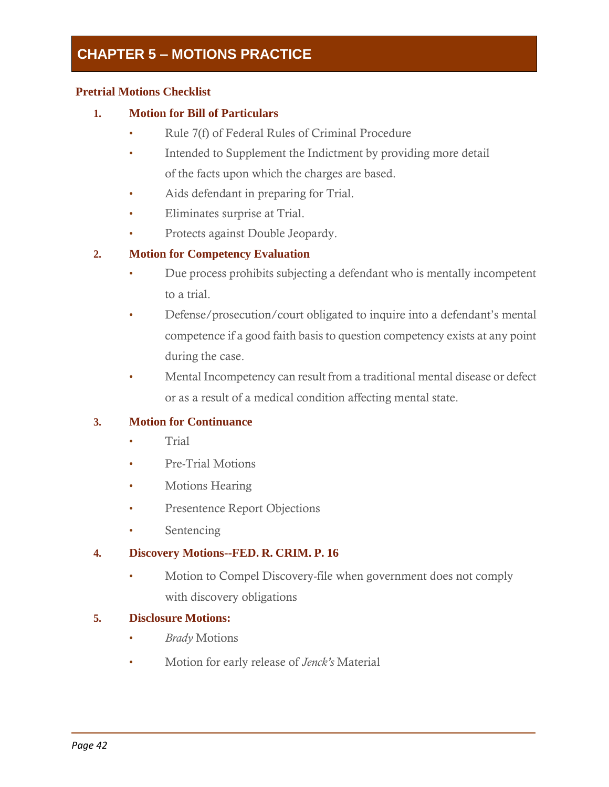#### **Pretrial Motions Checklist**

#### **1. Motion for Bill of Particulars**

- Rule 7(f) of Federal Rules of Criminal Procedure
- Intended to Supplement the Indictment by providing more detail of the facts upon which the charges are based.
- Aids defendant in preparing for Trial.
- Eliminates surprise at Trial.
- Protects against Double Jeopardy.

#### **2. Motion for Competency Evaluation**

- Due process prohibits subjecting a defendant who is mentally incompetent to a trial.
- Defense/prosecution/court obligated to inquire into a defendant's mental competence if a good faith basis to question competency exists at any point during the case.
- Mental Incompetency can result from a traditional mental disease or defect or as a result of a medical condition affecting mental state.

#### **3. Motion for Continuance**

- Trial
- Pre-Trial Motions
- Motions Hearing
- Presentence Report Objections
- Sentencing

#### **4. Discovery Motions--FED. R. CRIM. P. 16**

• Motion to Compel Discovery-file when government does not comply with discovery obligations

#### **5. Disclosure Motions:**

- *Brady* Motions
- Motion for early release of *Jenck's* Material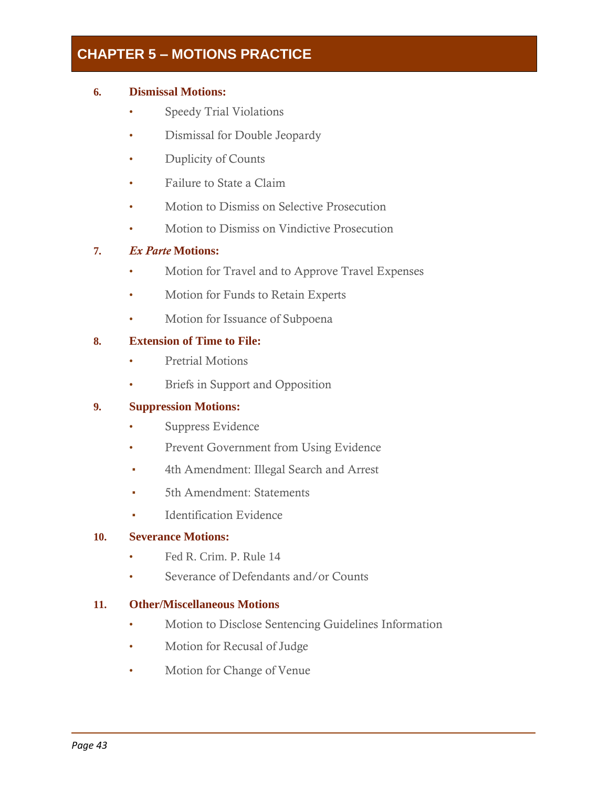#### **6. Dismissal Motions:**

- Speedy Trial Violations
- Dismissal for Double Jeopardy
- Duplicity of Counts
- Failure to State a Claim
- Motion to Dismiss on Selective Prosecution
- Motion to Dismiss on Vindictive Prosecution

#### **7.** *Ex Parte* **Motions:**

- Motion for Travel and to Approve Travel Expenses
- Motion for Funds to Retain Experts
- Motion for Issuance of Subpoena

#### **8. Extension of Time to File:**

- Pretrial Motions
- Briefs in Support and Opposition

#### **9. Suppression Motions:**

- Suppress Evidence
- Prevent Government from Using Evidence
- 4th Amendment: Illegal Search and Arrest
- 5th Amendment: Statements
- Identification Evidence

#### **10. Severance Motions:**

- Fed R. Crim. P. Rule 14
- Severance of Defendants and/or Counts

#### **11. Other/Miscellaneous Motions**

- Motion to Disclose Sentencing Guidelines Information
- Motion for Recusal of Judge
- Motion for Change of Venue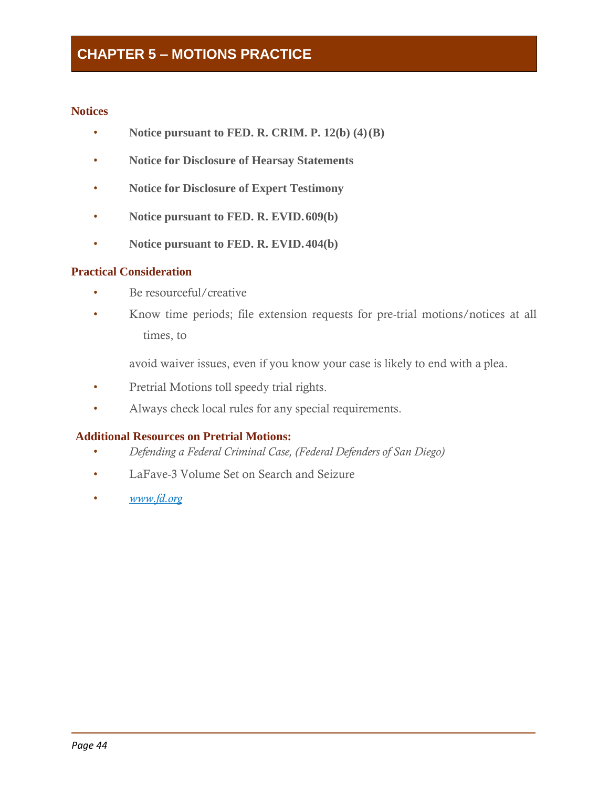#### **Notices**

- **Notice pursuant to FED. R. CRIM. P. 12(b) (4)(B)**
- **Notice for Disclosure of Hearsay Statements**
- **Notice for Disclosure of Expert Testimony**
- **Notice pursuant to FED. R. EVID.609(b)**
- **Notice pursuant to FED. R. EVID.404(b)**

#### **Practical Consideration**

- Be resourceful/creative
- Know time periods; file extension requests for pre-trial motions/notices at all times, to

avoid waiver issues, even if you know your case is likely to end with a plea.

- Pretrial Motions toll speedy trial rights.
- Always check local rules for any special requirements.

#### **Additional Resources on Pretrial Motions:**

- *Defending a Federal Criminal Case, (Federal Defenders of San Diego)*
- LaFave-3 Volume Set on Search and Seizure
- *[www.fd.org](http://www.fd.org/)*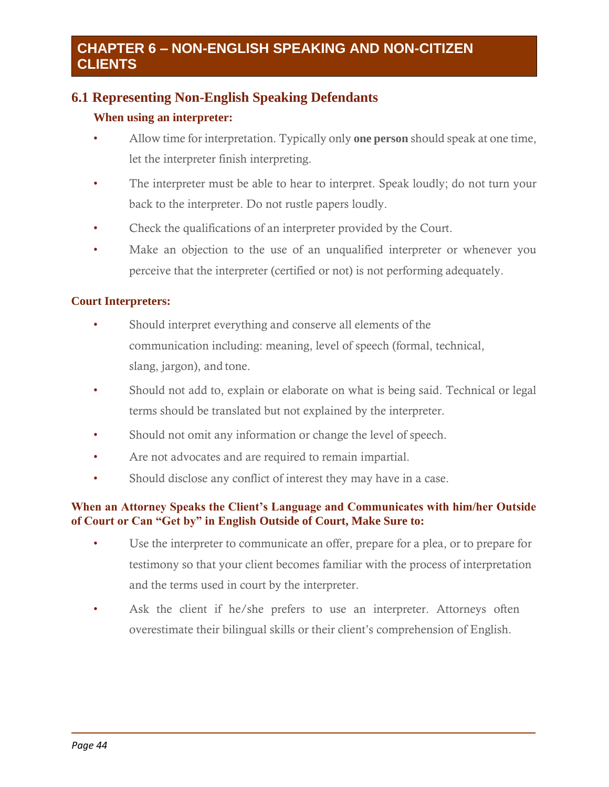### **6.1 Representing Non-English Speaking Defendants**

#### **When using an interpreter:**

- Allow time for interpretation. Typically only **one person** should speak at one time, let the interpreter finish interpreting.
- The interpreter must be able to hear to interpret. Speak loudly; do not turn your back to the interpreter. Do not rustle papers loudly.
- Check the qualifications of an interpreter provided by the Court.
- Make an objection to the use of an unqualified interpreter or whenever you perceive that the interpreter (certified or not) is not performing adequately.

#### **Court Interpreters:**

- Should interpret everything and conserve all elements of the communication including: meaning, level of speech (formal, technical, slang, jargon), and tone.
- Should not add to, explain or elaborate on what is being said. Technical or legal terms should be translated but not explained by the interpreter.
- Should not omit any information or change the level of speech.
- Are not advocates and are required to remain impartial.
- Should disclose any conflict of interest they may have in a case.

#### **When an Attorney Speaks the Client's Language and Communicates with him/her Outside of Court or Can "Get by" in English Outside of Court, Make Sure to:**

- Use the interpreter to communicate an offer, prepare for a plea, or to prepare for testimony so that your client becomes familiar with the process of interpretation and the terms used in court by the interpreter.
- Ask the client if he/she prefers to use an interpreter. Attorneys often overestimate their bilingual skills or their client's comprehension of English.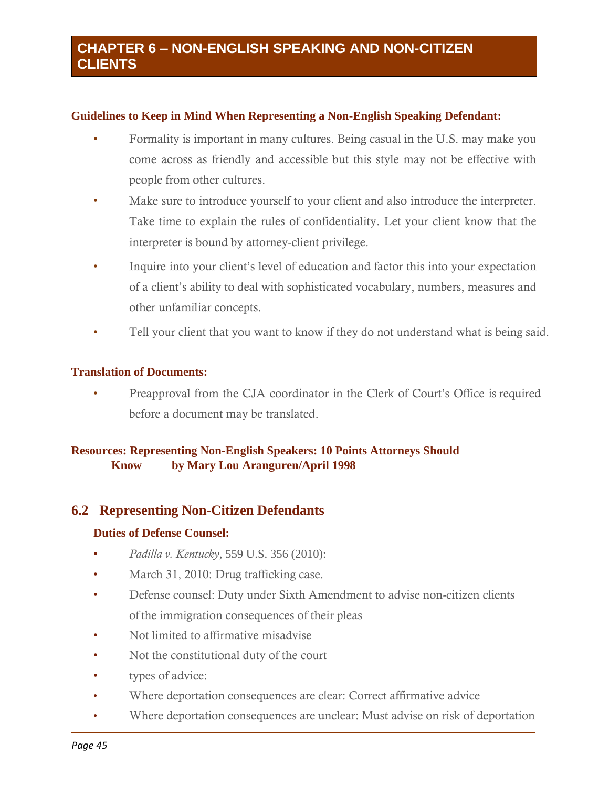#### **Guidelines to Keep in Mind When Representing a Non-English Speaking Defendant:**

- Formality is important in many cultures. Being casual in the U.S. may make you come across as friendly and accessible but this style may not be effective with people from other cultures.
- Make sure to introduce yourself to your client and also introduce the interpreter. Take time to explain the rules of confidentiality. Let your client know that the interpreter is bound by attorney-client privilege.
- Inquire into your client's level of education and factor this into your expectation of a client's ability to deal with sophisticated vocabulary, numbers, measures and other unfamiliar concepts.
- Tell your client that you want to know if they do not understand what is being said.

#### **Translation of Documents:**

• Preapproval from the CJA coordinator in the Clerk of Court's Office is required before a document may be translated.

#### **Resources: Representing Non-English Speakers: 10 Points Attorneys Should Know by Mary Lou Aranguren/April 1998**

#### **6.2 Representing Non-Citizen Defendants**

#### **Duties of Defense Counsel:**

- *Padilla v. Kentucky*, 559 U.S. 356 (2010):
- March 31, 2010: Drug trafficking case.
- Defense counsel: Duty under Sixth Amendment to advise non-citizen clients of the immigration consequences of their pleas
- Not limited to affirmative misadvise
- Not the constitutional duty of the court
- types of advice:
- Where deportation consequences are clear: Correct affirmative advice
- Where deportation consequences are unclear: Must advise on risk of deportation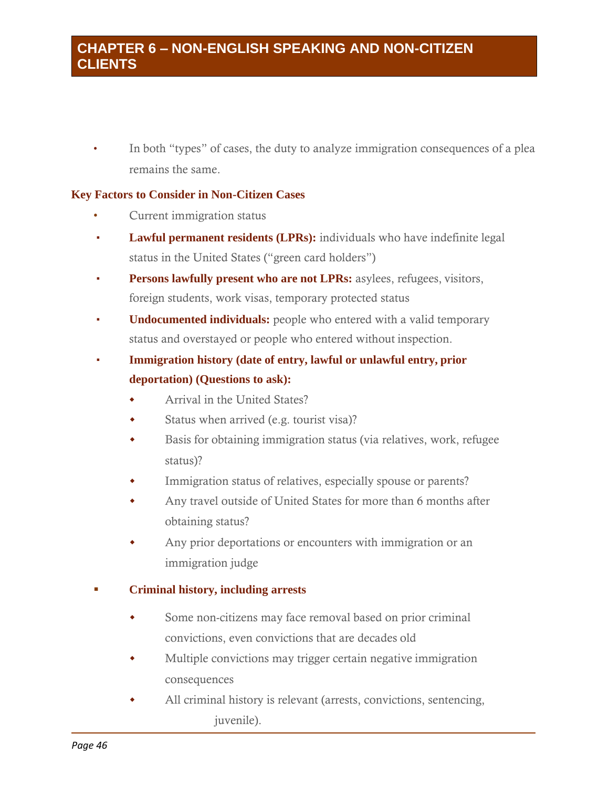### **CHAPTER 6 – NON-ENGLISH SPEAKING AND NON-CITIZEN CLIENTS**

In both "types" of cases, the duty to analyze immigration consequences of a plea remains the same.

#### **Key Factors to Consider in Non-Citizen Cases**

- Current immigration status
- **Lawful permanent residents (LPRs):** individuals who have indefinite legal status in the United States ("green card holders")
- **Persons lawfully present who are not LPRs:** asylees, refugees, visitors, foreign students, work visas, temporary protected status
- **Undocumented individuals:** people who entered with a valid temporary status and overstayed or people who entered without inspection.
- **Immigration history (date of entry, lawful or unlawful entry, prior deportation) (Questions to ask):**
	- Arrival in the United States?
	- Status when arrived (e.g. tourist visa)?
	- Basis for obtaining immigration status (via relatives, work, refugee status)?
	- Immigration status of relatives, especially spouse or parents?
	- Any travel outside of United States for more than 6 months after obtaining status?
	- Any prior deportations or encounters with immigration or an immigration judge

#### ▪ **Criminal history, including arrests**

- Some non-citizens may face removal based on prior criminal convictions, even convictions that are decades old
- Multiple convictions may trigger certain negative immigration consequences
- All criminal history is relevant (arrests, convictions, sentencing, juvenile).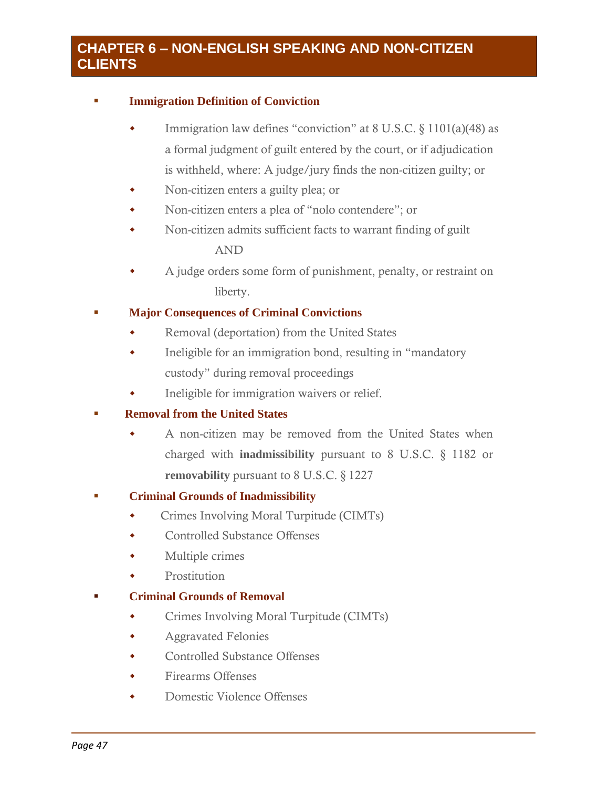### **CHAPTER 6 – NON-ENGLISH SPEAKING AND NON-CITIZEN CLIENTS**

#### ▪ **Immigration Definition of Conviction**

- Immigration law defines "conviction" at 8 U.S.C. § 1101(a)(48) as a formal judgment of guilt entered by the court, or if adjudication is withheld, where: A judge/jury finds the non-citizen guilty; or
- Non-citizen enters a guilty plea; or
- Non-citizen enters a plea of "nolo contendere"; or
- Non-citizen admits sufficient facts to warrant finding of guilt AND
- A judge orders some form of punishment, penalty, or restraint on liberty.

#### **Major Consequences of Criminal Convictions**

- Removal (deportation) from the United States
- Ineligible for an immigration bond, resulting in "mandatory custody" during removal proceedings
- Ineligible for immigration waivers or relief.

#### ▪ **Removal from the United States**

 A non-citizen may be removed from the United States when charged with **inadmissibility** pursuant to 8 U.S.C. § 1182 or **removability** pursuant to 8 U.S.C. § 1227

#### ▪ **Criminal Grounds of Inadmissibility**

- Crimes Involving Moral Turpitude (CIMTs)
- Controlled Substance Offenses
- Multiple crimes
- Prostitution

#### ▪ **Criminal Grounds of Removal**

- Crimes Involving Moral Turpitude (CIMTs)
- Aggravated Felonies
- Controlled Substance Offenses
- Firearms Offenses
- Domestic Violence Offenses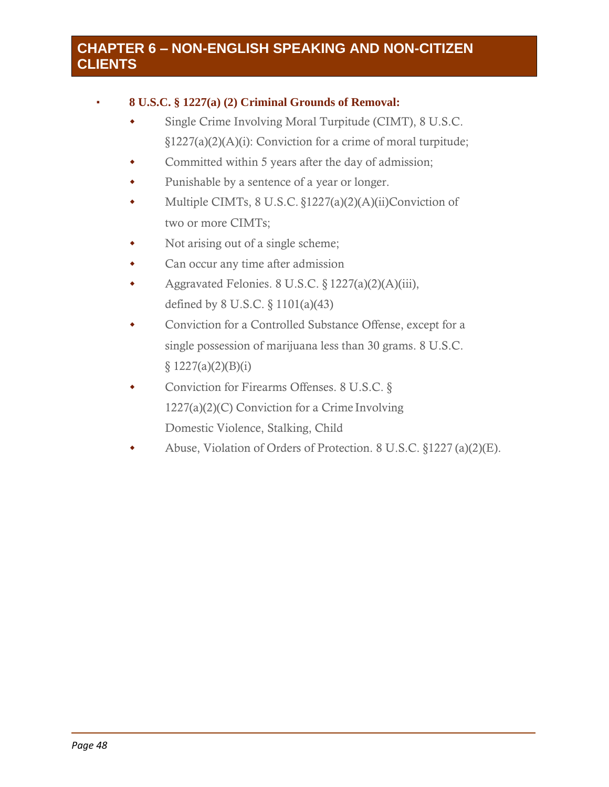### **CHAPTER 6 – NON-ENGLISH SPEAKING AND NON-CITIZEN CLIENTS**

#### ▪ **8 U.S.C. § 1227(a) (2) Criminal Grounds of Removal:**

- Single Crime Involving Moral Turpitude (CIMT), 8 U.S.C. §1227(a)(2)(A)(i): Conviction for a crime of moral turpitude;
- Committed within 5 years after the day of admission;
- Punishable by a sentence of a year or longer.
- Multiple CIMTs, 8 U.S.C. §1227(a)(2)(A)(ii)Conviction of two or more CIMTs;
- Not arising out of a single scheme;
- Can occur any time after admission
- Aggravated Felonies. 8 U.S.C. § 1227(a)(2)(A)(iii), defined by 8 U.S.C. § 1101(a)(43)
- Conviction for a Controlled Substance Offense, except for a single possession of marijuana less than 30 grams. 8 U.S.C.  $§ 1227(a)(2)(B)(i)$
- ◆ Conviction for Firearms Offenses. 8 U.S.C. § 1227(a)(2)(C) Conviction for a Crime Involving Domestic Violence, Stalking, Child
- Abuse, Violation of Orders of Protection. 8 U.S.C. §1227 (a)(2)(E).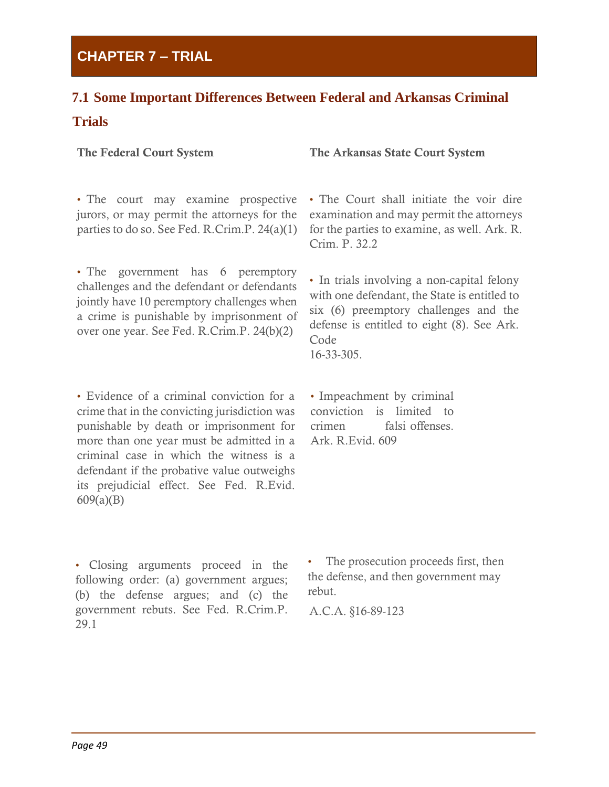### **CHAPTER 7 – TRIAL**

### **7.1 Some Important Differences Between Federal and Arkansas Criminal Trials**

The Federal Court System The Arkansas State Court System

• The court may examine prospective jurors, or may permit the attorneys for the parties to do so. See Fed. R.Crim.P. 24(a)(1)

• The government has 6 peremptory challenges and the defendant or defendants jointly have 10 peremptory challenges when a crime is punishable by imprisonment of over one year. See Fed. R.Crim.P. 24(b)(2)

• Evidence of a criminal conviction for a crime that in the convicting jurisdiction was punishable by death or imprisonment for more than one year must be admitted in a criminal case in which the witness is a defendant if the probative value outweighs its prejudicial effect. See Fed. R.Evid. 609(a)(B)

• The Court shall initiate the voir dire examination and may permit the attorneys for the parties to examine, as well. Ark. R. Crim. P. 32.2

• In trials involving a non-capital felony with one defendant, the State is entitled to six (6) preemptory challenges and the defense is entitled to eight (8). See Ark. Code 16-33-305.

• Impeachment by criminal conviction is limited to crimen falsi offenses. Ark. R.Evid. 609

• Closing arguments proceed in the following order: (a) government argues; (b) the defense argues; and (c) the government rebuts. See Fed. R.Crim.P. 29.1

The prosecution proceeds first, then the defense, and then government may rebut.

A.C.A. §16-89-123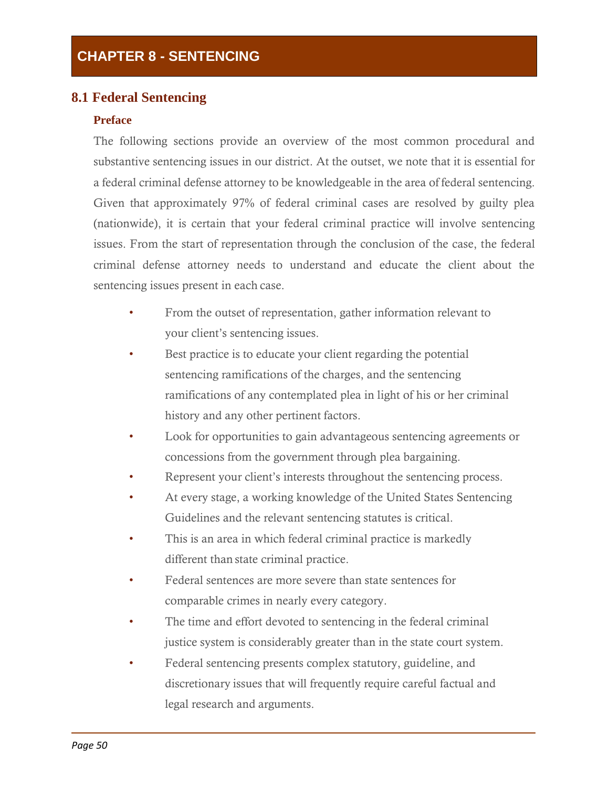#### **8.1 Federal Sentencing**

#### **Preface**

The following sections provide an overview of the most common procedural and substantive sentencing issues in our district. At the outset, we note that it is essential for a federal criminal defense attorney to be knowledgeable in the area of federal sentencing. Given that approximately 97% of federal criminal cases are resolved by guilty plea (nationwide), it is certain that your federal criminal practice will involve sentencing issues. From the start of representation through the conclusion of the case, the federal criminal defense attorney needs to understand and educate the client about the sentencing issues present in each case.

- From the outset of representation, gather information relevant to your client's sentencing issues.
- Best practice is to educate your client regarding the potential sentencing ramifications of the charges, and the sentencing ramifications of any contemplated plea in light of his or her criminal history and any other pertinent factors.
- Look for opportunities to gain advantageous sentencing agreements or concessions from the government through plea bargaining.
- Represent your client's interests throughout the sentencing process.
- At every stage, a working knowledge of the United States Sentencing Guidelines and the relevant sentencing statutes is critical.
- This is an area in which federal criminal practice is markedly different than state criminal practice.
- Federal sentences are more severe than state sentences for comparable crimes in nearly every category.
- The time and effort devoted to sentencing in the federal criminal justice system is considerably greater than in the state court system.
- Federal sentencing presents complex statutory, guideline, and discretionary issues that will frequently require careful factual and legal research and arguments.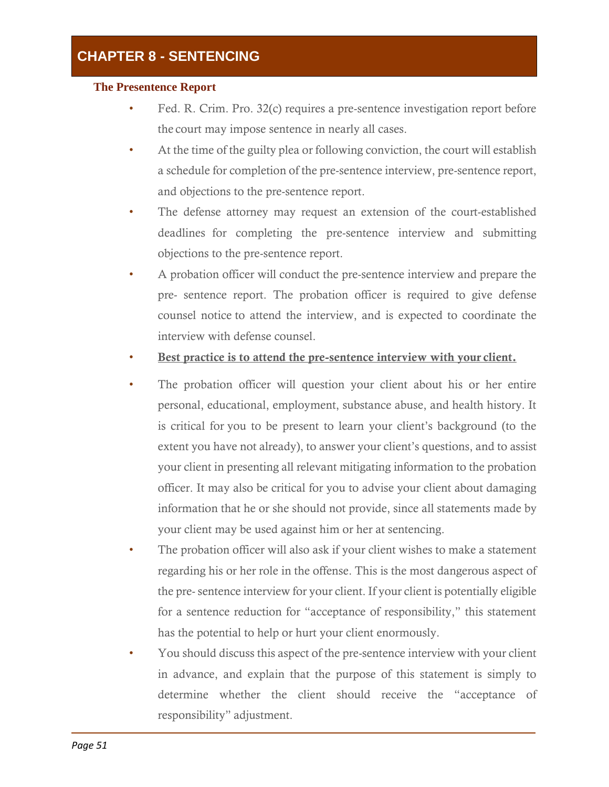#### **The Presentence Report**

- Fed. R. Crim. Pro. 32(c) requires a pre-sentence investigation report before the court may impose sentence in nearly all cases.
- At the time of the guilty plea or following conviction, the court will establish a schedule for completion of the pre-sentence interview, pre-sentence report, and objections to the pre-sentence report.
- The defense attorney may request an extension of the court-established deadlines for completing the pre-sentence interview and submitting objections to the pre-sentence report.
- A probation officer will conduct the pre-sentence interview and prepare the pre- sentence report. The probation officer is required to give defense counsel notice to attend the interview, and is expected to coordinate the interview with defense counsel.
- Best practice is to attend the pre-sentence interview with your client.
- The probation officer will question your client about his or her entire personal, educational, employment, substance abuse, and health history. It is critical for you to be present to learn your client's background (to the extent you have not already), to answer your client's questions, and to assist your client in presenting all relevant mitigating information to the probation officer. It may also be critical for you to advise your client about damaging information that he or she should not provide, since all statements made by your client may be used against him or her at sentencing.
- The probation officer will also ask if your client wishes to make a statement regarding his or her role in the offense. This is the most dangerous aspect of the pre- sentence interview for your client. If your client is potentially eligible for a sentence reduction for "acceptance of responsibility," this statement has the potential to help or hurt your client enormously.
- You should discuss this aspect of the pre-sentence interview with your client in advance, and explain that the purpose of this statement is simply to determine whether the client should receive the "acceptance of responsibility" adjustment.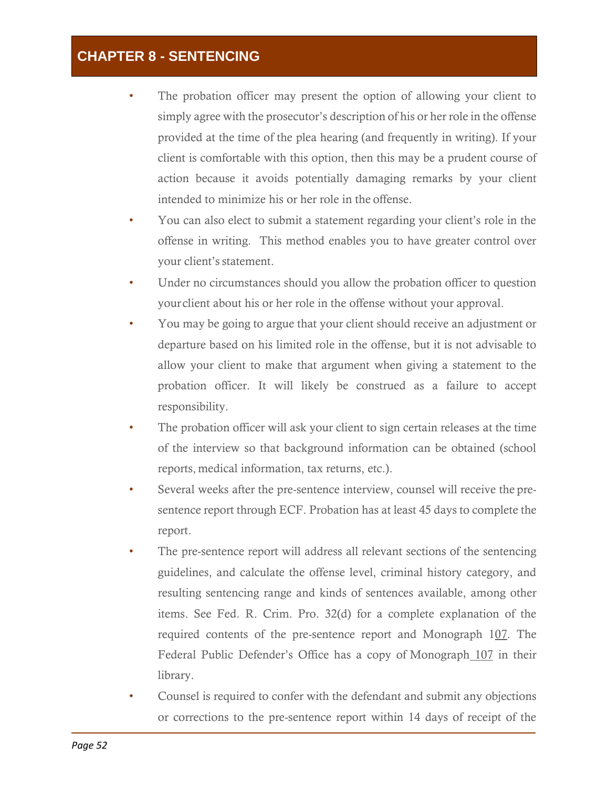- The probation officer may present the option of allowing your client to simply agree with the prosecutor's description of his or her role in the offense provided at the time of the plea hearing (and frequently in writing). If your client is comfortable with this option, then this may be a prudent course of action because it avoids potentially damaging remarks by your client intended to minimize his or her role in the offense.
- You can also elect to submit a statement regarding your client's role in the offense in writing. This method enables you to have greater control over your client's statement.
- Under no circumstances should you allow the probation officer to question yourclient about his or her role in the offense without your approval.
- You may be going to argue that your client should receive an adjustment or departure based on his limited role in the offense, but it is not advisable to allow your client to make that argument when giving a statement to the probation officer. It will likely be construed as a failure to accept responsibility.
- The probation officer will ask your client to sign certain releases at the time of the interview so that background information can be obtained (school reports, medical information, tax returns, etc.).
- Several weeks after the pre-sentence interview, counsel will receive the presentence report through ECF. Probation has at least 45 days to complete the report.
- The pre-sentence report will address all relevant sections of the sentencing guidelines, and calculate the offense level, criminal history category, and resulting sentencing range and kinds of sentences available, among other items. See Fed. R. Crim. Pro. 32(d) for a complete explanation of the required contents of the pre-sentence report and Monograph 107. The Federal Public Defender's Office has a copy of Monograph 107 in their library.
- Counsel is required to confer with the defendant and submit any objections or corrections to the pre-sentence report within 14 days of receipt of the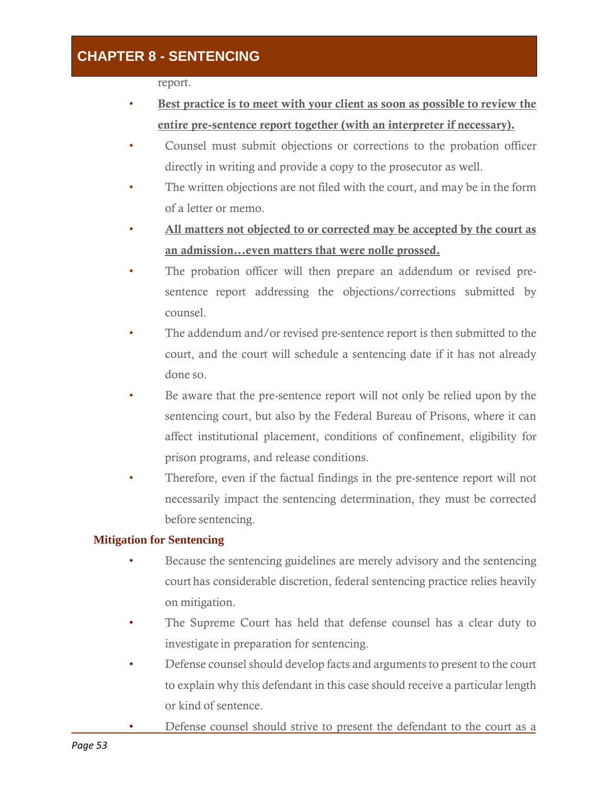report.

- Best practice is to meet with your client as soon as possible to review the entire pre-sentence report together (with an interpreter if necessary).
- Counsel must submit objections or corrections to the probation officer directly in writing and provide a copy to the prosecutor as well.
- The written objections are not filed with the court, and may be in the form of a letter or memo.
- All matters not objected to or corrected may be accepted by the court as an admission...even matters that were nolle prossed.
- The probation officer will then prepare an addendum or revised presentence report addressing the objections/corrections submitted by counsel.
- The addendum and/or revised pre-sentence report is then submitted to the court, and the court will schedule a sentencing date if it has not already done so.
- Be aware that the pre-sentence report will not only be relied upon by the sentencing court, but also by the Federal Bureau of Prisons, where it can affect institutional placement, conditions of confinement, eligibility for prison programs, and release conditions.
- Therefore, even if the factual findings in the pre-sentence report will not necessarily impact the sentencing determination, they must be corrected before sentencing.

#### **Mitigation for Sentencing**

- Because the sentencing guidelines are merely advisory and the sentencing court has considerable discretion, federal sentencing practice relies heavily on mitigation.
- The Supreme Court has held that defense counsel has a clear duty to investigate in preparation for sentencing.
- Defense counsel should develop facts and arguments to present to the court to explain why this defendant in this case should receive a particular length or kind of sentence.
- Defense counsel should strive to present the defendant to the court as a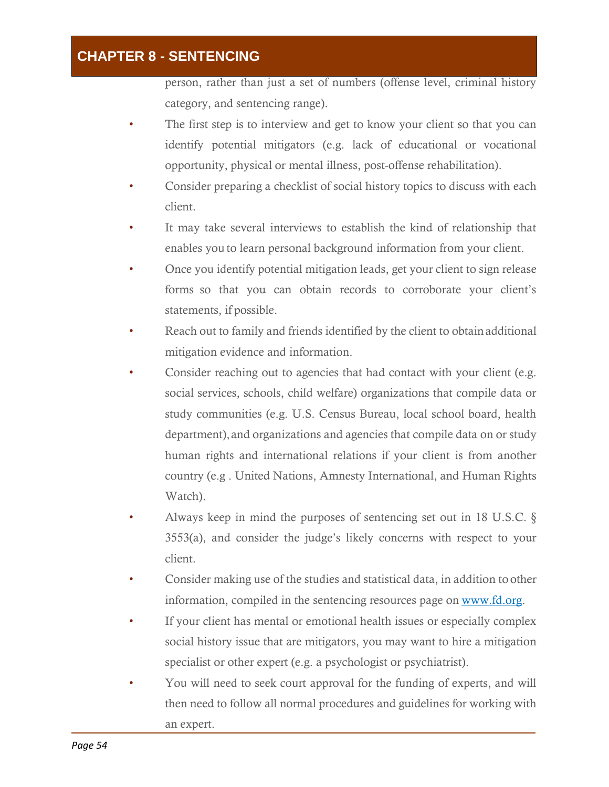person, rather than just a set of numbers (offense level, criminal history category, and sentencing range).

- The first step is to interview and get to know your client so that you can identify potential mitigators (e.g. lack of educational or vocational opportunity, physical or mental illness, post-offense rehabilitation).
- Consider preparing a checklist of social history topics to discuss with each client.
- It may take several interviews to establish the kind of relationship that enables you to learn personal background information from your client.
- Once you identify potential mitigation leads, get your client to sign release forms so that you can obtain records to corroborate your client's statements, if possible.
- Reach out to family and friends identified by the client to obtainadditional mitigation evidence and information.
- Consider reaching out to agencies that had contact with your client (e.g. social services, schools, child welfare) organizations that compile data or study communities (e.g. U.S. Census Bureau, local school board, health department), and organizations and agencies that compile data on or study human rights and international relations if your client is from another country (e.g . United Nations, Amnesty International, and Human Rights Watch).
- Always keep in mind the purposes of sentencing set out in 18 U.S.C. § 3553(a), and consider the judge's likely concerns with respect to your client.
- Consider making use of the studies and statistical data, in addition to other information, compiled in the sentencing resources page on [www.fd.org.](http://www.fd.org/)
- If your client has mental or emotional health issues or especially complex social history issue that are mitigators, you may want to hire a mitigation specialist or other expert (e.g. a psychologist or psychiatrist).
- You will need to seek court approval for the funding of experts, and will then need to follow all normal procedures and guidelines for working with an expert.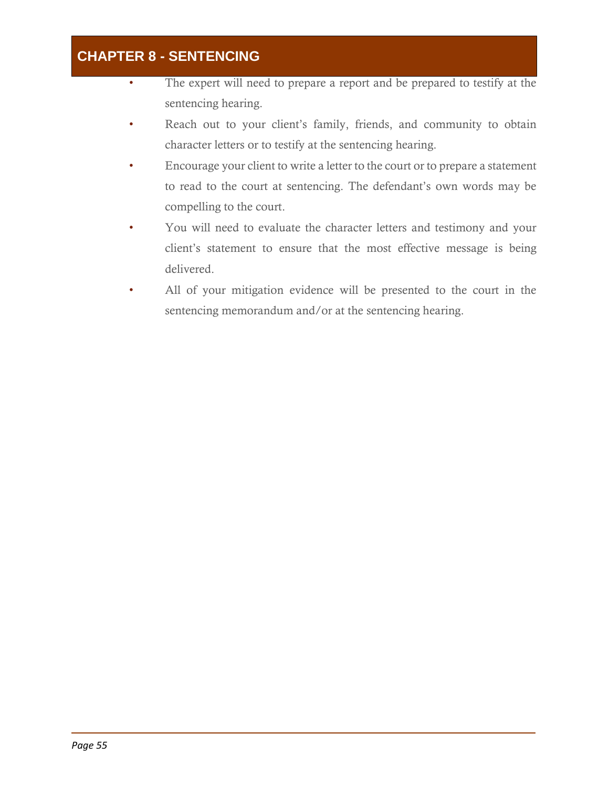- The expert will need to prepare a report and be prepared to testify at the sentencing hearing.
- Reach out to your client's family, friends, and community to obtain character letters or to testify at the sentencing hearing.
- Encourage your client to write a letter to the court or to prepare a statement to read to the court at sentencing. The defendant's own words may be compelling to the court.
- You will need to evaluate the character letters and testimony and your client's statement to ensure that the most effective message is being delivered.
- All of your mitigation evidence will be presented to the court in the sentencing memorandum and/or at the sentencing hearing.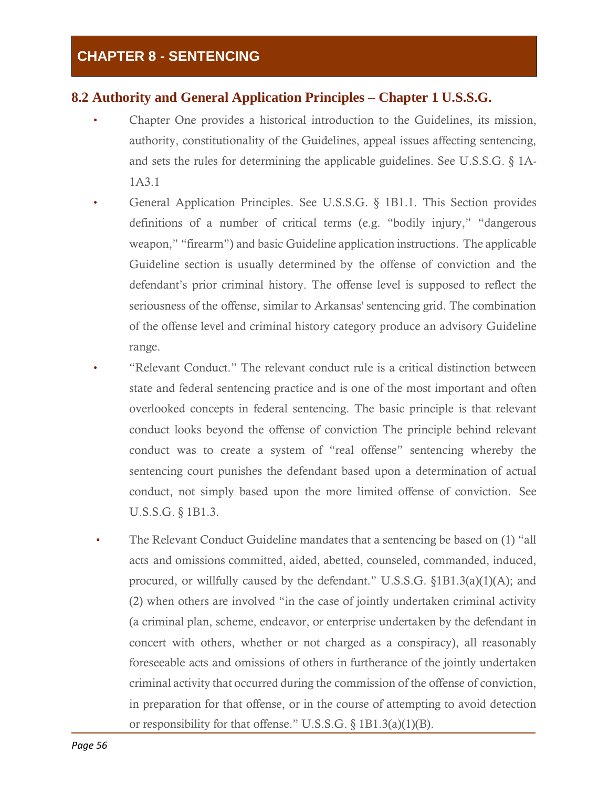### **8.2 Authority and General Application Principles – Chapter 1 U.S.S.G.**

- Chapter One provides a historical introduction to the Guidelines, its mission, authority, constitutionality of the Guidelines, appeal issues affecting sentencing, and sets the rules for determining the applicable guidelines. See U.S.S.G. § 1A-1A3.1
- General Application Principles. See U.S.S.G. § 1B1.1. This Section provides definitions of a number of critical terms (e.g. "bodily injury," "dangerous weapon," "firearm") and basic Guideline application instructions. The applicable Guideline section is usually determined by the offense of conviction and the defendant's prior criminal history. The offense level is supposed to reflect the seriousness of the offense, similar to Arkansas' sentencing grid. The combination of the offense level and criminal history category produce an advisory Guideline range.
- "Relevant Conduct." The relevant conduct rule is a critical distinction between state and federal sentencing practice and is one of the most important and often overlooked concepts in federal sentencing. The basic principle is that relevant conduct looks beyond the offense of conviction The principle behind relevant conduct was to create a system of "real offense" sentencing whereby the sentencing court punishes the defendant based upon a determination of actual conduct, not simply based upon the more limited offense of conviction. See U.S.S.G. § 1B1.3.
- The Relevant Conduct Guideline mandates that a sentencing be based on (1) "all acts and omissions committed, aided, abetted, counseled, commanded, induced, procured, or willfully caused by the defendant." U.S.S.G. §1B1.3(a)(1)(A); and (2) when others are involved "in the case of jointly undertaken criminal activity (a criminal plan, scheme, endeavor, or enterprise undertaken by the defendant in concert with others, whether or not charged as a conspiracy), all reasonably foreseeable acts and omissions of others in furtherance of the jointly undertaken criminal activity that occurred during the commission of the offense of conviction, in preparation for that offense, or in the course of attempting to avoid detection or responsibility for that offense." U.S.S.G. § 1B1.3(a)(1)(B).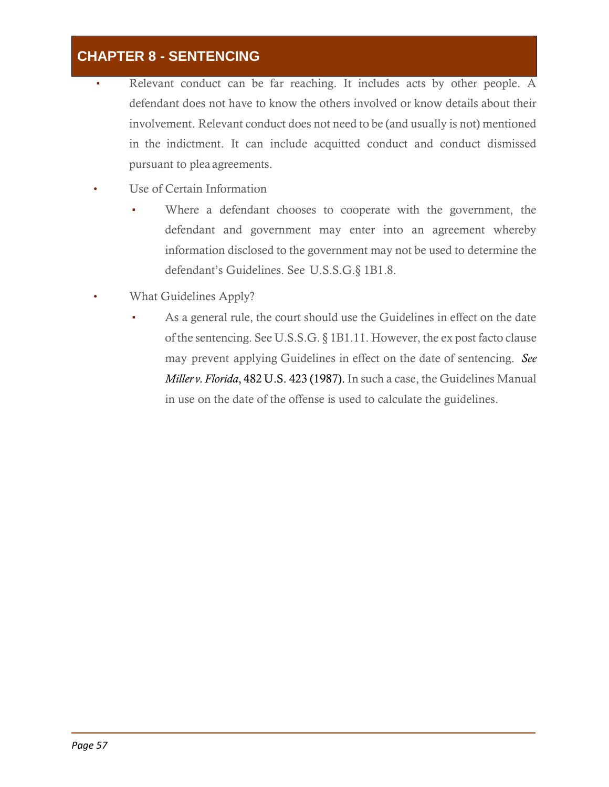- Relevant conduct can be far reaching. It includes acts by other people. A defendant does not have to know the others involved or know details about their involvement. Relevant conduct does not need to be (and usually is not) mentioned in the indictment. It can include acquitted conduct and conduct dismissed pursuant to plea agreements.
- Use of Certain Information
	- Where a defendant chooses to cooperate with the government, the defendant and government may enter into an agreement whereby information disclosed to the government may not be used to determine the defendant's Guidelines. See U.S.S.G.§ 1B1.8.
- What Guidelines Apply?
	- As a general rule, the court should use the Guidelines in effect on the date of the sentencing. See U.S.S.G. § 1B1.11. However, the ex post facto clause may prevent applying Guidelines in effect on the date of sentencing. *See Miller v.Florida*, 482 U.S. 423 (1987). In such a case, the Guidelines Manual in use on the date of the offense is used to calculate the guidelines.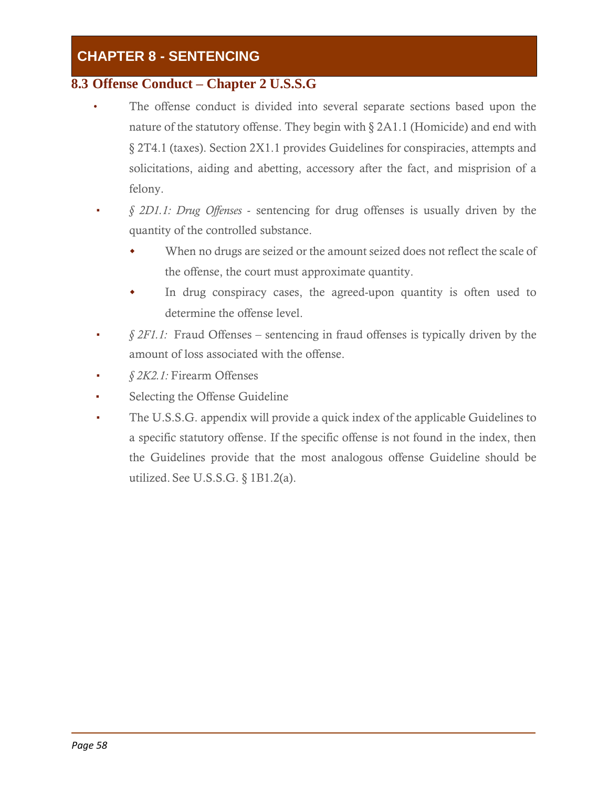#### **8.3 Offense Conduct – Chapter 2 U.S.S.G**

- The offense conduct is divided into several separate sections based upon the nature of the statutory offense. They begin with § 2A1.1 (Homicide) and end with § 2T4.1 (taxes). Section 2X1.1 provides Guidelines for conspiracies, attempts and solicitations, aiding and abetting, accessory after the fact, and misprision of a felony.
- *§ 2D1.1: Drug Offenses*  sentencing for drug offenses is usually driven by the quantity of the controlled substance.
	- When no drugs are seized or the amount seized does not reflect the scale of the offense, the court must approximate quantity.
	- In drug conspiracy cases, the agreed-upon quantity is often used to determine the offense level.
- $§$  *2F1.1:* Fraud Offenses sentencing in fraud offenses is typically driven by the amount of loss associated with the offense.
- *§ 2K2.1:* Firearm Offenses
- Selecting the Offense Guideline
- The U.S.S.G. appendix will provide a quick index of the applicable Guidelines to a specific statutory offense. If the specific offense is not found in the index, then the Guidelines provide that the most analogous offense Guideline should be utilized. See U.S.S.G. § 1B1.2(a).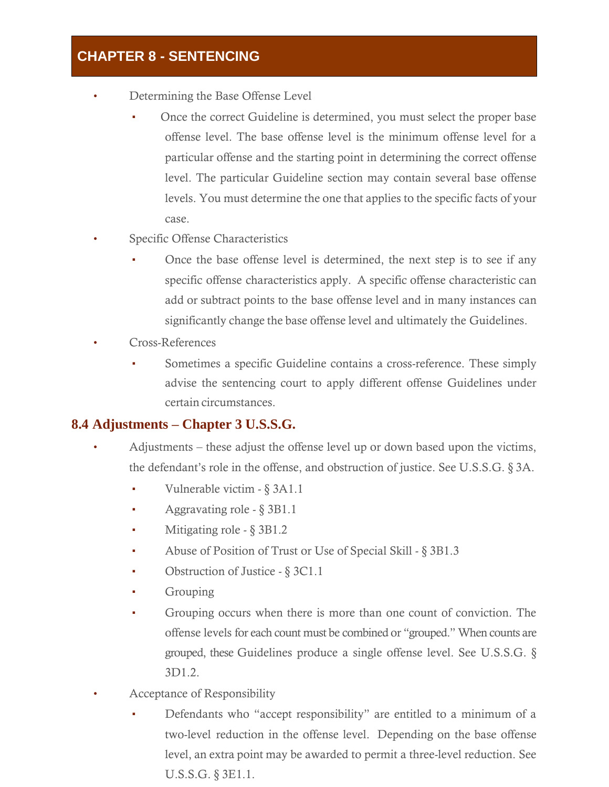- Determining the Base Offense Level
	- Once the correct Guideline is determined, you must select the proper base offense level. The base offense level is the minimum offense level for a particular offense and the starting point in determining the correct offense level. The particular Guideline section may contain several base offense levels. You must determine the one that applies to the specific facts of your case.
- Specific Offense Characteristics
	- Once the base offense level is determined, the next step is to see if any specific offense characteristics apply. A specific offense characteristic can add or subtract points to the base offense level and in many instances can significantly change the base offense level and ultimately the Guidelines.
- Cross-References
	- Sometimes a specific Guideline contains a cross-reference. These simply advise the sentencing court to apply different offense Guidelines under certain circumstances.

#### **8.4 Adjustments – Chapter 3 U.S.S.G.**

- Adjustments these adjust the offense level up or down based upon the victims, the defendant's role in the offense, and obstruction of justice. See U.S.S.G. § 3A.
	- Vulnerable victim § 3A1.1
	- Aggravating role § 3B1.1
	- Mitigating role § 3B1.2
	- Abuse of Position of Trust or Use of Special Skill § 3B1.3
	- Obstruction of Justice § 3C1.1
	- **Grouping**
	- Grouping occurs when there is more than one count of conviction. The offense levels for each count must be combined or "grouped." When counts are grouped, these Guidelines produce a single offense level. See U.S.S.G. § 3D1.2.
- Acceptance of Responsibility
	- Defendants who "accept responsibility" are entitled to a minimum of a two-level reduction in the offense level. Depending on the base offense level, an extra point may be awarded to permit a three-level reduction. See U.S.S.G. § 3E1.1.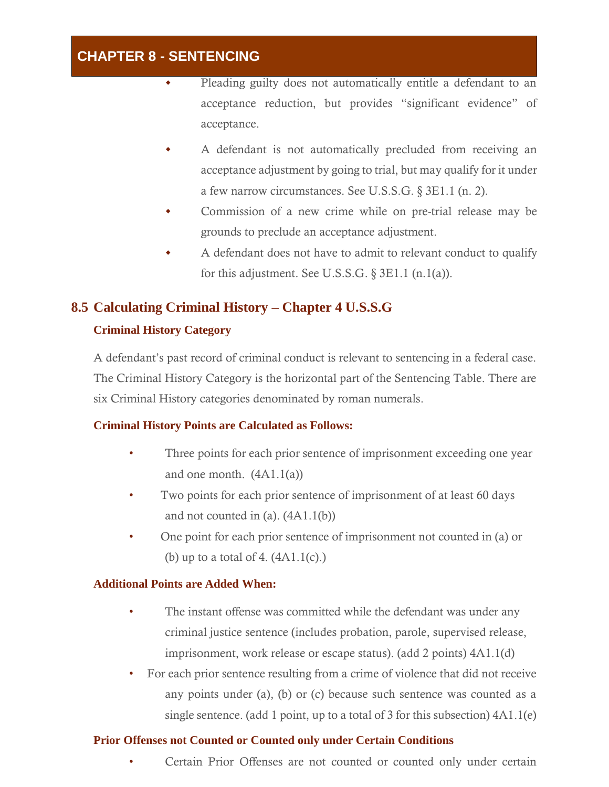- Pleading guilty does not automatically entitle a defendant to an acceptance reduction, but provides "significant evidence" of acceptance.
- A defendant is not automatically precluded from receiving an acceptance adjustment by going to trial, but may qualify for it under a few narrow circumstances. See U.S.S.G. § 3E1.1 (n. 2).
- Commission of a new crime while on pre-trial release may be grounds to preclude an acceptance adjustment.
- A defendant does not have to admit to relevant conduct to qualify for this adjustment. See U.S.S.G.  $\S 3E1.1$  (n.1(a)).

# **8.5 Calculating Criminal History – Chapter 4 U.S.S.G**

#### **Criminal History Category**

A defendant's past record of criminal conduct is relevant to sentencing in a federal case. The Criminal History Category is the horizontal part of the Sentencing Table. There are six Criminal History categories denominated by roman numerals.

#### **Criminal History Points are Calculated as Follows:**

- Three points for each prior sentence of imprisonment exceeding one year and one month.  $(4A1.1(a))$
- Two points for each prior sentence of imprisonment of at least 60 days and not counted in (a).  $(4A1.1(b))$
- One point for each prior sentence of imprisonment not counted in (a) or (b) up to a total of 4.  $(4A1.1(c))$ .

#### **Additional Points are Added When:**

- The instant offense was committed while the defendant was under any criminal justice sentence (includes probation, parole, supervised release, imprisonment, work release or escape status). (add 2 points) 4A1.1(d)
- For each prior sentence resulting from a crime of violence that did not receive any points under (a), (b) or (c) because such sentence was counted as a single sentence. (add 1 point, up to a total of 3 for this subsection) 4A1.1(e)

#### **Prior Offenses not Counted or Counted only under Certain Conditions**

• Certain Prior Offenses are not counted or counted only under certain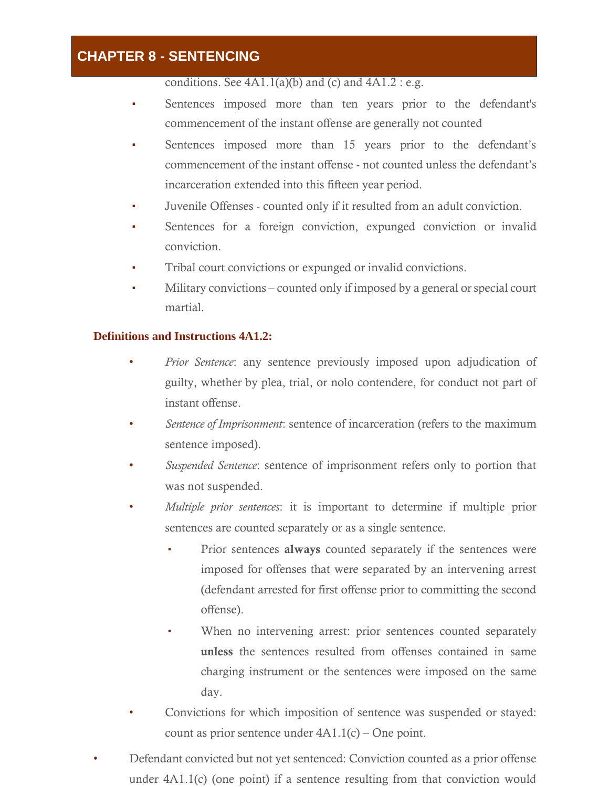conditions. See  $4A1.1(a)(b)$  and  $(c)$  and  $4A1.2 : e.g.$ 

- Sentences imposed more than ten years prior to the defendant's commencement of the instant offense are generally not counted
- Sentences imposed more than 15 years prior to the defendant's commencement of the instant offense - not counted unless the defendant's incarceration extended into this fifteen year period.
- Juvenile Offenses counted only if it resulted from an adult conviction.
- Sentences for a foreign conviction, expunged conviction or invalid conviction.
- Tribal court convictions or expunged or invalid convictions.
- Military convictions counted only if imposed by a general or special court martial.

#### **Definitions and Instructions 4A1.2:**

- *Prior Sentence*: any sentence previously imposed upon adjudication of guilty, whether by plea, trial, or nolo contendere, for conduct not part of instant offense.
- *Sentence of Imprisonment*: sentence of incarceration (refers to the maximum sentence imposed).
- *Suspended Sentence*: sentence of imprisonment refers only to portion that was not suspended.
- *Multiple prior sentences*: it is important to determine if multiple prior sentences are counted separately or as a single sentence.
	- Prior sentences always counted separately if the sentences were imposed for offenses that were separated by an intervening arrest (defendant arrested for first offense prior to committing the second offense).
	- When no intervening arrest: prior sentences counted separately unless the sentences resulted from offenses contained in same charging instrument or the sentences were imposed on the same day.
- Convictions for which imposition of sentence was suspended or stayed: count as prior sentence under 4A1.1(c) – One point.
- Defendant convicted but not yet sentenced: Conviction counted as a prior offense under 4A1.1(c) (one point) if a sentence resulting from that conviction would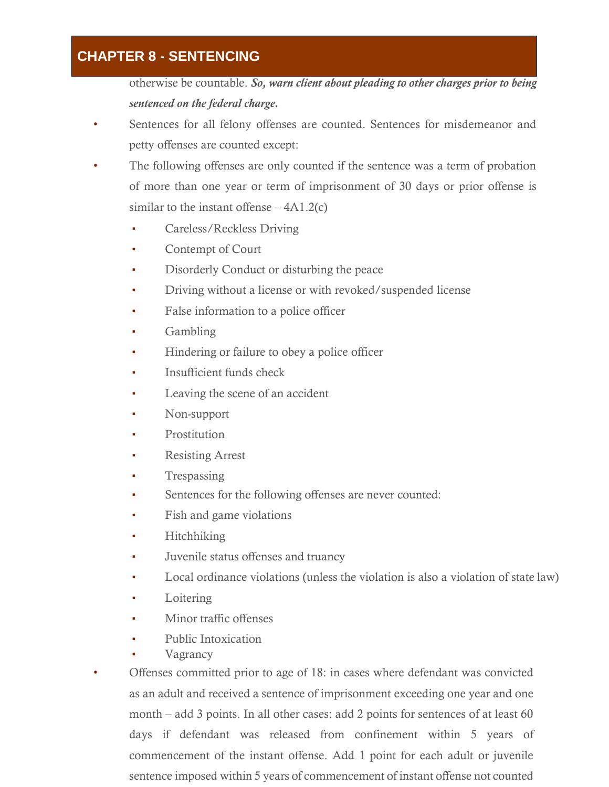otherwise be countable. *So, warn client about pleading to other charges prior to being sentenced on the federal charge.*

- Sentences for all felony offenses are counted. Sentences for misdemeanor and petty offenses are counted except:
- The following offenses are only counted if the sentence was a term of probation of more than one year or term of imprisonment of 30 days or prior offense is similar to the instant offense  $-4A1.2(c)$ 
	- Careless/Reckless Driving
	- Contempt of Court
	- Disorderly Conduct or disturbing the peace
	- **•** Driving without a license or with revoked/suspended license
	- False information to a police officer
	- Gambling
	- Hindering or failure to obey a police officer
	- Insufficient funds check
	- Leaving the scene of an accident
	- Non-support
	- Prostitution
	- **Resisting Arrest**
	- **Trespassing**
	- Sentences for the following offenses are never counted:
	- Fish and game violations
	- **Hitchhiking**
	- Juvenile status offenses and truancy
	- Local ordinance violations (unless the violation is also a violation of state law)
	- Loitering
	- Minor traffic offenses
	- Public Intoxication
	- **Vagrancy**
- Offenses committed prior to age of 18: in cases where defendant was convicted as an adult and received a sentence of imprisonment exceeding one year and one month – add 3 points. In all other cases: add 2 points for sentences of at least 60 days if defendant was released from confinement within 5 years of commencement of the instant offense. Add 1 point for each adult or juvenile sentence imposed within 5 years of commencement of instant offense not counted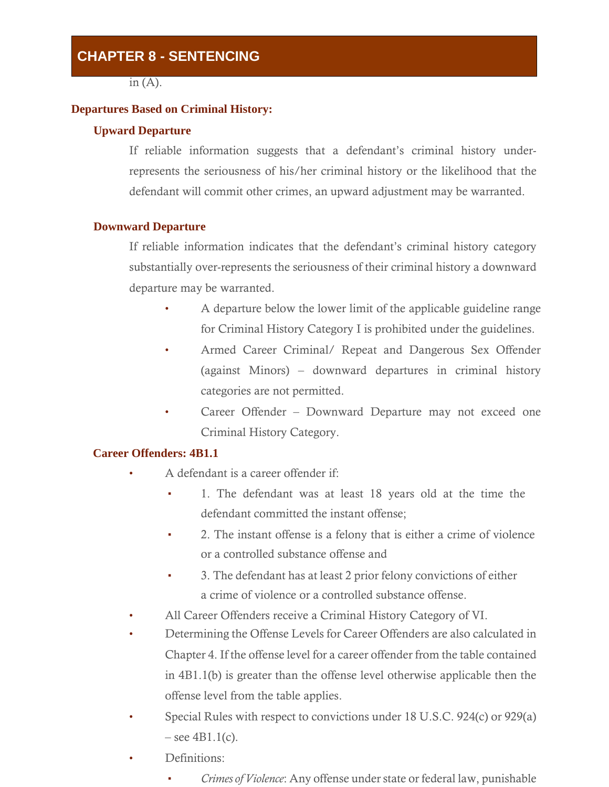in  $(A)$ .

#### **Departures Based on Criminal History:**

#### **Upward Departure**

If reliable information suggests that a defendant's criminal history underrepresents the seriousness of his/her criminal history or the likelihood that the defendant will commit other crimes, an upward adjustment may be warranted.

#### **Downward Departure**

If reliable information indicates that the defendant's criminal history category substantially over-represents the seriousness of their criminal history a downward departure may be warranted.

- A departure below the lower limit of the applicable guideline range for Criminal History Category I is prohibited under the guidelines.
- Armed Career Criminal/ Repeat and Dangerous Sex Offender (against Minors) – downward departures in criminal history categories are not permitted.
- Career Offender Downward Departure may not exceed one Criminal History Category.

#### **Career Offenders: 4B1.1**

- A defendant is a career offender if:
	- 1. The defendant was at least 18 years old at the time the defendant committed the instant offense;
	- 2. The instant offense is a felony that is either a crime of violence or a controlled substance offense and
	- **•** 3. The defendant has at least 2 prior felony convictions of either a crime of violence or a controlled substance offense.
- All Career Offenders receive a Criminal History Category of VI.
- Determining the Offense Levels for Career Offenders are also calculated in Chapter 4. If the offense level for a career offender from the table contained in 4B1.1(b) is greater than the offense level otherwise applicable then the offense level from the table applies.
- Special Rules with respect to convictions under 18 U.S.C. 924(c) or 929(a)  $-$  see 4B1.1(c).
- Definitions:
	- *Crimes of Violence*: Any offense under state or federal law, punishable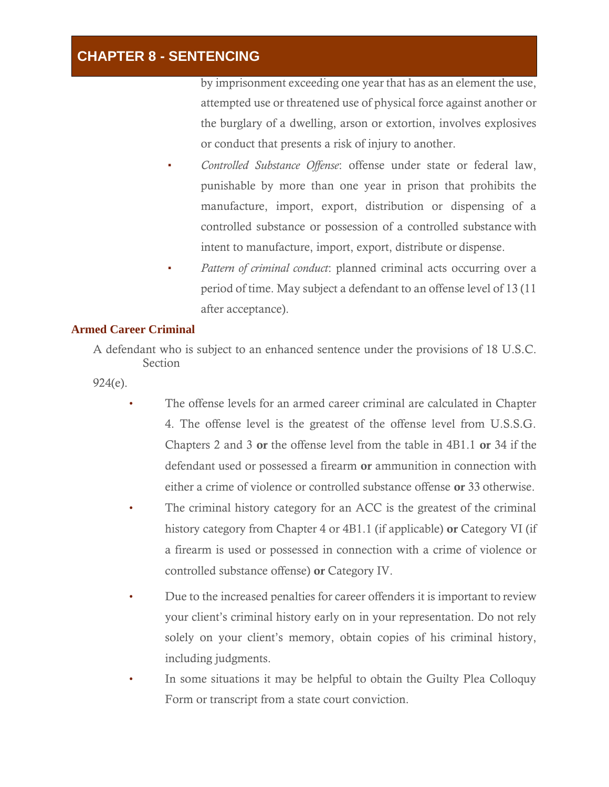by imprisonment exceeding one year that has as an element the use, attempted use or threatened use of physical force against another or the burglary of a dwelling, arson or extortion, involves explosives or conduct that presents a risk of injury to another.

- *Controlled Substance Offense*: offense under state or federal law, punishable by more than one year in prison that prohibits the manufacture, import, export, distribution or dispensing of a controlled substance or possession of a controlled substance with intent to manufacture, import, export, distribute or dispense.
- *Pattern of criminal conduct*: planned criminal acts occurring over a period of time. May subject a defendant to an offense level of 13 (11 after acceptance).

#### **Armed Career Criminal**

A defendant who is subject to an enhanced sentence under the provisions of 18 U.S.C. Section

924(e).

- The offense levels for an armed career criminal are calculated in Chapter 4. The offense level is the greatest of the offense level from U.S.S.G. Chapters 2 and 3 or the offense level from the table in 4B1.1 or 34 if the defendant used or possessed a firearm or ammunition in connection with either a crime of violence or controlled substance offense or 33 otherwise.
- The criminal history category for an ACC is the greatest of the criminal history category from Chapter 4 or 4B1.1 (if applicable) or Category VI (if a firearm is used or possessed in connection with a crime of violence or controlled substance offense) or Category IV.
- Due to the increased penalties for career offenders it is important to review your client's criminal history early on in your representation. Do not rely solely on your client's memory, obtain copies of his criminal history, including judgments.
- In some situations it may be helpful to obtain the Guilty Plea Colloquy Form or transcript from a state court conviction.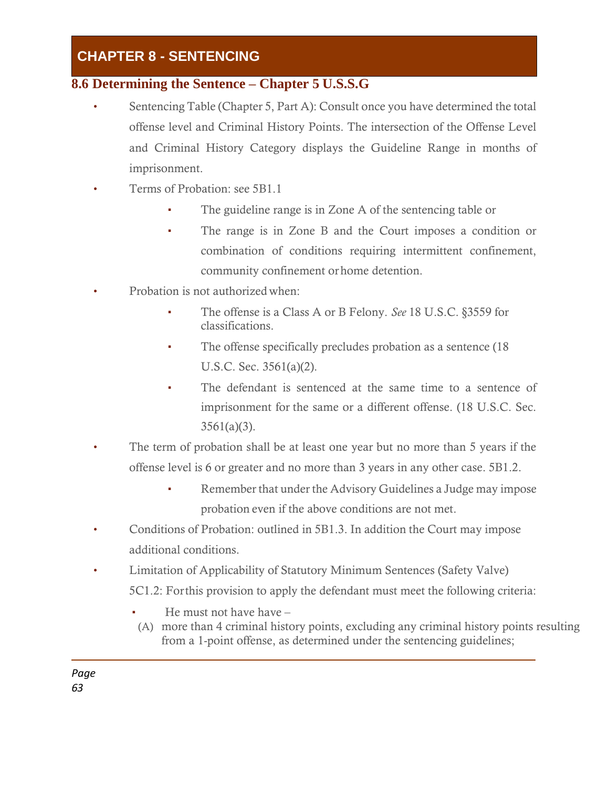### **8.6 Determining the Sentence – Chapter 5 U.S.S.G**

- Sentencing Table (Chapter 5, Part A): Consult once you have determined the total offense level and Criminal History Points. The intersection of the Offense Level and Criminal History Category displays the Guideline Range in months of imprisonment.
- Terms of Probation: see 5B1.1
	- The guideline range is in Zone A of the sentencing table or
	- The range is in Zone B and the Court imposes a condition or combination of conditions requiring intermittent confinement, community confinement orhome detention.
- Probation is not authorized when:
	- The offense is a Class A or B Felony. *See* 18 U.S.C. §3559 for classifications.
	- The offense specifically precludes probation as a sentence (18) U.S.C. Sec. 3561(a)(2).
	- The defendant is sentenced at the same time to a sentence of imprisonment for the same or a different offense. (18 U.S.C. Sec.  $3561(a)(3)$ .
- The term of probation shall be at least one year but no more than 5 years if the offense level is 6 or greater and no more than 3 years in any other case. 5B1.2.
	- Remember that under the Advisory Guidelines a Judge may impose probation even if the above conditions are not met.
- Conditions of Probation: outlined in 5B1.3. In addition the Court may impose additional conditions.
- Limitation of Applicability of Statutory Minimum Sentences (Safety Valve) 5C1.2: Forthis provision to apply the defendant must meet the following criteria:
	- He must not have have  $-$
	- (A) more than 4 criminal history points, excluding any criminal history points resulting from a 1-point offense, as determined under the sentencing guidelines;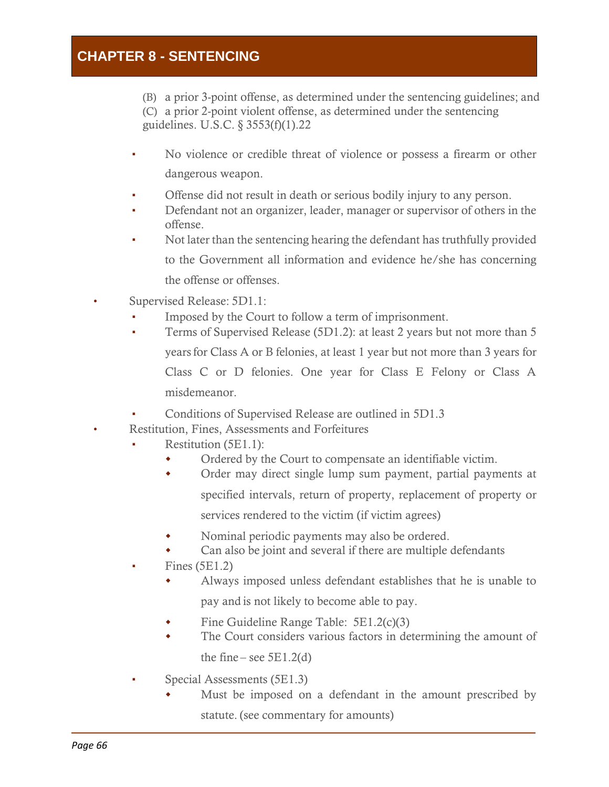(B) a prior 3-point offense, as determined under the sentencing guidelines; and (C) a prior 2-point violent offense, as determined under the sentencing guidelines. U.S.C. § 3553(f)(1).22

- No violence or credible threat of violence or possess a firearm or other dangerous weapon.
- Offense did not result in death or serious bodily injury to any person.
- Defendant not an organizer, leader, manager or supervisor of others in the offense.
- Not later than the sentencing hearing the defendant has truthfully provided to the Government all information and evidence he/she has concerning the offense or offenses.
- Supervised Release: 5D1.1:
	- Imposed by the Court to follow a term of imprisonment.
	- **•** Terms of Supervised Release (5D1.2): at least 2 years but not more than 5 yearsfor Class A or B felonies, at least 1 year but not more than 3 years for Class C or D felonies. One year for Class E Felony or Class A misdemeanor.
	- Conditions of Supervised Release are outlined in 5D1.3
- Restitution, Fines, Assessments and Forfeitures
	- Restitution  $(5E1.1)$ :
		- Ordered by the Court to compensate an identifiable victim.
		- Order may direct single lump sum payment, partial payments at specified intervals, return of property, replacement of property or services rendered to the victim (if victim agrees)
		- Nominal periodic payments may also be ordered.
		- Can also be joint and several if there are multiple defendants
	- Fines  $(5E1.2)$ 
		- Always imposed unless defendant establishes that he is unable to pay and is not likely to become able to pay.
		- Fine Guideline Range Table: 5E1.2(c)(3)
		- The Court considers various factors in determining the amount of

the fine – see  $5E1.2(d)$ 

- Special Assessments (5E1.3)
	- Must be imposed on a defendant in the amount prescribed by statute. (see commentary for amounts)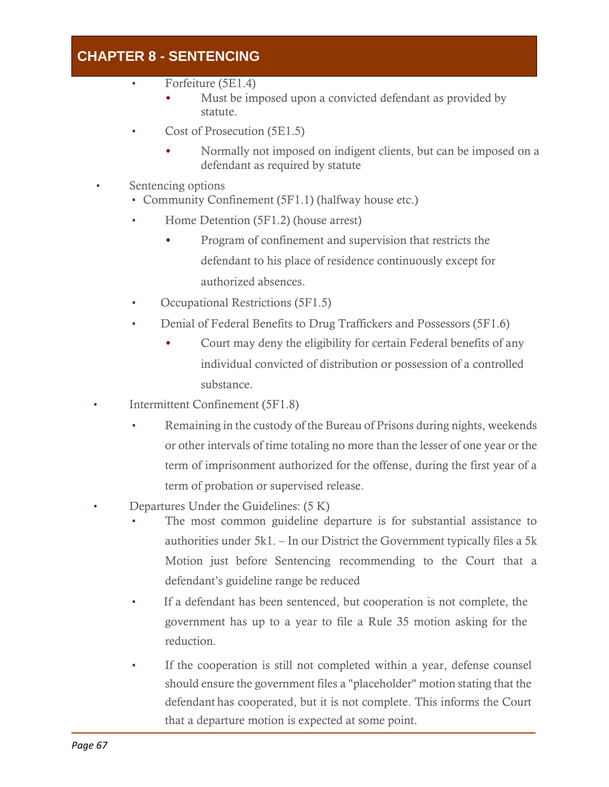- Forfeiture (5E1.4)
	- Must be imposed upon a convicted defendant as provided by statute.
- Cost of Prosecution (5E1.5)
	- Normally not imposed on indigent clients, but can be imposed on a defendant as required by statute
- Sentencing options
	- Community Confinement (5F1.1) (halfway house etc.)
	- Home Detention (5F1.2) (house arrest)
		- Program of confinement and supervision that restricts the defendant to his place of residence continuously except for authorized absences.
	- Occupational Restrictions (5F1.5)
	- Denial of Federal Benefits to Drug Traffickers and Possessors (5F1.6)
		- Court may deny the eligibility for certain Federal benefits of any individual convicted of distribution or possession of a controlled substance.
- Intermittent Confinement (5F1.8)
	- Remaining in the custody of the Bureau of Prisons during nights, weekends or other intervals of time totaling no more than the lesser of one year or the term of imprisonment authorized for the offense, during the first year of a term of probation or supervised release.
- Departures Under the Guidelines: (5 K)
	- The most common guideline departure is for substantial assistance to authorities under 5k1. – In our District the Government typically files a 5k Motion just before Sentencing recommending to the Court that a defendant's guideline range be reduced
	- If a defendant has been sentenced, but cooperation is not complete, the government has up to a year to file a Rule 35 motion asking for the reduction.
	- If the cooperation is still not completed within a year, defense counsel should ensure the government files a "placeholder" motion stating that the defendant has cooperated, but it is not complete. This informs the Court that a departure motion is expected at some point.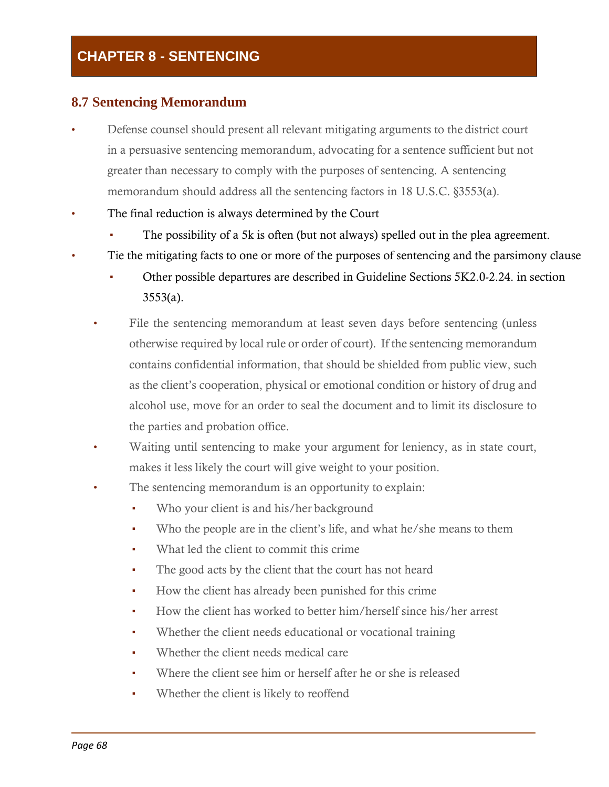# **CHAPTER 8 - SENTENCING**

## **8.7 Sentencing Memorandum**

- Defense counsel should present all relevant mitigating arguments to the district court in a persuasive sentencing memorandum, advocating for a sentence sufficient but not greater than necessary to comply with the purposes of sentencing. A sentencing memorandum should address all the sentencing factors in 18 U.S.C. §3553(a).
- The final reduction is always determined by the Court
	- The possibility of a 5k is often (but not always) spelled out in the plea agreement.
- Tie the mitigating facts to one or more of the purposes of sentencing and the parsimony clause
	- Other possible departures are described in Guideline Sections 5K2.0-2.24. in section  $3553(a)$ .
	- File the sentencing memorandum at least seven days before sentencing (unless otherwise required by local rule or order of court). If the sentencing memorandum contains confidential information, that should be shielded from public view, such as the client's cooperation, physical or emotional condition or history of drug and alcohol use, move for an order to seal the document and to limit its disclosure to the parties and probation office.
	- Waiting until sentencing to make your argument for leniency, as in state court, makes it less likely the court will give weight to your position.
	- The sentencing memorandum is an opportunity to explain:
		- Who your client is and his/her background
		- Who the people are in the client's life, and what he/she means to them
		- What led the client to commit this crime
		- The good acts by the client that the court has not heard
		- How the client has already been punished for this crime
		- How the client has worked to better him/herself since his/her arrest
		- Whether the client needs educational or vocational training
		- Whether the client needs medical care
		- Where the client see him or herself after he or she is released
		- Whether the client is likely to reoffend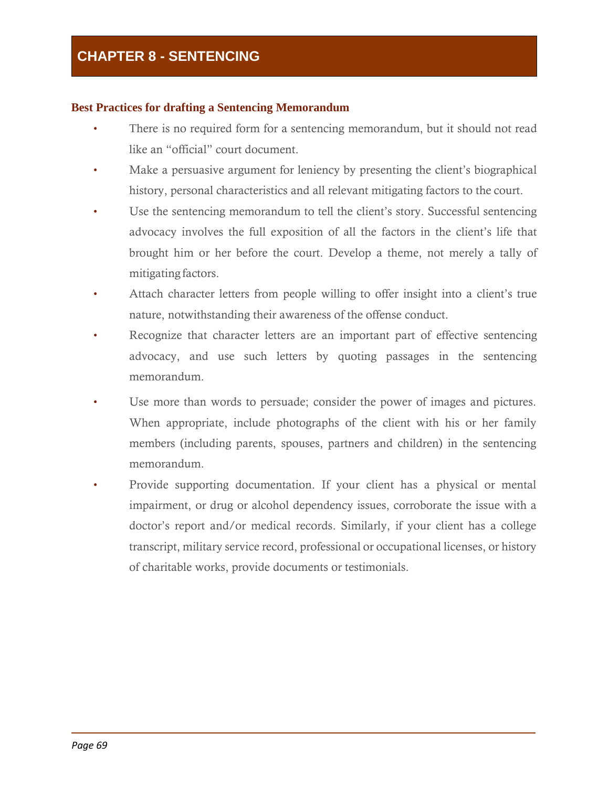## **Best Practices for drafting a Sentencing Memorandum**

- There is no required form for a sentencing memorandum, but it should not read like an "official" court document.
- Make a persuasive argument for leniency by presenting the client's biographical history, personal characteristics and all relevant mitigating factors to the court.
- Use the sentencing memorandum to tell the client's story. Successful sentencing advocacy involves the full exposition of all the factors in the client's life that brought him or her before the court. Develop a theme, not merely a tally of mitigating factors.
- Attach character letters from people willing to offer insight into a client's true nature, notwithstanding their awareness of the offense conduct.
- Recognize that character letters are an important part of effective sentencing advocacy, and use such letters by quoting passages in the sentencing memorandum.
- Use more than words to persuade; consider the power of images and pictures. When appropriate, include photographs of the client with his or her family members (including parents, spouses, partners and children) in the sentencing memorandum.
- Provide supporting documentation. If your client has a physical or mental impairment, or drug or alcohol dependency issues, corroborate the issue with a doctor's report and/or medical records. Similarly, if your client has a college transcript, military service record, professional or occupational licenses, or history of charitable works, provide documents or testimonials.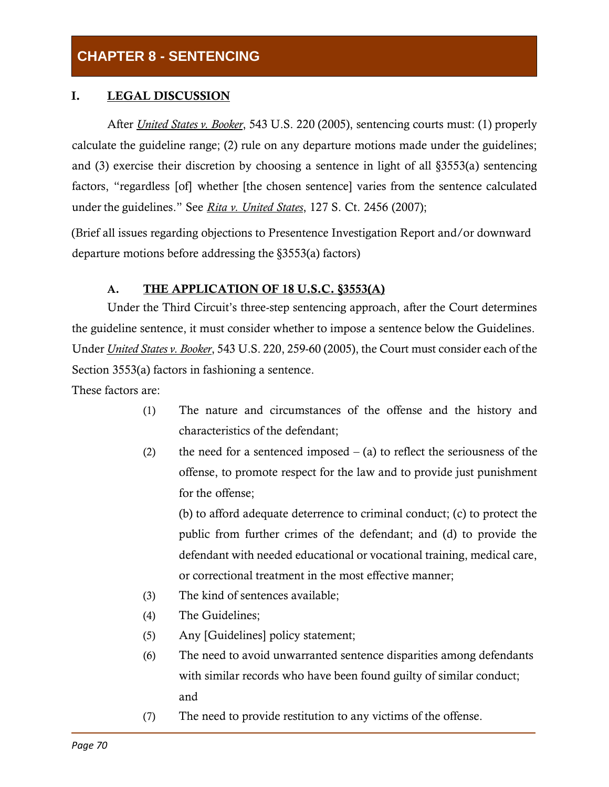# **CHAPTER 8 - SENTENCING**

## I. LEGAL DISCUSSION

After *United States v. Booker*, 543 U.S. 220 (2005), sentencing courts must: (1) properly calculate the guideline range; (2) rule on any departure motions made under the guidelines; and (3) exercise their discretion by choosing a sentence in light of all §3553(a) sentencing factors, "regardless [of] whether [the chosen sentence] varies from the sentence calculated under the guidelines." See *Rita v. United States*, 127 S. Ct. 2456 (2007);

(Brief all issues regarding objections to Presentence Investigation Report and/or downward departure motions before addressing the §3553(a) factors)

## A. THE APPLICATION OF 18 U.S.C. §3553(A)

Under the Third Circuit's three-step sentencing approach, after the Court determines the guideline sentence, it must consider whether to impose a sentence below the Guidelines. Under *United States v. Booker*, 543 U.S. 220, 259-60 (2005), the Court must consider each of the Section 3553(a) factors in fashioning a sentence.

These factors are:

- (1) The nature and circumstances of the offense and the history and characteristics of the defendant;
- (2) the need for a sentenced imposed  $-$  (a) to reflect the seriousness of the offense, to promote respect for the law and to provide just punishment for the offense;

(b) to afford adequate deterrence to criminal conduct; (c) to protect the public from further crimes of the defendant; and (d) to provide the defendant with needed educational or vocational training, medical care, or correctional treatment in the most effective manner;

- (3) The kind of sentences available;
- (4) The Guidelines;
- (5) Any [Guidelines] policy statement;
- (6) The need to avoid unwarranted sentence disparities among defendants with similar records who have been found guilty of similar conduct; and
- (7) The need to provide restitution to any victims of the offense.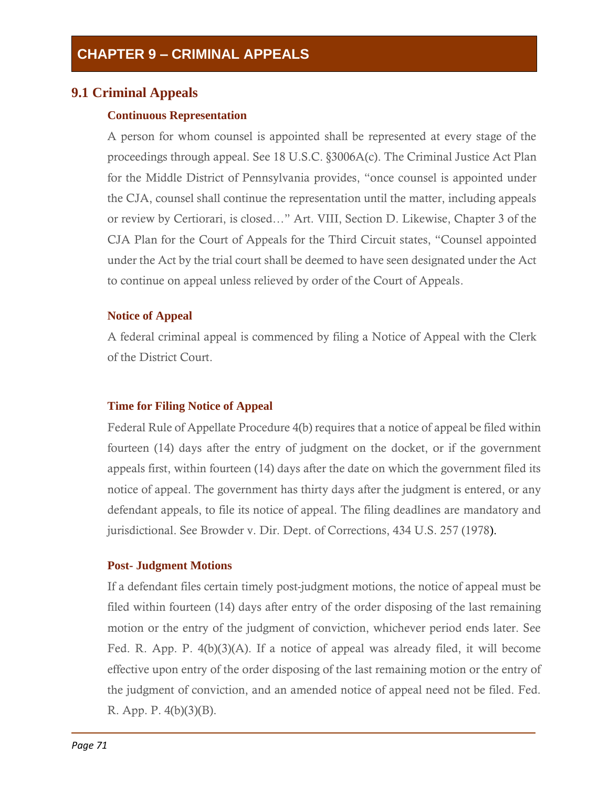## **9.1 Criminal Appeals**

## **Continuous Representation**

A person for whom counsel is appointed shall be represented at every stage of the proceedings through appeal. See 18 U.S.C. §3006A(c). The Criminal Justice Act Plan for the Middle District of Pennsylvania provides, "once counsel is appointed under the CJA, counsel shall continue the representation until the matter, including appeals or review by Certiorari, is closed…" Art. VIII, Section D. Likewise, Chapter 3 of the CJA Plan for the Court of Appeals for the Third Circuit states, "Counsel appointed under the Act by the trial court shall be deemed to have seen designated under the Act to continue on appeal unless relieved by order of the Court of Appeals.

## **Notice of Appeal**

A federal criminal appeal is commenced by filing a Notice of Appeal with the Clerk of the District Court.

## **Time for Filing Notice of Appeal**

Federal Rule of Appellate Procedure 4(b) requires that a notice of appeal be filed within fourteen (14) days after the entry of judgment on the docket, or if the government appeals first, within fourteen (14) days after the date on which the government filed its notice of appeal. The government has thirty days after the judgment is entered, or any defendant appeals, to file its notice of appeal. The filing deadlines are mandatory and jurisdictional. See Browder v. Dir. Dept. of Corrections, 434 U.S. 257 (1978).

## **Post- Judgment Motions**

If a defendant files certain timely post-judgment motions, the notice of appeal must be filed within fourteen (14) days after entry of the order disposing of the last remaining motion or the entry of the judgment of conviction, whichever period ends later. See Fed. R. App. P. 4(b)(3)(A). If a notice of appeal was already filed, it will become effective upon entry of the order disposing of the last remaining motion or the entry of the judgment of conviction, and an amended notice of appeal need not be filed. Fed. R. App. P. 4(b)(3)(B).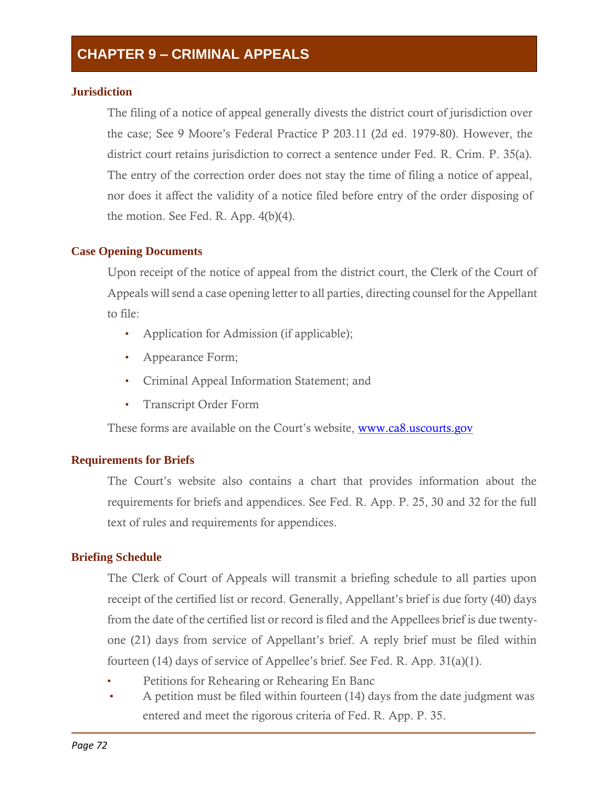# **CHAPTER 9 – CRIMINAL APPEALS**

### **Jurisdiction**

The filing of a notice of appeal generally divests the district court of jurisdiction over the case; See 9 Moore's Federal Practice P 203.11 (2d ed. 1979-80). However, the district court retains jurisdiction to correct a sentence under Fed. R. Crim. P. 35(a). The entry of the correction order does not stay the time of filing a notice of appeal, nor does it affect the validity of a notice filed before entry of the order disposing of the motion. See Fed. R. App. 4(b)(4).

### **Case Opening Documents**

Upon receipt of the notice of appeal from the district court, the Clerk of the Court of Appeals will send a case opening letter to all parties, directing counsel for the Appellant to file:

- Application for Admission (if applicable);
- Appearance Form;
- Criminal Appeal Information Statement; and
- Transcript Order Form

These forms are available on the Court's website, [www.ca8.uscourts.gov](http://www.ca8.uscourts.gov/)

### **Requirements for Briefs**

The Court's website also contains a chart that provides information about the requirements for briefs and appendices. See Fed. R. App. P. 25, 30 and 32 for the full text of rules and requirements for appendices.

### **Briefing Schedule**

The Clerk of Court of Appeals will transmit a briefing schedule to all parties upon receipt of the certified list or record. Generally, Appellant's brief is due forty (40) days from the date of the certified list or record is filed and the Appellees brief is due twentyone (21) days from service of Appellant's brief. A reply brief must be filed within fourteen (14) days of service of Appellee's brief. See Fed. R. App. 31(a)(1).

- Petitions for Rehearing or Rehearing En Banc
- A petition must be filed within fourteen  $(14)$  days from the date judgment was entered and meet the rigorous criteria of Fed. R. App. P. 35.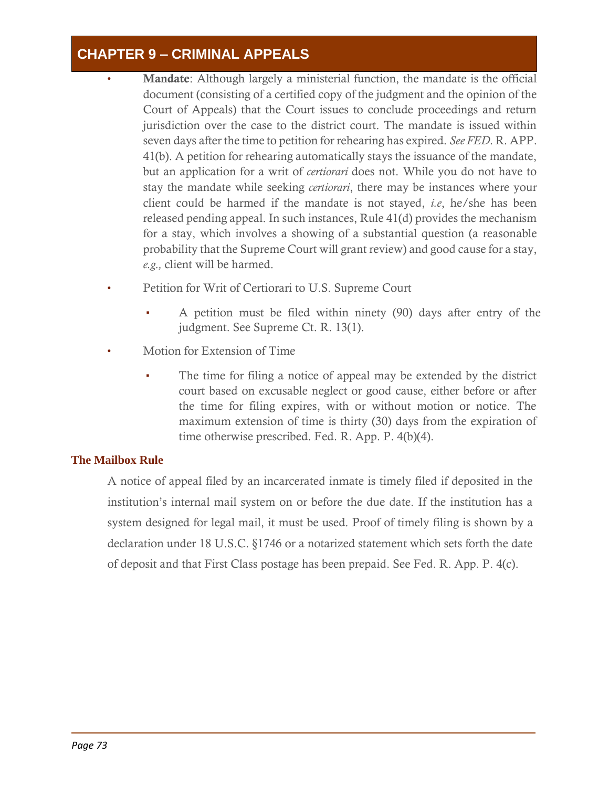# **CHAPTER 9 – CRIMINAL APPEALS**

- **Mandate:** Although largely a ministerial function, the mandate is the official document (consisting of a certified copy of the judgment and the opinion of the Court of Appeals) that the Court issues to conclude proceedings and return jurisdiction over the case to the district court. The mandate is issued within seven days after the time to petition for rehearing has expired. *See FED*. R. APP. 41(b). A petition for rehearing automatically stays the issuance of the mandate, but an application for a writ of *certiorari* does not. While you do not have to stay the mandate while seeking *certiorari*, there may be instances where your client could be harmed if the mandate is not stayed, *i.e*, he/she has been released pending appeal. In such instances, Rule 41(d) provides the mechanism for a stay, which involves a showing of a substantial question (a reasonable probability that the Supreme Court will grant review) and good cause for a stay, *e.g.,* client will be harmed.
- Petition for Writ of Certiorari to U.S. Supreme Court
	- A petition must be filed within ninety (90) days after entry of the judgment. See Supreme Ct. R. 13(1).
- Motion for Extension of Time
	- The time for filing a notice of appeal may be extended by the district court based on excusable neglect or good cause, either before or after the time for filing expires, with or without motion or notice. The maximum extension of time is thirty (30) days from the expiration of time otherwise prescribed. Fed. R. App. P. 4(b)(4).

## **The Mailbox Rule**

A notice of appeal filed by an incarcerated inmate is timely filed if deposited in the institution's internal mail system on or before the due date. If the institution has a system designed for legal mail, it must be used. Proof of timely filing is shown by a declaration under 18 U.S.C. §1746 or a notarized statement which sets forth the date of deposit and that First Class postage has been prepaid. See Fed. R. App. P. 4(c).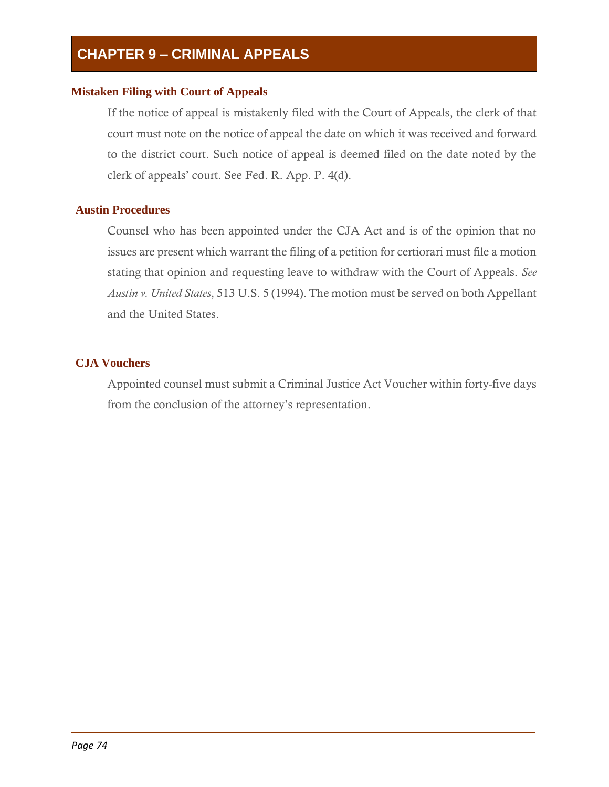# **CHAPTER 9 – CRIMINAL APPEALS**

## **Mistaken Filing with Court of Appeals**

If the notice of appeal is mistakenly filed with the Court of Appeals, the clerk of that court must note on the notice of appeal the date on which it was received and forward to the district court. Such notice of appeal is deemed filed on the date noted by the clerk of appeals' court. See Fed. R. App. P. 4(d).

## **Austin Procedures**

Counsel who has been appointed under the CJA Act and is of the opinion that no issues are present which warrant the filing of a petition for certiorari must file a motion stating that opinion and requesting leave to withdraw with the Court of Appeals. *See Austin v. United States*, 513 U.S. 5 (1994). The motion must be served on both Appellant and the United States.

## **CJA Vouchers**

Appointed counsel must submit a Criminal Justice Act Voucher within forty-five days from the conclusion of the attorney's representation.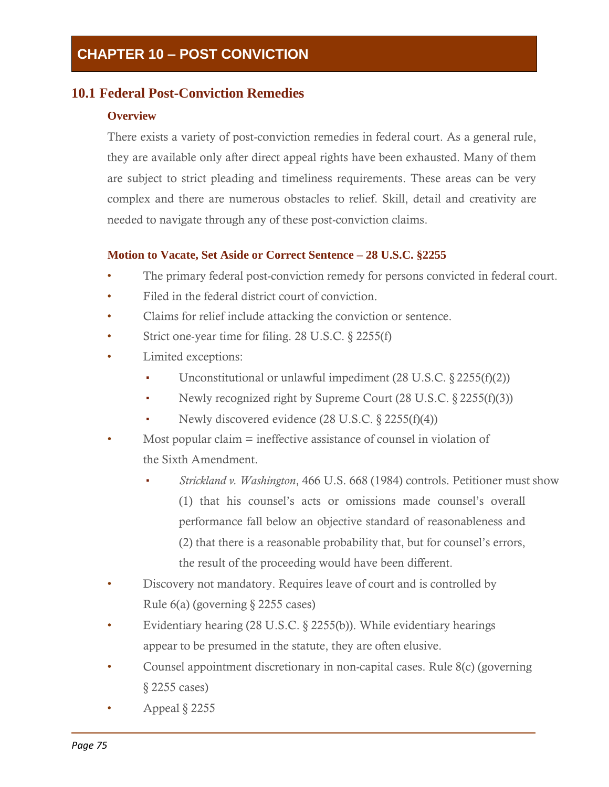## **10.1 Federal Post-Conviction Remedies**

## **Overview**

There exists a variety of post-conviction remedies in federal court. As a general rule, they are available only after direct appeal rights have been exhausted. Many of them are subject to strict pleading and timeliness requirements. These areas can be very complex and there are numerous obstacles to relief. Skill, detail and creativity are needed to navigate through any of these post-conviction claims.

## **Motion to Vacate, Set Aside or Correct Sentence – 28 U.S.C. §2255**

- The primary federal post-conviction remedy for persons convicted in federal court.
- Filed in the federal district court of conviction.
- Claims for relief include attacking the conviction or sentence.
- Strict one-year time for filing. 28 U.S.C. § 2255(f)
- Limited exceptions:
	- Unconstitutional or unlawful impediment  $(28 \text{ U.S.C.} \& 2255(f)(2))$
	- Newly recognized right by Supreme Court  $(28 \text{ U.S.C.} \& 2255(f)(3))$
	- Newly discovered evidence  $(28 \text{ U.S.C.} \S 2255(f)(4))$
- Most popular claim = ineffective assistance of counsel in violation of the Sixth Amendment.
	- Strickland v. Washington, 466 U.S. 668 (1984) controls. Petitioner must show (1) that his counsel's acts or omissions made counsel's overall performance fall below an objective standard of reasonableness and (2) that there is a reasonable probability that, but for counsel's errors, the result of the proceeding would have been different.
- Discovery not mandatory. Requires leave of court and is controlled by Rule 6(a) (governing § 2255 cases)
- Evidentiary hearing (28 U.S.C. § 2255(b)). While evidentiary hearings appear to be presumed in the statute, they are often elusive.
- Counsel appointment discretionary in non-capital cases. Rule 8(c) (governing § 2255 cases)
- Appeal  $\S$  2255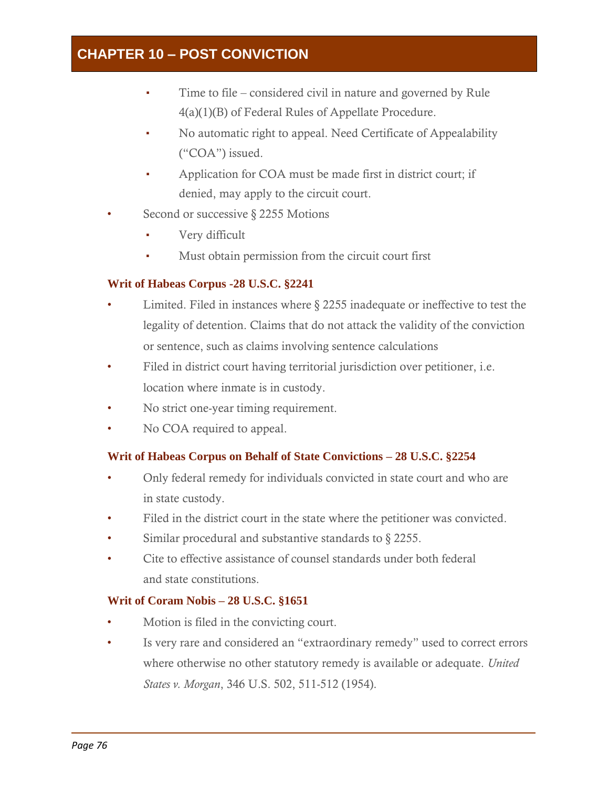- Time to file considered civil in nature and governed by Rule 4(a)(1)(B) of Federal Rules of Appellate Procedure.
- No automatic right to appeal. Need Certificate of Appealability ("COA") issued.
- Application for COA must be made first in district court; if denied, may apply to the circuit court.
- Second or successive § 2255 Motions
	- Very difficult
	- Must obtain permission from the circuit court first

## **Writ of Habeas Corpus -28 U.S.C. §2241**

- Limited. Filed in instances where § 2255 inadequate or ineffective to test the legality of detention. Claims that do not attack the validity of the conviction or sentence, such as claims involving sentence calculations
- Filed in district court having territorial jurisdiction over petitioner, i.e. location where inmate is in custody.
- No strict one-year timing requirement.
- No COA required to appeal.

## **Writ of Habeas Corpus on Behalf of State Convictions – 28 U.S.C. §2254**

- Only federal remedy for individuals convicted in state court and who are in state custody.
- Filed in the district court in the state where the petitioner was convicted.
- Similar procedural and substantive standards to § 2255.
- Cite to effective assistance of counsel standards under both federal and state constitutions.

## **Writ of Coram Nobis – 28 U.S.C. §1651**

- Motion is filed in the convicting court.
- Is very rare and considered an "extraordinary remedy" used to correct errors where otherwise no other statutory remedy is available or adequate. *United States v. Morgan*, 346 U.S. 502, 511-512 (1954).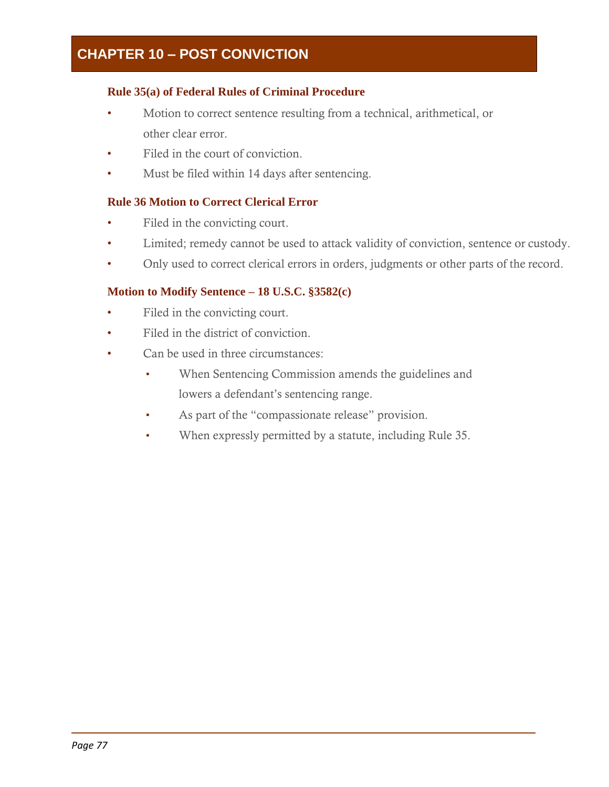## **Rule 35(a) of Federal Rules of Criminal Procedure**

- Motion to correct sentence resulting from a technical, arithmetical, or other clear error.
- Filed in the court of conviction.
- Must be filed within 14 days after sentencing.

## **Rule 36 Motion to Correct Clerical Error**

- Filed in the convicting court.
- Limited; remedy cannot be used to attack validity of conviction, sentence or custody.
- Only used to correct clerical errors in orders, judgments or other parts of the record.

## **Motion to Modify Sentence – 18 U.S.C. §3582(c)**

- Filed in the convicting court.
- Filed in the district of conviction.
- Can be used in three circumstances:
	- When Sentencing Commission amends the guidelines and lowers a defendant's sentencing range.
	- As part of the "compassionate release" provision.
	- When expressly permitted by a statute, including Rule 35.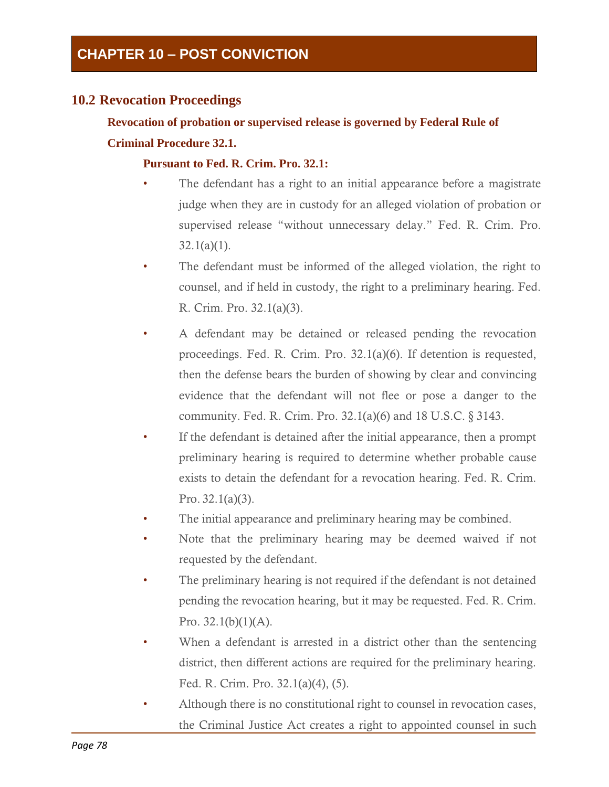## **10.2 Revocation Proceedings**

## **Revocation of probation or supervised release is governed by Federal Rule of Criminal Procedure 32.1.**

## **Pursuant to Fed. R. Crim. Pro. 32.1:**

- The defendant has a right to an initial appearance before a magistrate judge when they are in custody for an alleged violation of probation or supervised release "without unnecessary delay." Fed. R. Crim. Pro.  $32.1(a)(1)$ .
- The defendant must be informed of the alleged violation, the right to counsel, and if held in custody, the right to a preliminary hearing. Fed. R. Crim. Pro. 32.1(a)(3).
- A defendant may be detained or released pending the revocation proceedings. Fed. R. Crim. Pro. 32.1(a)(6). If detention is requested, then the defense bears the burden of showing by clear and convincing evidence that the defendant will not flee or pose a danger to the community. Fed. R. Crim. Pro. 32.1(a)(6) and 18 U.S.C. § 3143.
- If the defendant is detained after the initial appearance, then a prompt preliminary hearing is required to determine whether probable cause exists to detain the defendant for a revocation hearing. Fed. R. Crim. Pro. 32.1(a)(3).
- The initial appearance and preliminary hearing may be combined.
- Note that the preliminary hearing may be deemed waived if not requested by the defendant.
- The preliminary hearing is not required if the defendant is not detained pending the revocation hearing, but it may be requested. Fed. R. Crim. Pro.  $32.1(b)(1)(A)$ .
- When a defendant is arrested in a district other than the sentencing district, then different actions are required for the preliminary hearing. Fed. R. Crim. Pro. 32.1(a)(4), (5).
- Although there is no constitutional right to counsel in revocation cases, the Criminal Justice Act creates a right to appointed counsel in such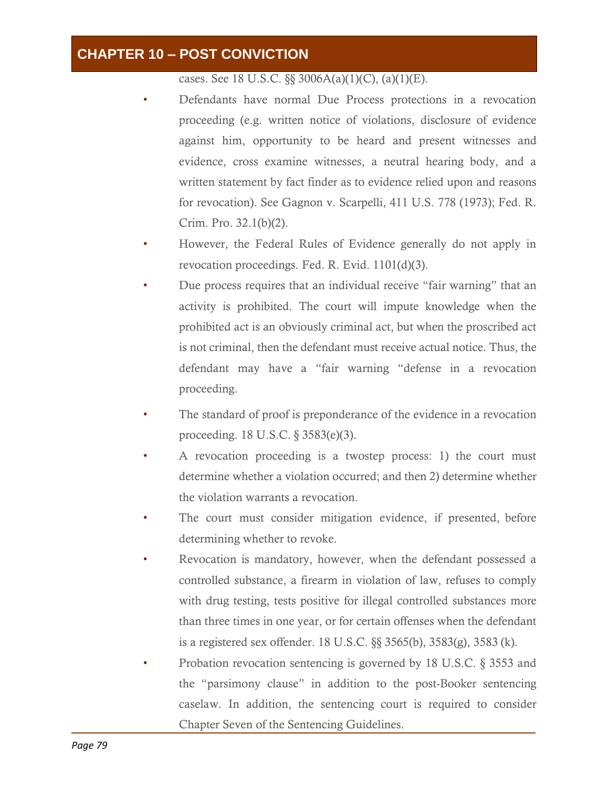cases. See 18 U.S.C.  $\S$ § 3006A(a)(1)(C), (a)(1)(E).

- Defendants have normal Due Process protections in a revocation proceeding (e.g. written notice of violations, disclosure of evidence against him, opportunity to be heard and present witnesses and evidence, cross examine witnesses, a neutral hearing body, and a written statement by fact finder as to evidence relied upon and reasons for revocation). See Gagnon v. Scarpelli, 411 U.S. 778 (1973); Fed. R. Crim. Pro. 32.1(b)(2).
- However, the Federal Rules of Evidence generally do not apply in revocation proceedings. Fed. R. Evid. 1101(d)(3).
- Due process requires that an individual receive "fair warning" that an activity is prohibited. The court will impute knowledge when the prohibited act is an obviously criminal act, but when the proscribed act is not criminal, then the defendant must receive actual notice. Thus, the defendant may have a "fair warning "defense in a revocation proceeding.
- The standard of proof is preponderance of the evidence in a revocation proceeding. 18 U.S.C. § 3583(e)(3).
- A revocation proceeding is a twostep process: 1) the court must determine whether a violation occurred; and then 2) determine whether the violation warrants a revocation.
- The court must consider mitigation evidence, if presented, before determining whether to revoke.
- Revocation is mandatory, however, when the defendant possessed a controlled substance, a firearm in violation of law, refuses to comply with drug testing, tests positive for illegal controlled substances more than three times in one year, or for certain offenses when the defendant is a registered sex offender. 18 U.S.C. §§ 3565(b), 3583(g), 3583 (k).
- Probation revocation sentencing is governed by 18 U.S.C. § 3553 and the "parsimony clause" in addition to the post-Booker sentencing caselaw. In addition, the sentencing court is required to consider Chapter Seven of the Sentencing Guidelines.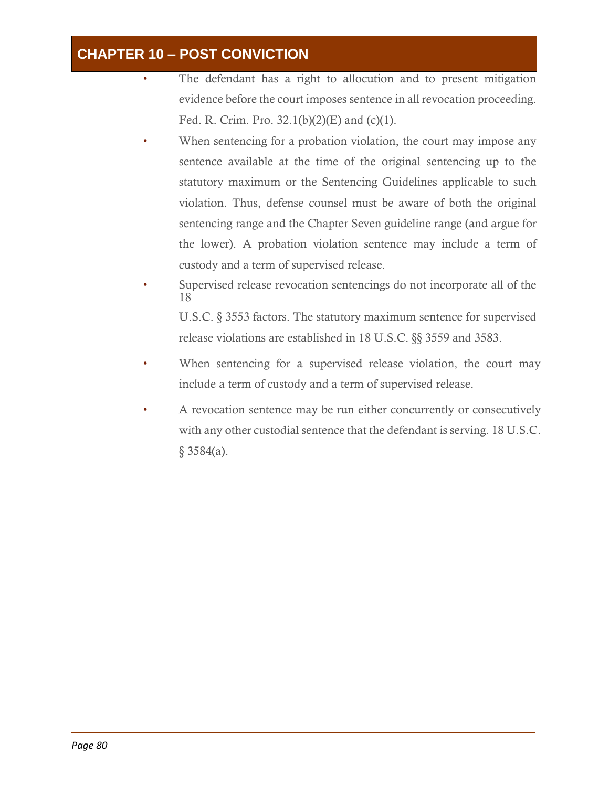- The defendant has a right to allocution and to present mitigation evidence before the court imposes sentence in all revocation proceeding. Fed. R. Crim. Pro.  $32.1(b)(2)(E)$  and (c)(1).
- When sentencing for a probation violation, the court may impose any sentence available at the time of the original sentencing up to the statutory maximum or the Sentencing Guidelines applicable to such violation. Thus, defense counsel must be aware of both the original sentencing range and the Chapter Seven guideline range (and argue for the lower). A probation violation sentence may include a term of custody and a term of supervised release.
- Supervised release revocation sentencings do not incorporate all of the 18 U.S.C. § 3553 factors. The statutory maximum sentence for supervised release violations are established in 18 U.S.C. §§ 3559 and 3583.
- When sentencing for a supervised release violation, the court may include a term of custody and a term of supervised release.
- A revocation sentence may be run either concurrently or consecutively with any other custodial sentence that the defendant is serving. 18 U.S.C.  $§$  3584(a).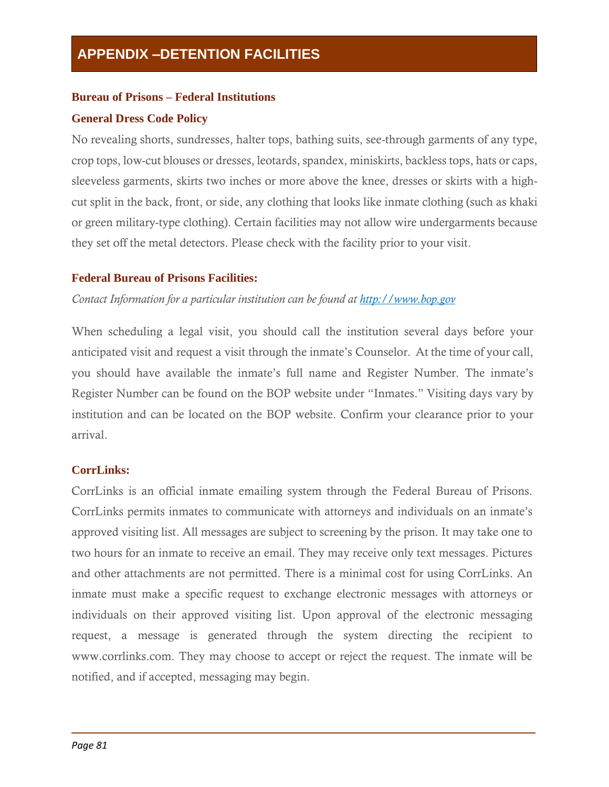## **Bureau of Prisons – Federal Institutions**

## **General Dress Code Policy**

No revealing shorts, sundresses, halter tops, bathing suits, see-through garments of any type, crop tops, low-cut blouses or dresses, leotards, spandex, miniskirts, backless tops, hats or caps, sleeveless garments, skirts two inches or more above the knee, dresses or skirts with a highcut split in the back, front, or side, any clothing that looks like inmate clothing (such as khaki or green military-type clothing). Certain facilities may not allow wire undergarments because they set off the metal detectors. Please check with the facility prior to your visit.

## **Federal Bureau of Prisons Facilities:**

*Contact Information for a particular institution can be found at [http://www.bop.gov](http://www.bop.gov/)*

When scheduling a legal visit, you should call the institution several days before your anticipated visit and request a visit through the inmate's Counselor. At the time of your call, you should have available the inmate's full name and Register Number. The inmate's Register Number can be found on the BOP website under "Inmates." Visiting days vary by institution and can be located on the BOP website. Confirm your clearance prior to your arrival.

## **CorrLinks:**

CorrLinks is an official inmate emailing system through the Federal Bureau of Prisons. CorrLinks permits inmates to communicate with attorneys and individuals on an inmate's approved visiting list. All messages are subject to screening by the prison. It may take one to two hours for an inmate to receive an email. They may receive only text messages. Pictures and other attachments are not permitted. There is a minimal cost for using CorrLinks. An inmate must make a specific request to exchange electronic messages with attorneys or individuals on their approved visiting list. Upon approval of the electronic messaging request, a message is generated through the system directing the recipient to [www.corrlinks.com.](http://www.corrlinks.com/) They may choose to accept or reject the request. The inmate will be notified, and if accepted, messaging may begin.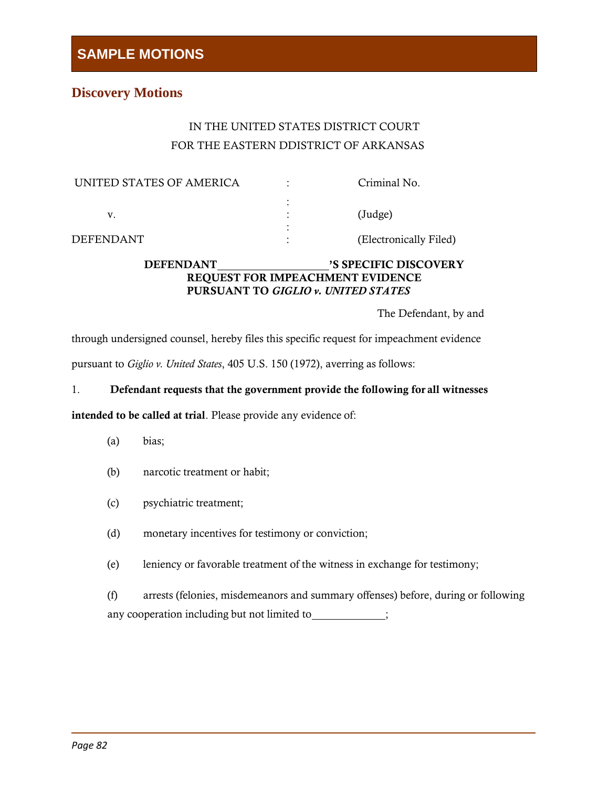## **Discovery Motions**

## IN THE UNITED STATES DISTRICT COURT FOR THE EASTERN DDISTRICT OF ARKANSAS

| UNITED STATES OF AMERICA | Criminal No.           |
|--------------------------|------------------------|
|                          | (Judge)                |
| DFFFNDANT                | (Electronically Filed) |

### DEFENDANT 'S SPECIFIC DISCOVERY REQUEST FOR IMPEACHMENT EVIDENCE PURSUANT TO *GIGLIO v. UNITED STATES*

The Defendant, by and

through undersigned counsel, hereby files this specific request for impeachment evidence pursuant to *Giglio v. United States*, 405 U.S. 150 (1972), averring as follows:

#### 1. Defendant requests that the government provide the following for all witnesses

intended to be called at trial. Please provide any evidence of:

- (a) bias;
- (b) narcotic treatment or habit;
- (c) psychiatric treatment;
- (d) monetary incentives for testimony or conviction;
- (e) leniency or favorable treatment of the witness in exchange for testimony;

(f) arrests (felonies, misdemeanors and summary offenses) before, during or following any cooperation including but not limited to  $\qquad \qquad ;$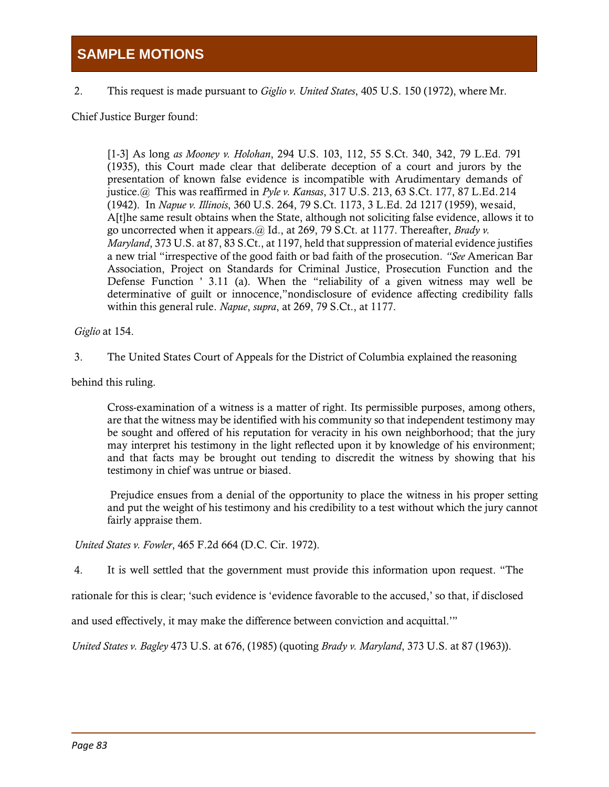2. This request is made pursuant to *Giglio v. United States*, 405 U.S. 150 (1972), where Mr.

Chief Justice Burger found:

[1-3] As long *as Mooney v. Holohan*, 294 U.S. 103, 112, 55 S.Ct. 340, 342, 79 L.Ed. 791 (1935), this Court made clear that deliberate deception of a court and jurors by the presentation of known false evidence is incompatible with Arudimentary demands of justice.@ This was reaffirmed in *Pyle v. Kansas*, 317 U.S. 213, 63 S.Ct. 177, 87 L.Ed.214 (1942). In *Napue v. Illinois*, 360 U.S. 264, 79 S.Ct. 1173, 3 L.Ed. 2d 1217 (1959), wesaid, A[t]he same result obtains when the State, although not soliciting false evidence, allows it to go uncorrected when it appears.@ Id., at 269, 79 S.Ct. at 1177. Thereafter, *Brady v. Maryland*, 373 U.S. at 87, 83 S.Ct., at 1197, held that suppression of material evidence justifies a new trial "irrespective of the good faith or bad faith of the prosecution. *"See* American Bar Association, Project on Standards for Criminal Justice, Prosecution Function and the Defense Function ' 3.11 (a). When the "reliability of a given witness may well be determinative of guilt or innocence,"nondisclosure of evidence affecting credibility falls within this general rule. *Napue*, *supra*, at 269, 79 S.Ct., at 1177.

*Giglio* at 154.

3. The United States Court of Appeals for the District of Columbia explained the reasoning

behind this ruling.

Cross-examination of a witness is a matter of right. Its permissible purposes, among others, are that the witness may be identified with his community so that independent testimony may be sought and offered of his reputation for veracity in his own neighborhood; that the jury may interpret his testimony in the light reflected upon it by knowledge of his environment; and that facts may be brought out tending to discredit the witness by showing that his testimony in chief was untrue or biased.

Prejudice ensues from a denial of the opportunity to place the witness in his proper setting and put the weight of his testimony and his credibility to a test without which the jury cannot fairly appraise them.

*United States v. Fowler*, 465 F.2d 664 (D.C. Cir. 1972).

4. It is well settled that the government must provide this information upon request. "The

rationale for this is clear; 'such evidence is 'evidence favorable to the accused,' so that, if disclosed

and used effectively, it may make the difference between conviction and acquittal.'"

*United States v. Bagley* 473 U.S. at 676, (1985) (quoting *Brady v. Maryland*, 373 U.S. at 87 (1963)).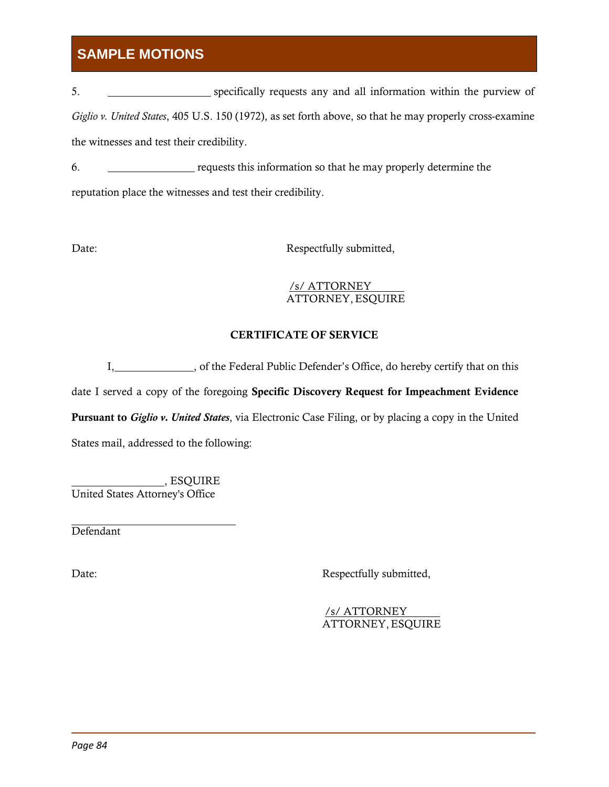5. specifically requests any and all information within the purview of *Giglio v. United States*, 405 U.S. 150 (1972), as set forth above, so that he may properly cross-examine the witnesses and test their credibility.

6. requests this information so that he may properly determine the reputation place the witnesses and test their credibility.

Date: Respectfully submitted,

#### /s/ ATTORNEY ATTORNEY,ESQUIRE

## CERTIFICATE OF SERVICE

I, of the Federal Public Defender's Office, do hereby certify that on this

date I served a copy of the foregoing Specific Discovery Request for Impeachment Evidence

Pursuant to *Giglio v. United States*, via Electronic Case Filing, or by placing a copy in the United

States mail, addressed to the following:

, ESQUIRE United States Attorney's Office

Defendant

Date: Respectfully submitted,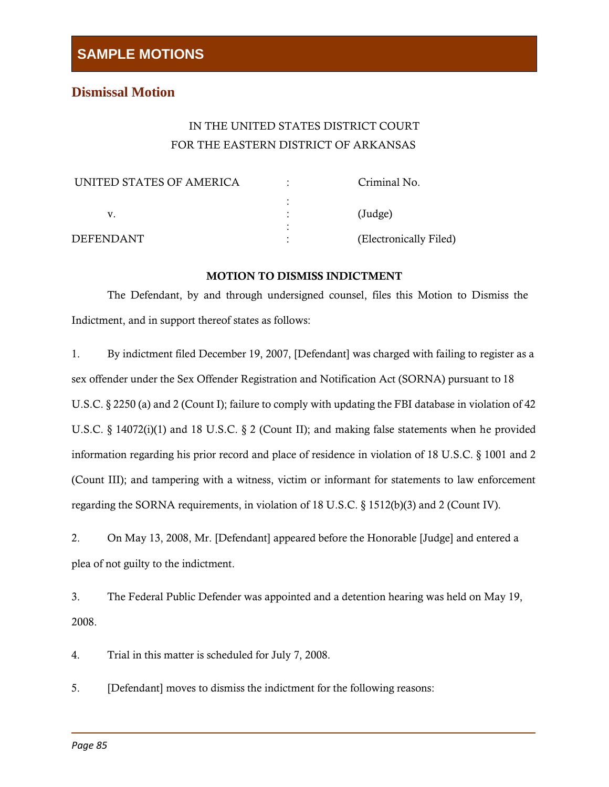## **Dismissal Motion**

## IN THE UNITED STATES DISTRICT COURT FOR THE EASTERN DISTRICT OF ARKANSAS

| UNITED STATES OF AMERICA | Criminal No.           |
|--------------------------|------------------------|
|                          |                        |
|                          | $(\text{Judge})$       |
|                          |                        |
| DFFFNDANT                | (Electronically Filed) |

### MOTION TO DISMISS INDICTMENT

The Defendant, by and through undersigned counsel, files this Motion to Dismiss the Indictment, and in support thereof states as follows:

1. By indictment filed December 19, 2007, [Defendant] was charged with failing to register as a sex offender under the Sex Offender Registration and Notification Act (SORNA) pursuant to 18 U.S.C. § 2250 (a) and 2 (Count I); failure to comply with updating the FBI database in violation of 42 U.S.C. § 14072(i)(1) and 18 U.S.C. § 2 (Count II); and making false statements when he provided information regarding his prior record and place of residence in violation of 18 U.S.C. § 1001 and 2 (Count III); and tampering with a witness, victim or informant for statements to law enforcement regarding the SORNA requirements, in violation of 18 U.S.C. § 1512(b)(3) and 2 (Count IV).

2. On May 13, 2008, Mr. [Defendant] appeared before the Honorable [Judge] and entered a plea of not guilty to the indictment.

3. The Federal Public Defender was appointed and a detention hearing was held on May 19, 2008.

4. Trial in this matter is scheduled for July 7, 2008.

5. [Defendant] moves to dismiss the indictment for the following reasons: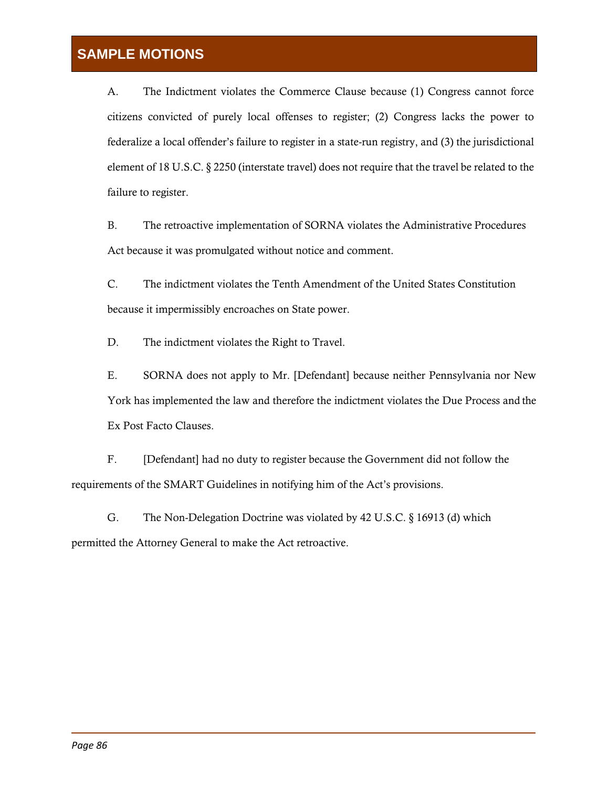A. The Indictment violates the Commerce Clause because (1) Congress cannot force citizens convicted of purely local offenses to register; (2) Congress lacks the power to federalize a local offender's failure to register in a state-run registry, and (3) the jurisdictional element of 18 U.S.C. § 2250 (interstate travel) does not require that the travel be related to the failure to register.

B. The retroactive implementation of SORNA violates the Administrative Procedures Act because it was promulgated without notice and comment.

C. The indictment violates the Tenth Amendment of the United States Constitution because it impermissibly encroaches on State power.

D. The indictment violates the Right to Travel.

E. SORNA does not apply to Mr. [Defendant] because neither Pennsylvania nor New York has implemented the law and therefore the indictment violates the Due Process and the Ex Post Facto Clauses.

F. [Defendant] had no duty to register because the Government did not follow the requirements of the SMART Guidelines in notifying him of the Act's provisions.

G. The Non-Delegation Doctrine was violated by 42 U.S.C. § 16913 (d) which permitted the Attorney General to make the Act retroactive.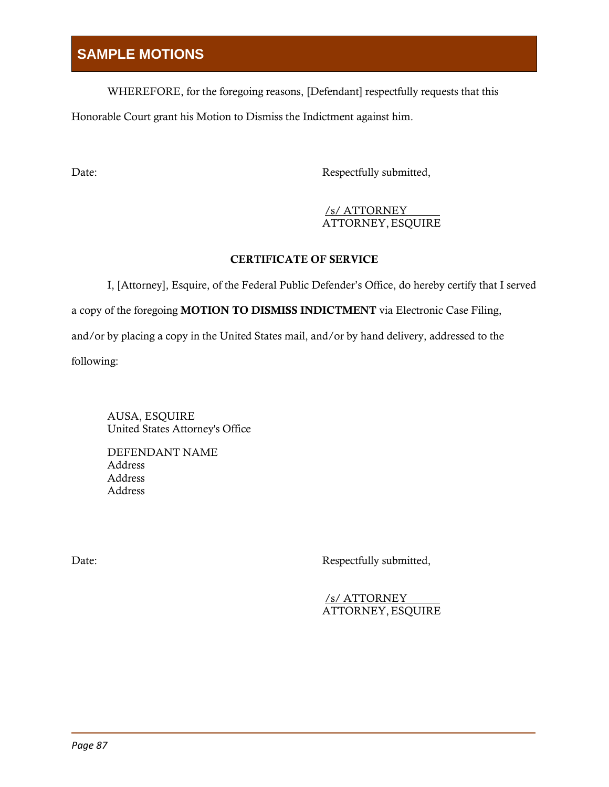WHEREFORE, for the foregoing reasons, [Defendant] respectfully requests that this Honorable Court grant his Motion to Dismiss the Indictment against him.

Date: Respectfully submitted,

### /s/ ATTORNEY ATTORNEY,ESQUIRE

## CERTIFICATE OF SERVICE

I, [Attorney], Esquire, of the Federal Public Defender's Office, do hereby certify that I served a copy of the foregoing MOTION TO DISMISS INDICTMENT via Electronic Case Filing, and/or by placing a copy in the United States mail, and/or by hand delivery, addressed to the following:

AUSA, ESQUIRE United States Attorney's Office

DEFENDANT NAME Address Address Address

Date: Respectfully submitted,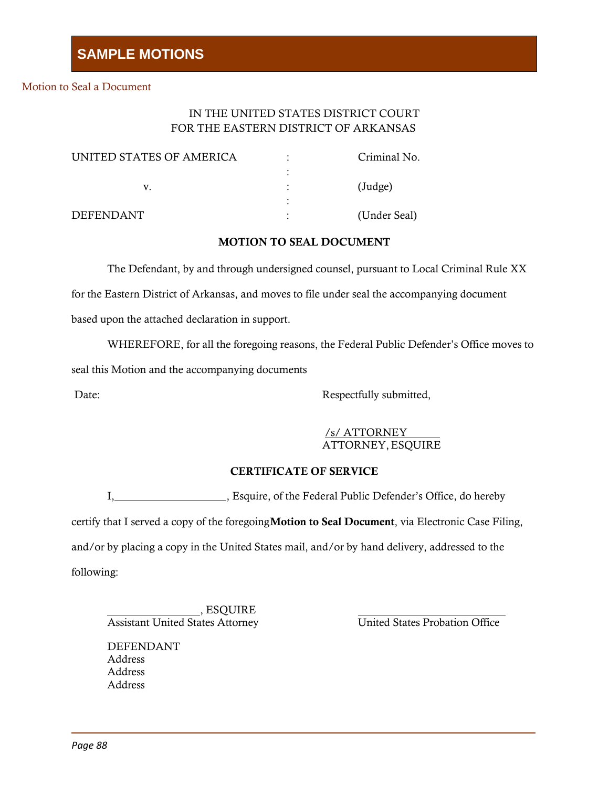#### Motion to Seal a Document

## IN THE UNITED STATES DISTRICT COURT FOR THE EASTERN DISTRICT OF ARKANSAS

| UNITED STATES OF AMERICA | $\bullet$ | Criminal No.     |
|--------------------------|-----------|------------------|
|                          |           |                  |
|                          |           | $(\text{Judge})$ |
|                          |           |                  |
| DEFENDANT                |           | (Under Seal)     |

#### MOTION TO SEAL DOCUMENT

The Defendant, by and through undersigned counsel, pursuant to Local Criminal Rule XX for the Eastern District of Arkansas, and moves to file under seal the accompanying document

based upon the attached declaration in support.

WHEREFORE, for all the foregoing reasons, the Federal Public Defender's Office moves to

seal this Motion and the accompanying documents

Date: Respectfully submitted,

/s/ ATTORNEY ATTORNEY,ESQUIRE

#### CERTIFICATE OF SERVICE

I, Sequire, of the Federal Public Defender's Office, do hereby

certify that I served a copy of the foregoing Motion to Seal Document, via Electronic Case Filing,

and/or by placing a copy in the United States mail, and/or by hand delivery, addressed to the

following:

, ESQUIRE Assistant United States Attorney United States Probation Office

DEFENDANT Address Address Address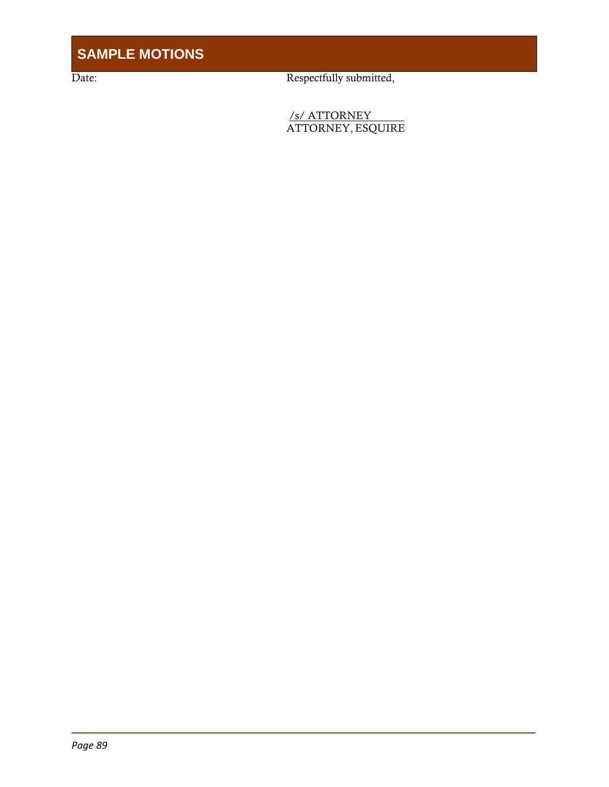Date: Respectfully submitted,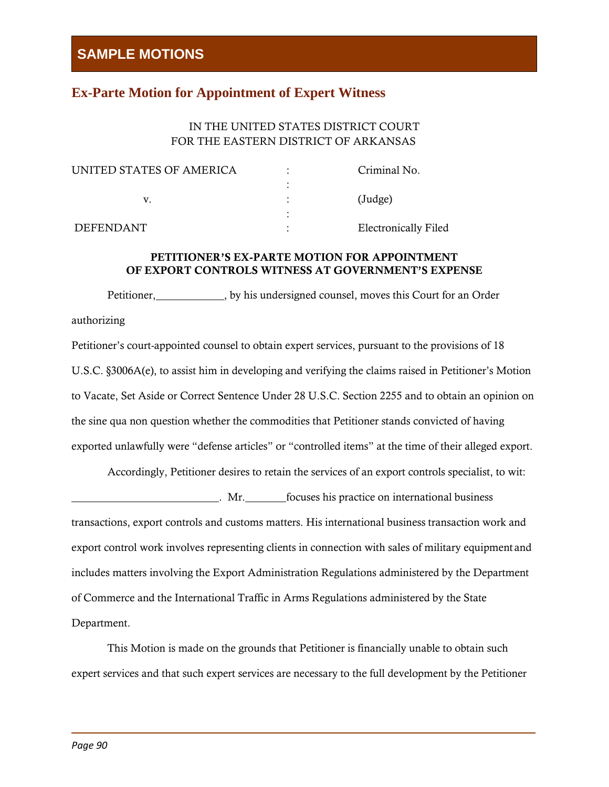## **Ex-Parte Motion for Appointment of Expert Witness**

## IN THE UNITED STATES DISTRICT COURT FOR THE EASTERN DISTRICT OF ARKANSAS

| UNITED STATES OF AMERICA | Criminal No.                |
|--------------------------|-----------------------------|
|                          |                             |
|                          | $(\text{Judge})$            |
|                          |                             |
| <b>DEFENDANT</b>         | <b>Electronically Filed</b> |

## PETITIONER'S EX-PARTE MOTION FOR APPOINTMENT OF EXPORT CONTROLS WITNESS AT GOVERNMENT'S EXPENSE

Petitioner, by his undersigned counsel, moves this Court for an Order authorizing Petitioner's court-appointed counsel to obtain expert services, pursuant to the provisions of 18

U.S.C. §3006A(e), to assist him in developing and verifying the claims raised in Petitioner's Motion to Vacate, Set Aside or Correct Sentence Under 28 U.S.C. Section 2255 and to obtain an opinion on the sine qua non question whether the commodities that Petitioner stands convicted of having exported unlawfully were "defense articles" or "controlled items" at the time of their alleged export.

Accordingly, Petitioner desires to retain the services of an export controls specialist, to wit:

. Mr. focuses his practice on international business transactions, export controls and customs matters. His international business transaction work and export control work involves representing clients in connection with sales of military equipment and includes matters involving the Export Administration Regulations administered by the Department of Commerce and the International Traffic in Arms Regulations administered by the State Department.

This Motion is made on the grounds that Petitioner is financially unable to obtain such expert services and that such expert services are necessary to the full development by the Petitioner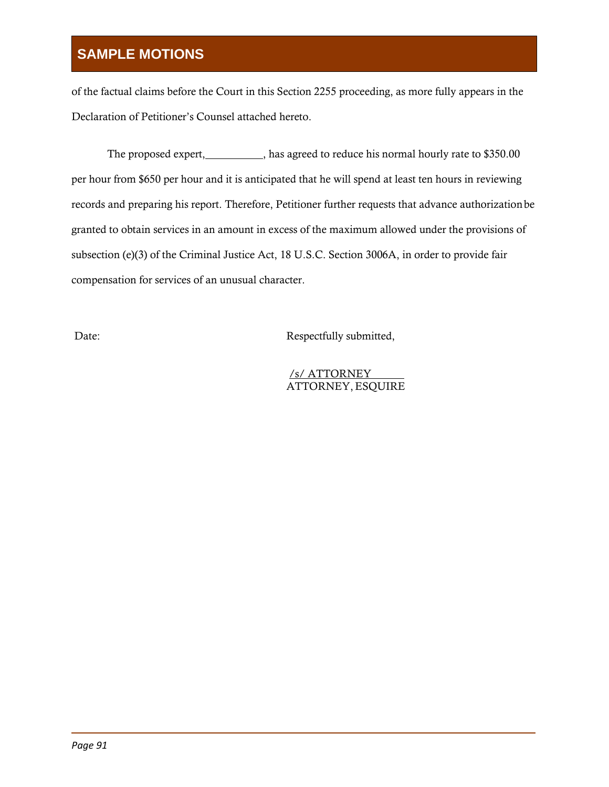of the factual claims before the Court in this Section 2255 proceeding, as more fully appears in the Declaration of Petitioner's Counsel attached hereto.

The proposed expert, has agreed to reduce his normal hourly rate to \$350.00 per hour from \$650 per hour and it is anticipated that he will spend at least ten hours in reviewing records and preparing his report. Therefore, Petitioner further requests that advance authorizationbe granted to obtain services in an amount in excess of the maximum allowed under the provisions of subsection (e)(3) of the Criminal Justice Act, 18 U.S.C. Section 3006A, in order to provide fair compensation for services of an unusual character.

Date: Respectfully submitted,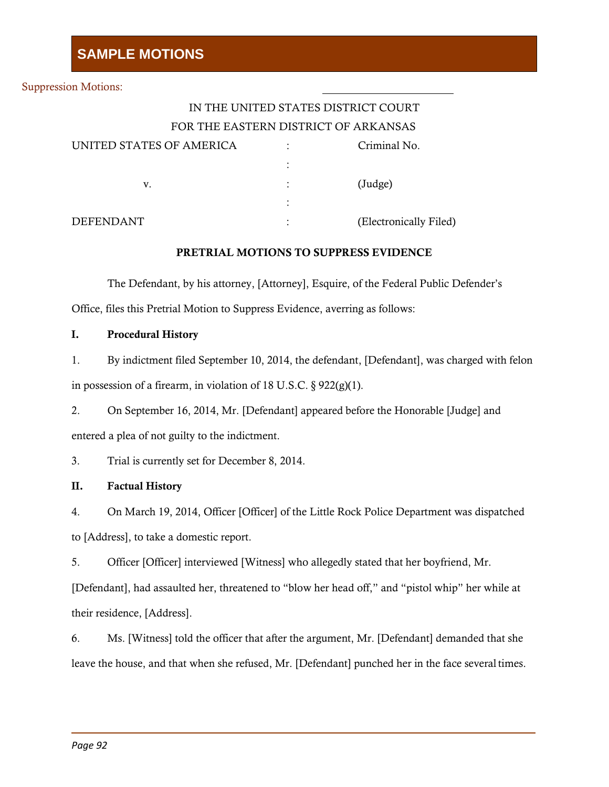#### Suppression Motions:

## IN THE UNITED STATES DISTRICT COURT FOR THE EASTERN DISTRICT OF ARKANSAS

| UNITED STATES OF AMERICA | ٠<br>٠         | Criminal No.           |
|--------------------------|----------------|------------------------|
|                          | ٠              |                        |
| v.                       | $\ddot{\cdot}$ | $(\text{Judge})$       |
|                          | ٠              |                        |
| <b>DEFENDANT</b>         | ٠<br>٠         | (Electronically Filed) |

#### PRETRIAL MOTIONS TO SUPPRESS EVIDENCE

The Defendant, by his attorney, [Attorney], Esquire, of the Federal Public Defender's Office, files this Pretrial Motion to Suppress Evidence, averring as follows:

### I. Procedural History

1. By indictment filed September 10, 2014, the defendant, [Defendant], was charged with felon in possession of a firearm, in violation of 18 U.S.C.  $\S 922(g)(1)$ .

2. On September 16, 2014, Mr. [Defendant] appeared before the Honorable [Judge] and entered a plea of not guilty to the indictment.

3. Trial is currently set for December 8, 2014.

### II. Factual History

4. On March 19, 2014, Officer [Officer] of the Little Rock Police Department was dispatched to [Address], to take a domestic report.

5. Officer [Officer] interviewed [Witness] who allegedly stated that her boyfriend, Mr.

[Defendant], had assaulted her, threatened to "blow her head off," and "pistol whip" her while at their residence, [Address].

6. Ms. [Witness] told the officer that after the argument, Mr. [Defendant] demanded that she leave the house, and that when she refused, Mr. [Defendant] punched her in the face several times.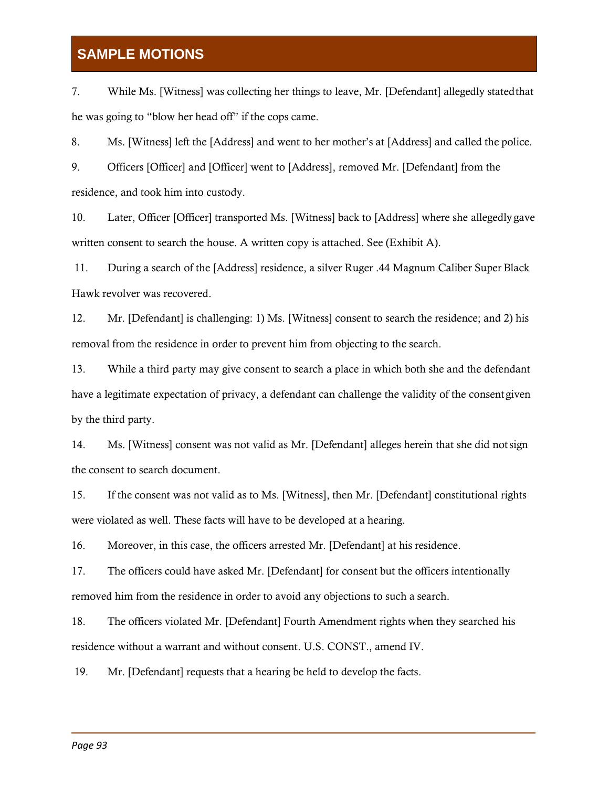7. While Ms. [Witness] was collecting her things to leave, Mr. [Defendant] allegedly statedthat he was going to "blow her head off" if the cops came.

8. Ms. [Witness] left the [Address] and went to her mother's at [Address] and called the police.

9. Officers [Officer] and [Officer] went to [Address], removed Mr. [Defendant] from the residence, and took him into custody.

10. Later, Officer [Officer] transported Ms. [Witness] back to [Address] where she allegedly gave written consent to search the house. A written copy is attached. See (Exhibit A).

11. During a search of the [Address] residence, a silver Ruger .44 Magnum Caliber Super Black Hawk revolver was recovered.

12. Mr. [Defendant] is challenging: 1) Ms. [Witness] consent to search the residence; and 2) his removal from the residence in order to prevent him from objecting to the search.

13. While a third party may give consent to search a place in which both she and the defendant have a legitimate expectation of privacy, a defendant can challenge the validity of the consentgiven by the third party.

14. Ms. [Witness] consent was not valid as Mr. [Defendant] alleges herein that she did notsign the consent to search document.

15. If the consent was not valid as to Ms. [Witness], then Mr. [Defendant] constitutional rights were violated as well. These facts will have to be developed at a hearing.

16. Moreover, in this case, the officers arrested Mr. [Defendant] at his residence.

17. The officers could have asked Mr. [Defendant] for consent but the officers intentionally removed him from the residence in order to avoid any objections to such a search.

18. The officers violated Mr. [Defendant] Fourth Amendment rights when they searched his residence without a warrant and without consent. U.S. CONST., amend IV.

19. Mr. [Defendant] requests that a hearing be held to develop the facts.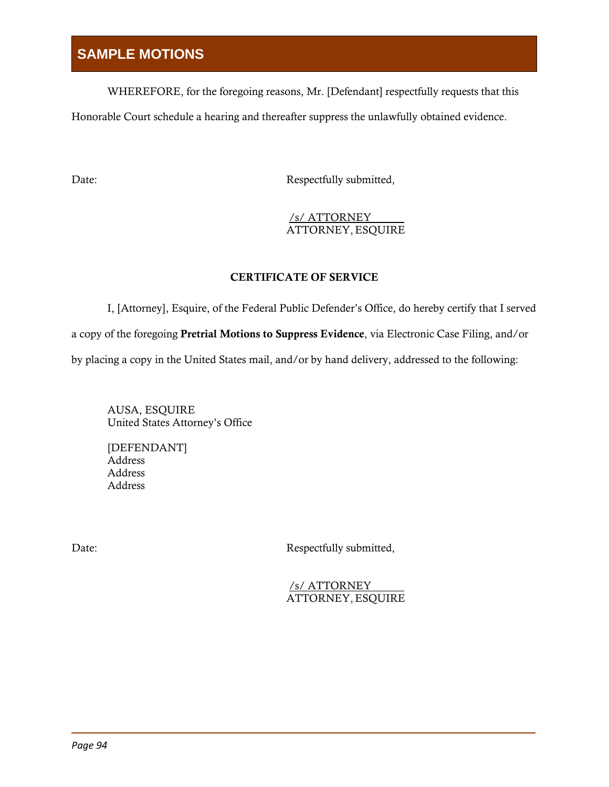WHEREFORE, for the foregoing reasons, Mr. [Defendant] respectfully requests that this

Honorable Court schedule a hearing and thereafter suppress the unlawfully obtained evidence.

Date: Respectfully submitted,

## /s/ ATTORNEY ATTORNEY,ESQUIRE

## CERTIFICATE OF SERVICE

I, [Attorney], Esquire, of the Federal Public Defender's Office, do hereby certify that I served a copy of the foregoing Pretrial Motions to Suppress Evidence, via Electronic Case Filing, and/or by placing a copy in the United States mail, and/or by hand delivery, addressed to the following:

AUSA, ESQUIRE United States Attorney's Office

[DEFENDANT] Address Address Address

Date: Respectfully submitted,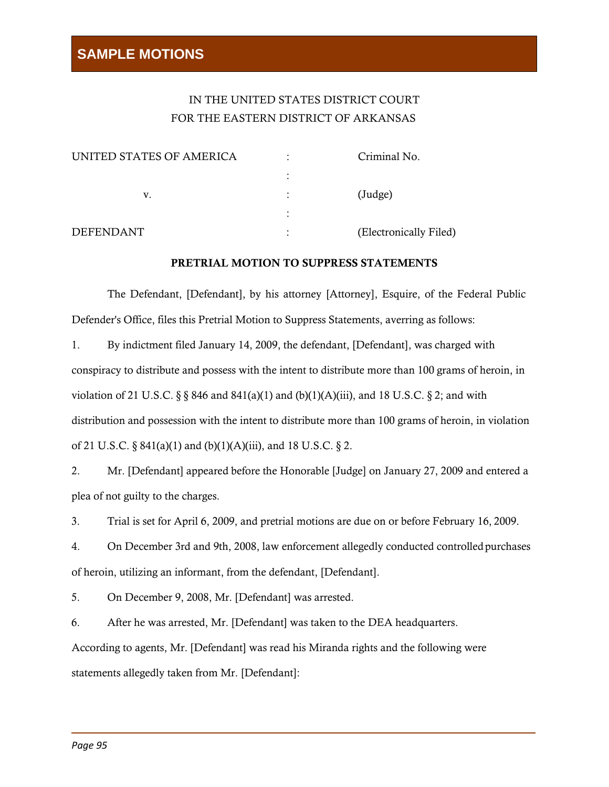## IN THE UNITED STATES DISTRICT COURT FOR THE EASTERN DISTRICT OF ARKANSAS

| UNITED STATES OF AMERICA |   | Criminal No.           |
|--------------------------|---|------------------------|
|                          |   |                        |
| v.                       | ٠ | (Judge)                |
|                          |   |                        |
| <b>DEFENDANT</b>         | ٠ | (Electronically Filed) |

#### PRETRIAL MOTION TO SUPPRESS STATEMENTS

The Defendant, [Defendant], by his attorney [Attorney], Esquire, of the Federal Public Defender's Office, files this Pretrial Motion to Suppress Statements, averring as follows:

1. By indictment filed January 14, 2009, the defendant, [Defendant], was charged with conspiracy to distribute and possess with the intent to distribute more than 100 grams of heroin, in violation of 21 U.S.C.  $\S$  § 846 and 841(a)(1) and (b)(1)(A)(iii), and 18 U.S.C. § 2; and with distribution and possession with the intent to distribute more than 100 grams of heroin, in violation of 21 U.S.C. §  $841(a)(1)$  and (b)(1)(A)(iii), and 18 U.S.C. § 2.

2. Mr. [Defendant] appeared before the Honorable [Judge] on January 27, 2009 and entered a plea of not guilty to the charges.

3. Trial is set for April 6, 2009, and pretrial motions are due on or before February 16, 2009.

4. On December 3rd and 9th, 2008, law enforcement allegedly conducted controlledpurchases of heroin, utilizing an informant, from the defendant, [Defendant].

5. On December 9, 2008, Mr. [Defendant] was arrested.

6. After he was arrested, Mr. [Defendant] was taken to the DEA headquarters. According to agents, Mr. [Defendant] was read his Miranda rights and the following were statements allegedly taken from Mr. [Defendant]: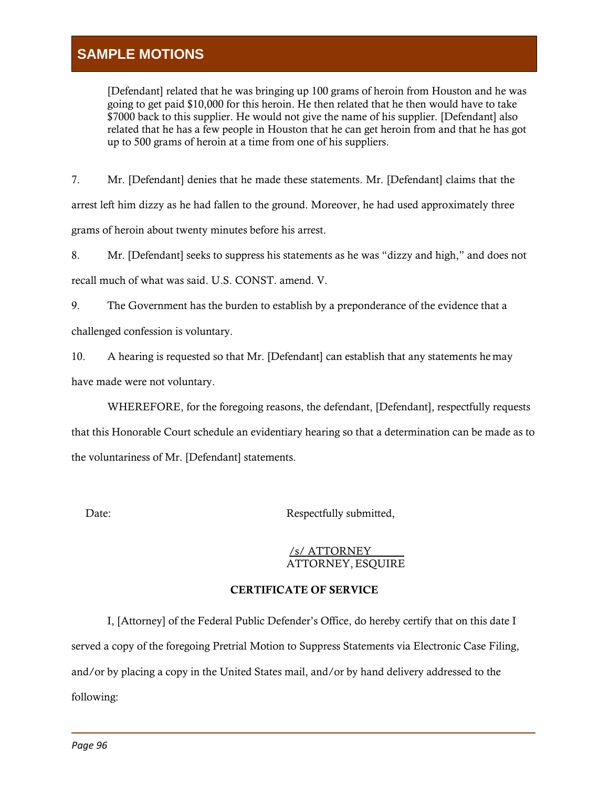[Defendant] related that he was bringing up 100 grams of heroin from Houston and he was going to get paid \$10,000 for this heroin. He then related that he then would have to take \$7000 back to this supplier. He would not give the name of his supplier. [Defendant] also related that he has a few people in Houston that he can get heroin from and that he has got up to 500 grams of heroin at a time from one of his suppliers.

7. Mr. [Defendant] denies that he made these statements. Mr. [Defendant] claims that the arrest left him dizzy as he had fallen to the ground. Moreover, he had used approximately three grams of heroin about twenty minutes before his arrest.

8. Mr. [Defendant] seeks to suppress his statements as he was "dizzy and high," and does not recall much of what was said. U.S. CONST. amend. V.

9. The Government has the burden to establish by a preponderance of the evidence that a challenged confession is voluntary.

10. A hearing is requested so that Mr. [Defendant] can establish that any statements he may have made were not voluntary.

WHEREFORE, for the foregoing reasons, the defendant, [Defendant], respectfully requests that this Honorable Court schedule an evidentiary hearing so that a determination can be made as to the voluntariness of Mr. [Defendant] statements.

Date: Respectfully submitted,

#### /s/ ATTORNEY ATTORNEY,ESQUIRE

## CERTIFICATE OF SERVICE

I, [Attorney] of the Federal Public Defender's Office, do hereby certify that on this date I served a copy of the foregoing Pretrial Motion to Suppress Statements via Electronic Case Filing, and/or by placing a copy in the United States mail, and/or by hand delivery addressed to the following: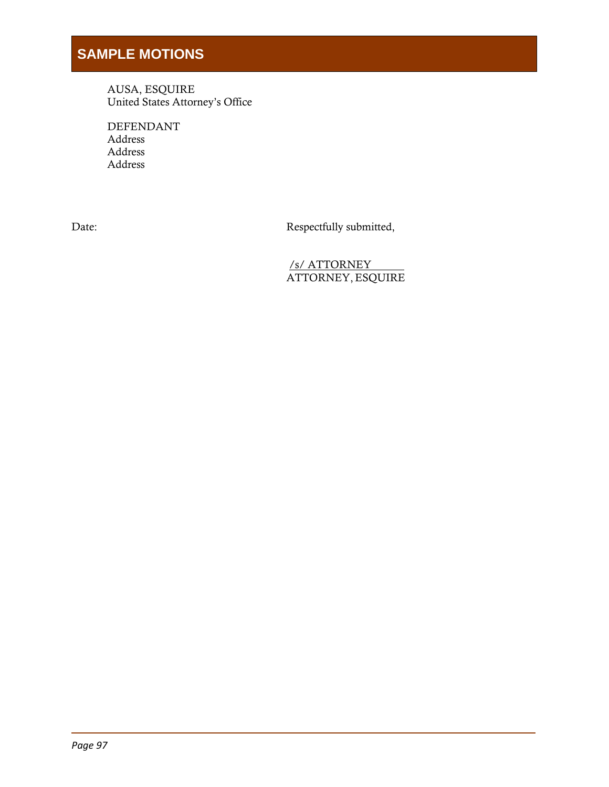AUSA, ESQUIRE United States Attorney's Office

DEFENDANT Address Address Address

Date: Respectfully submitted,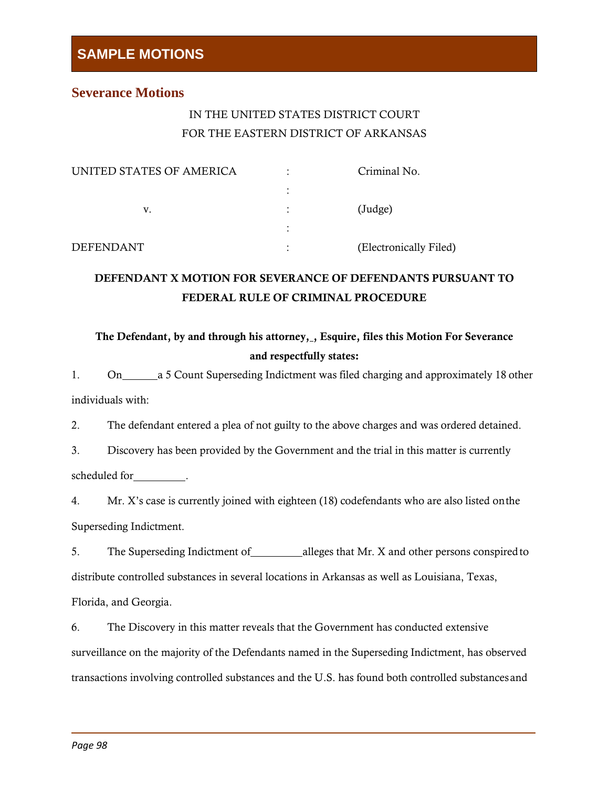## **Severance Motions**

## IN THE UNITED STATES DISTRICT COURT FOR THE EASTERN DISTRICT OF ARKANSAS

| UNITED STATES OF AMERICA | ٠              | Criminal No.           |
|--------------------------|----------------|------------------------|
|                          | ٠              |                        |
| v.                       | $\ddot{\cdot}$ | $(\text{Judge})$       |
|                          |                |                        |
| <b>DEFENDANT</b>         | ٠<br>٠         | (Electronically Filed) |

## DEFENDANT X MOTION FOR SEVERANCE OF DEFENDANTS PURSUANT TO FEDERAL RULE OF CRIMINAL PROCEDURE

## The Defendant, by and through his attorney, Bisquire, files this Motion For Severance and respectfully states:

1. On a 5 Count Superseding Indictment was filed charging and approximately 18 other individuals with:

2. The defendant entered a plea of not guilty to the above charges and was ordered detained.

3. Discovery has been provided by the Government and the trial in this matter is currently scheduled for \_\_\_\_\_\_\_\_\_.

4. Mr. X's case is currently joined with eighteen (18) codefendants who are also listed onthe Superseding Indictment.

5. The Superseding Indictment of alleges that Mr. X and other persons conspired to distribute controlled substances in several locations in Arkansas as well as Louisiana, Texas, Florida, and Georgia.

6. The Discovery in this matter reveals that the Government has conducted extensive surveillance on the majority of the Defendants named in the Superseding Indictment, has observed transactions involving controlled substances and the U.S. has found both controlled substancesand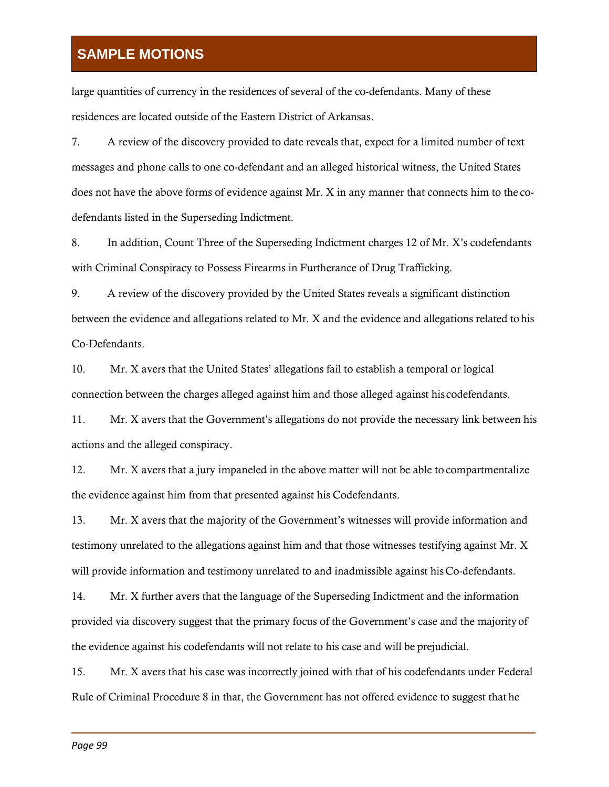large quantities of currency in the residences of several of the co-defendants. Many of these residences are located outside of the Eastern District of Arkansas.

7. A review of the discovery provided to date reveals that, expect for a limited number of text messages and phone calls to one co-defendant and an alleged historical witness, the United States does not have the above forms of evidence against Mr. X in any manner that connects him to the codefendants listed in the Superseding Indictment.

8. In addition, Count Three of the Superseding Indictment charges 12 of Mr. X's codefendants with Criminal Conspiracy to Possess Firearms in Furtherance of Drug Trafficking.

9. A review of the discovery provided by the United States reveals a significant distinction between the evidence and allegations related to Mr. X and the evidence and allegations related tohis Co-Defendants.

10. Mr. X avers that the United States' allegations fail to establish a temporal or logical connection between the charges alleged against him and those alleged against his codefendants.

11. Mr. X avers that the Government's allegations do not provide the necessary link between his actions and the alleged conspiracy.

12. Mr. X avers that a jury impaneled in the above matter will not be able to compartmentalize the evidence against him from that presented against his Codefendants.

13. Mr. X avers that the majority of the Government's witnesses will provide information and testimony unrelated to the allegations against him and that those witnesses testifying against Mr. X will provide information and testimony unrelated to and inadmissible against hisCo-defendants.

14. Mr. X further avers that the language of the Superseding Indictment and the information provided via discovery suggest that the primary focus of the Government's case and the majority of the evidence against his codefendants will not relate to his case and will be prejudicial.

15. Mr. X avers that his case was incorrectly joined with that of his codefendants under Federal Rule of Criminal Procedure 8 in that, the Government has not offered evidence to suggest that he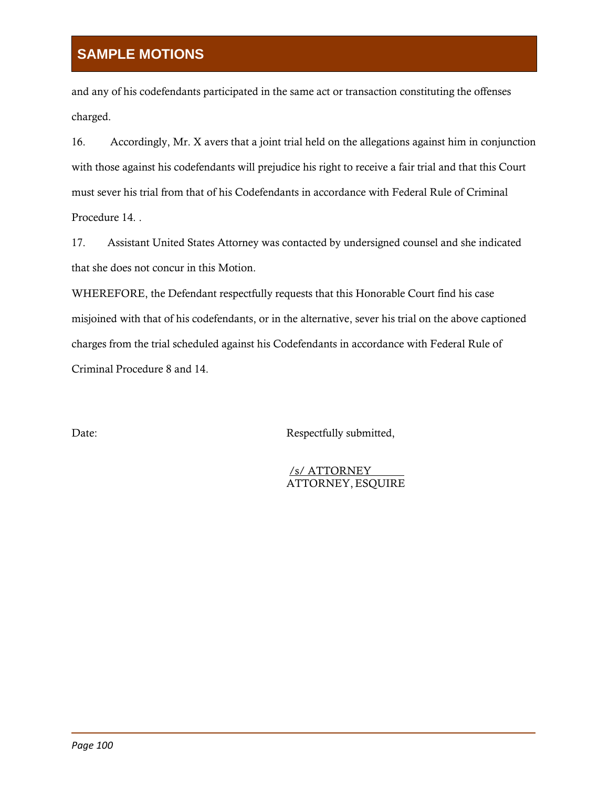and any of his codefendants participated in the same act or transaction constituting the offenses charged.

16. Accordingly, Mr. X avers that a joint trial held on the allegations against him in conjunction with those against his codefendants will prejudice his right to receive a fair trial and that this Court must sever his trial from that of his Codefendants in accordance with Federal Rule of Criminal Procedure 14. .

17. Assistant United States Attorney was contacted by undersigned counsel and she indicated that she does not concur in this Motion.

WHEREFORE, the Defendant respectfully requests that this Honorable Court find his case misjoined with that of his codefendants, or in the alternative, sever his trial on the above captioned charges from the trial scheduled against his Codefendants in accordance with Federal Rule of Criminal Procedure 8 and 14.

Date: Respectfully submitted,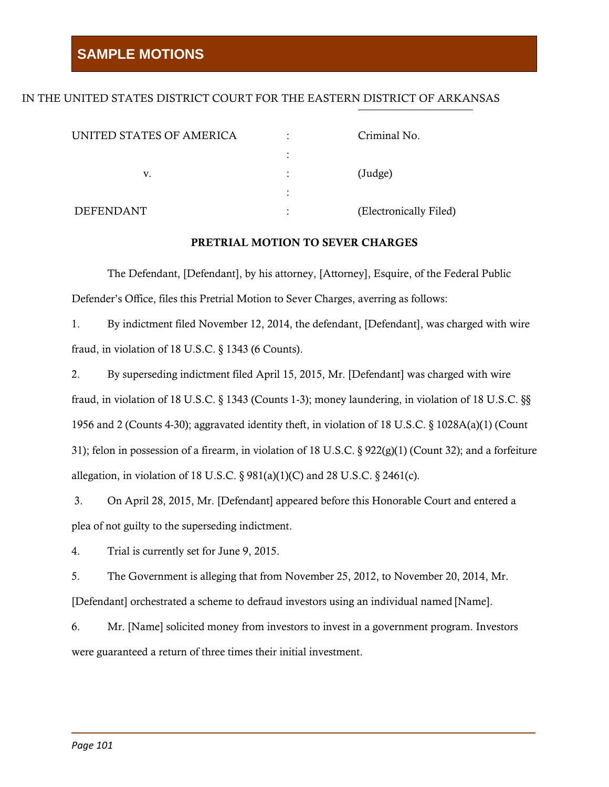### IN THE UNITED STATES DISTRICT COURT FOR THE EASTERN DISTRICT OF ARKANSAS

| UNITED STATES OF AMERICA | ٠         | Criminal No.           |
|--------------------------|-----------|------------------------|
|                          |           |                        |
| V.                       | ٠         | (Judge)                |
|                          | $\bullet$ |                        |
| <b>DEFENDANT</b>         | ٠         | (Electronically Filed) |

#### PRETRIAL MOTION TO SEVER CHARGES

The Defendant, [Defendant], by his attorney, [Attorney], Esquire, of the Federal Public Defender's Office, files this Pretrial Motion to Sever Charges, averring as follows:

1. By indictment filed November 12, 2014, the defendant, [Defendant], was charged with wire fraud, in violation of 18 U.S.C.  $\S$  1343 (6 Counts).

2. By superseding indictment filed April 15, 2015, Mr. [Defendant] was charged with wire fraud, in violation of 18 U.S.C. § 1343 (Counts 1-3); money laundering, in violation of 18 U.S.C. §§ 1956 and 2 (Counts 4-30); aggravated identity theft, in violation of 18 U.S.C. § 1028A(a)(1) (Count 31); felon in possession of a firearm, in violation of 18 U.S.C.  $\S 922(g)(1)$  (Count 32); and a forfeiture allegation, in violation of 18 U.S.C.  $\S$  981(a)(1)(C) and 28 U.S.C.  $\S$  2461(c).

3. On April 28, 2015, Mr. [Defendant] appeared before this Honorable Court and entered a plea of not guilty to the superseding indictment.

4. Trial is currently set for June 9, 2015.

5. The Government is alleging that from November 25, 2012, to November 20, 2014, Mr. [Defendant] orchestrated a scheme to defraud investors using an individual named [Name].

6. Mr. [Name] solicited money from investors to invest in a government program. Investors were guaranteed a return of three times their initial investment.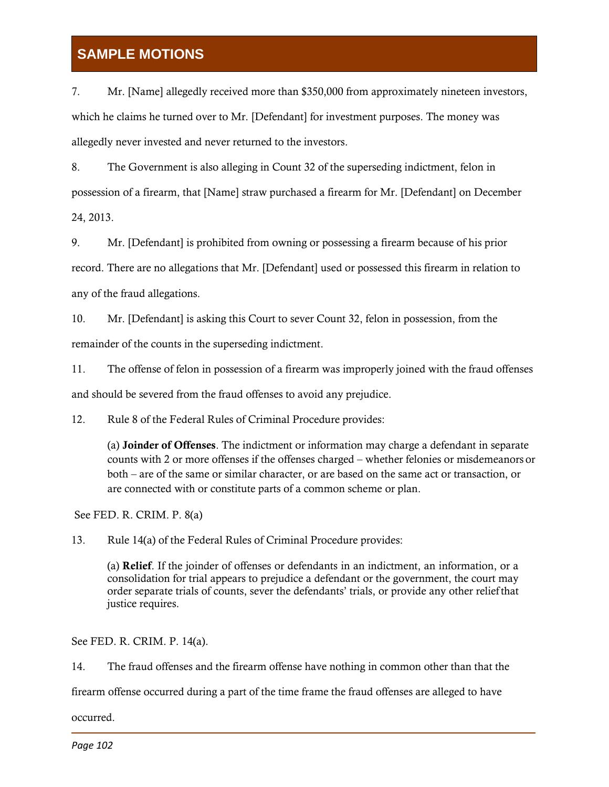7. Mr. [Name] allegedly received more than \$350,000 from approximately nineteen investors, which he claims he turned over to Mr. [Defendant] for investment purposes. The money was allegedly never invested and never returned to the investors.

8. The Government is also alleging in Count 32 of the superseding indictment, felon in possession of a firearm, that [Name] straw purchased a firearm for Mr. [Defendant] on December 24, 2013.

9. Mr. [Defendant] is prohibited from owning or possessing a firearm because of his prior record. There are no allegations that Mr. [Defendant] used or possessed this firearm in relation to any of the fraud allegations.

10. Mr. [Defendant] is asking this Court to sever Count 32, felon in possession, from the remainder of the counts in the superseding indictment.

11. The offense of felon in possession of a firearm was improperly joined with the fraud offenses

and should be severed from the fraud offenses to avoid any prejudice.

12. Rule 8 of the Federal Rules of Criminal Procedure provides:

(a) Joinder of Offenses. The indictment or information may charge a defendant in separate counts with 2 or more offenses if the offenses charged – whether felonies or misdemeanors or both – are of the same or similar character, or are based on the same act or transaction, or are connected with or constitute parts of a common scheme or plan.

See FED. R. CRIM. P. 8(a)

13. Rule 14(a) of the Federal Rules of Criminal Procedure provides:

(a) Relief. If the joinder of offenses or defendants in an indictment, an information, or a consolidation for trial appears to prejudice a defendant or the government, the court may order separate trials of counts, sever the defendants' trials, or provide any other reliefthat justice requires.

See FED. R. CRIM. P. 14(a).

14. The fraud offenses and the firearm offense have nothing in common other than that the

firearm offense occurred during a part of the time frame the fraud offenses are alleged to have

occurred.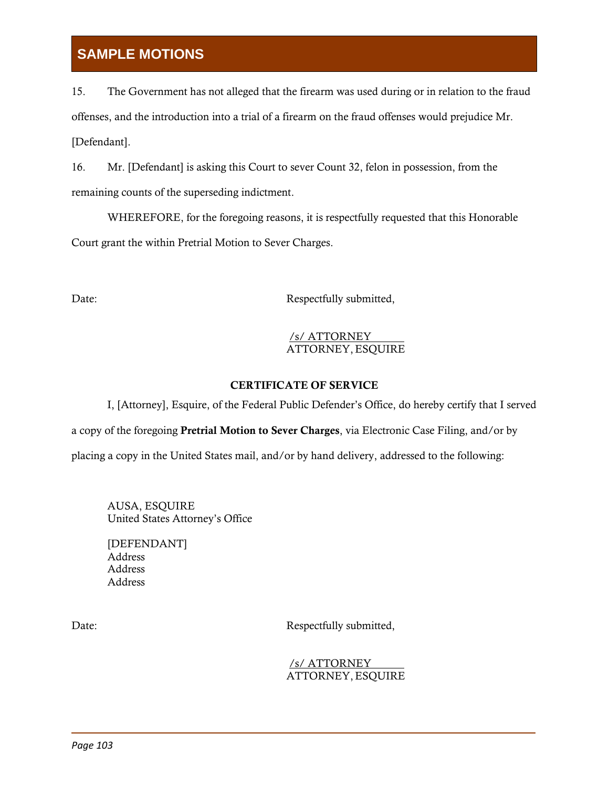15. The Government has not alleged that the firearm was used during or in relation to the fraud offenses, and the introduction into a trial of a firearm on the fraud offenses would prejudice Mr. [Defendant].

16. Mr. [Defendant] is asking this Court to sever Count 32, felon in possession, from the remaining counts of the superseding indictment.

WHEREFORE, for the foregoing reasons, it is respectfully requested that this Honorable Court grant the within Pretrial Motion to Sever Charges.

Date: Respectfully submitted,

## /s/ ATTORNEY ATTORNEY,ESQUIRE

## CERTIFICATE OF SERVICE

I, [Attorney], Esquire, of the Federal Public Defender's Office, do hereby certify that I served a copy of the foregoing Pretrial Motion to Sever Charges, via Electronic Case Filing, and/or by placing a copy in the United States mail, and/or by hand delivery, addressed to the following:

AUSA, ESQUIRE United States Attorney's Office

[DEFENDANT] Address Address Address

Date: Respectfully submitted,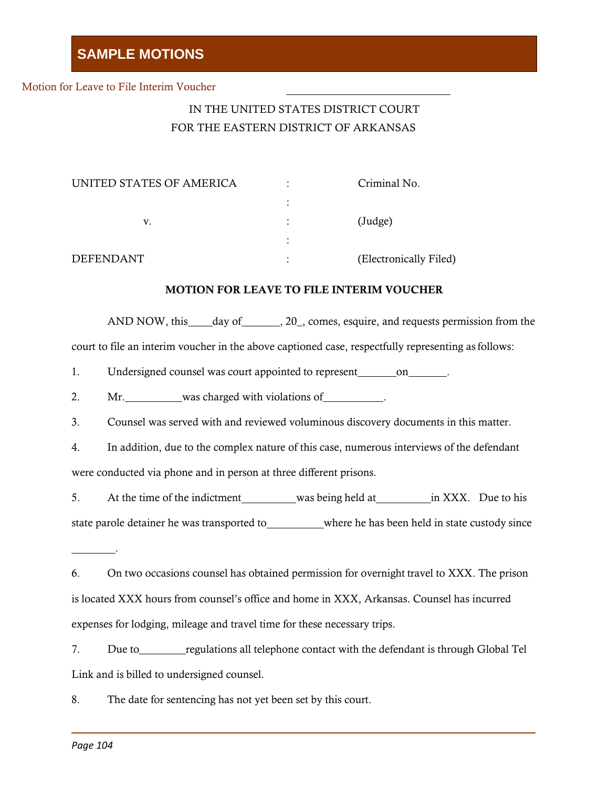#### Motion for Leave to File Interim Voucher

## IN THE UNITED STATES DISTRICT COURT FOR THE EASTERN DISTRICT OF ARKANSAS

| UNITED STATES OF AMERICA | ٠         | Criminal No.           |
|--------------------------|-----------|------------------------|
|                          |           |                        |
| v.                       | ٠         | (Judge)                |
|                          | $\bullet$ |                        |
| <b>DEFENDANT</b>         | ٠         | (Electronically Filed) |

#### MOTION FOR LEAVE TO FILE INTERIM VOUCHER

AND NOW, this day of 1. 20, comes, esquire, and requests permission from the court to file an interim voucher in the above captioned case, respectfully representing asfollows:

1. Undersigned counsel was court appointed to represent on

2. Mr. was charged with violations of .

3. Counsel was served with and reviewed voluminous discovery documents in this matter.

4. In addition, due to the complex nature of this case, numerous interviews of the defendant were conducted via phone and in person at three different prisons.

5. At the time of the indictment was being held at in XXX. Due to his state parole detainer he was transported to\_\_\_\_\_\_\_\_\_where he has been held in state custody since

| 6. | On two occasions counsel has obtained permission for overnight travel to XXX. The prison   |
|----|--------------------------------------------------------------------------------------------|
|    | is located XXX hours from counsel's office and home in XXX, Arkansas. Counsel has incurred |
|    | expenses for lodging, mileage and travel time for these necessary trips.                   |

7. Due to regulations all telephone contact with the defendant is through Global Tel Link and is billed to undersigned counsel.

8. The date for sentencing has not yet been set by this court.

.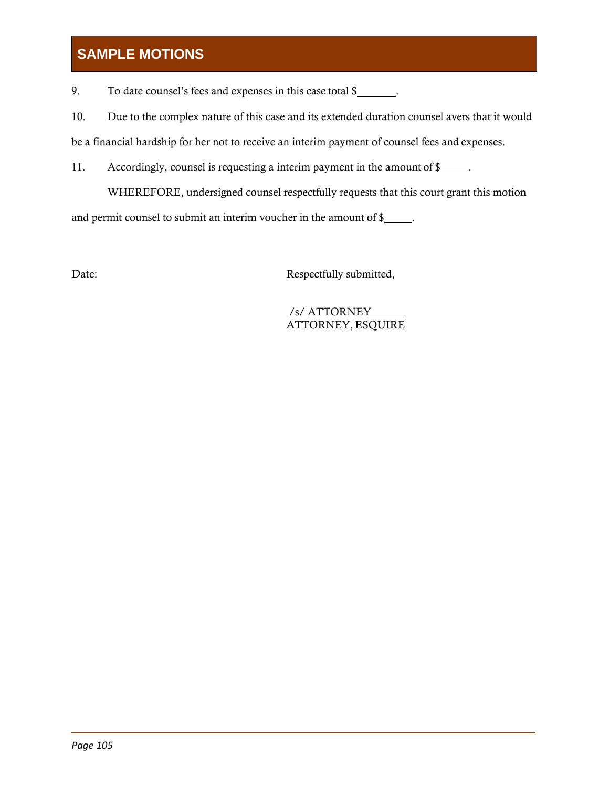9. To date counsel's fees and expenses in this case total \$

10. Due to the complex nature of this case and its extended duration counsel avers that it would be a financial hardship for her not to receive an interim payment of counsel fees and expenses.

11. Accordingly, counsel is requesting a interim payment in the amount of \$

WHEREFORE, undersigned counsel respectfully requests that this court grant this motion

and permit counsel to submit an interim voucher in the amount of \$

Date: Respectfully submitted,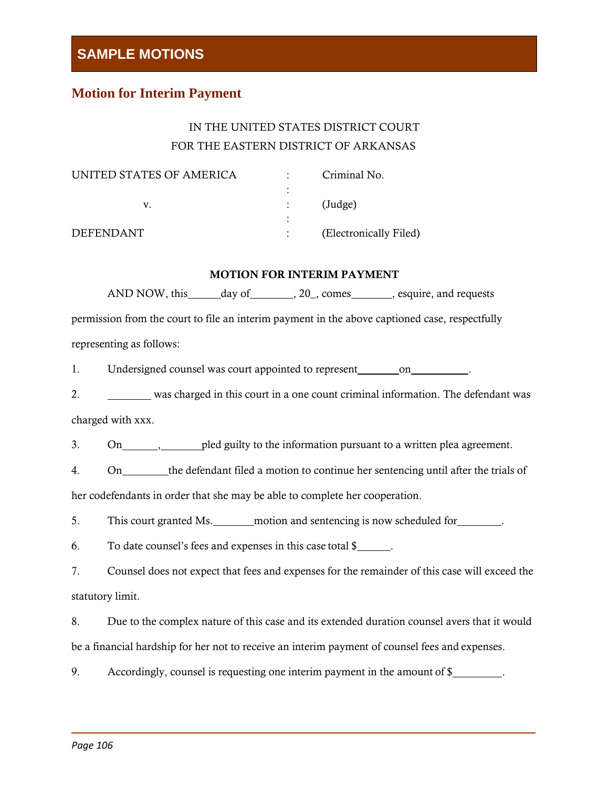### **Motion for Interim Payment**

### IN THE UNITED STATES DISTRICT COURT FOR THE EASTERN DISTRICT OF ARKANSAS

| UNITED STATES OF AMERICA |   | Criminal No.           |
|--------------------------|---|------------------------|
|                          | ٠ |                        |
|                          |   | $(\text{Judge})$       |
|                          |   |                        |
| <b>DEFENDANT</b>         |   | (Electronically Filed) |

#### MOTION FOR INTERIM PAYMENT

AND NOW, this \_\_\_\_\_\_ day of \_\_\_\_\_\_\_\_, 20\_, comes \_\_\_\_\_\_\_, esquire, and requests permission from the court to file an interim payment in the above captioned case, respectfully representing as follows:

1. Undersigned counsel was court appointed to represent on on

2. was charged in this court in a one count criminal information. The defendant was

charged with xxx.

3. On , pled guilty to the information pursuant to a written plea agreement.

4. On the defendant filed a motion to continue her sentencing until after the trials of

her codefendants in order that she may be able to complete her cooperation.

5. This court granted Ms. motion and sentencing is now scheduled for  $\blacksquare$ .

6. To date counsel's fees and expenses in this case total \$ .

7. Counsel does not expect that fees and expenses for the remainder of this case will exceed the statutory limit.

8. Due to the complex nature of this case and its extended duration counsel avers that it would be a financial hardship for her not to receive an interim payment of counsel fees and expenses.

9. Accordingly, counsel is requesting one interim payment in the amount of \$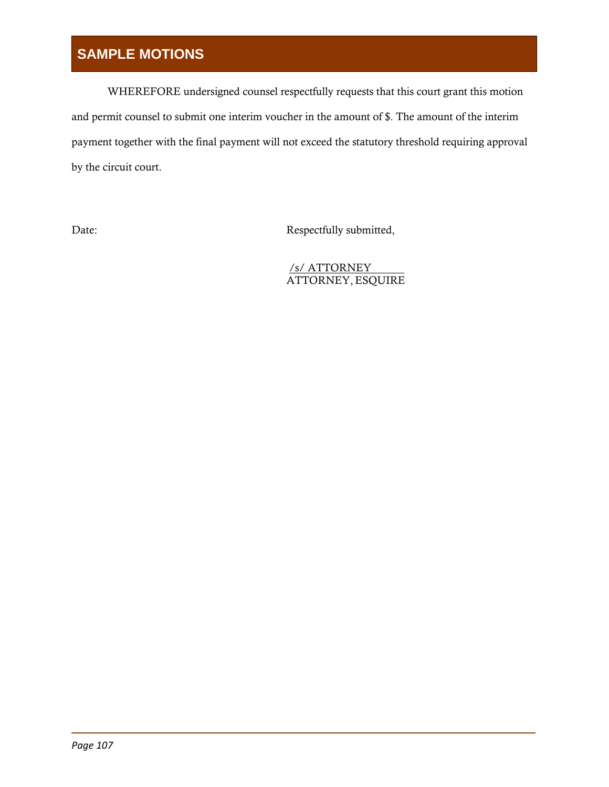WHEREFORE undersigned counsel respectfully requests that this court grant this motion and permit counsel to submit one interim voucher in the amount of \$. The amount of the interim payment together with the final payment will not exceed the statutory threshold requiring approval by the circuit court.

Date: Respectfully submitted,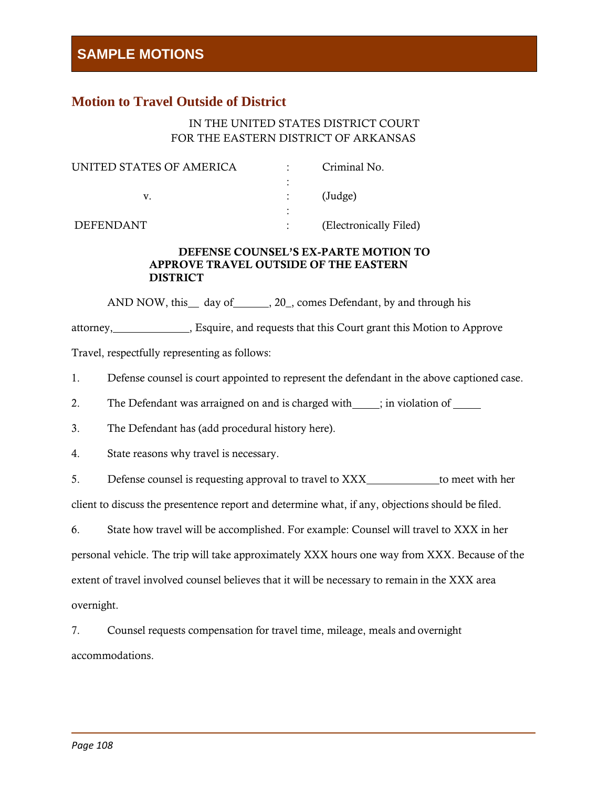### **Motion to Travel Outside of District**

#### IN THE UNITED STATES DISTRICT COURT FOR THE EASTERN DISTRICT OF ARKANSAS

| UNITED STATES OF AMERICA | Criminal No.           |
|--------------------------|------------------------|
|                          |                        |
|                          | $(\text{Judge})$       |
|                          |                        |
| <b>DEFENDANT</b>         | (Electronically Filed) |

#### DEFENSE COUNSEL'S EX-PARTE MOTION TO APPROVE TRAVEL OUTSIDE OF THE EASTERN DISTRICT

AND NOW, this \_\_ day of \_\_\_\_\_\_, 20\_, comes Defendant, by and through his

attorney, **Exquire, and requests that this Court grant this Motion to Approve** Travel, respectfully representing as follows:

1. Defense counsel is court appointed to represent the defendant in the above captioned case.

2. The Defendant was arraigned on and is charged with  $\qquad$ ; in violation of

3. The Defendant has (add procedural history here).

4. State reasons why travel is necessary.

5. Defense counsel is requesting approval to travel to XXX to meet with her

client to discuss the presentence report and determine what, if any, objections should be filed.

6. State how travel will be accomplished. For example: Counsel will travel to XXX in her personal vehicle. The trip will take approximately XXX hours one way from XXX. Because of the extent of travel involved counsel believes that it will be necessary to remain in the XXX area overnight.

7. Counsel requests compensation for travel time, mileage, meals and overnight accommodations.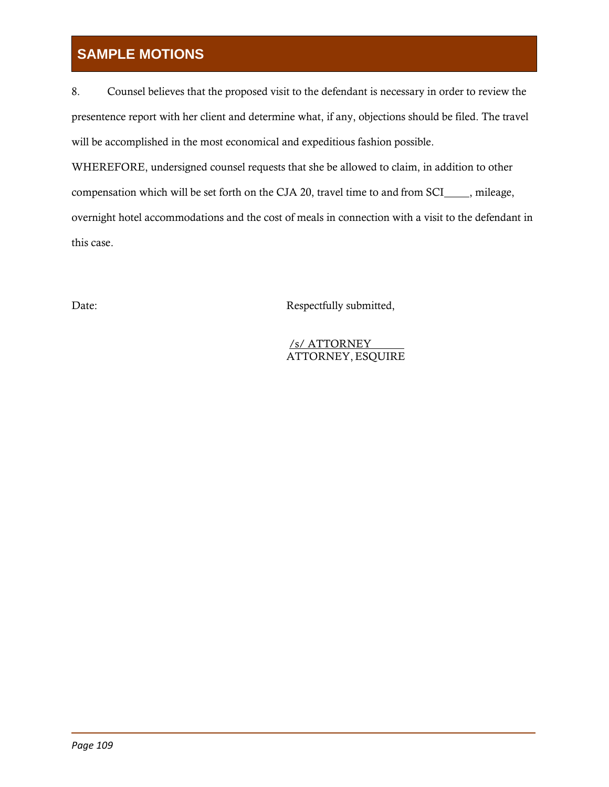8. Counsel believes that the proposed visit to the defendant is necessary in order to review the presentence report with her client and determine what, if any, objections should be filed. The travel will be accomplished in the most economical and expeditious fashion possible.

WHEREFORE, undersigned counsel requests that she be allowed to claim, in addition to other compensation which will be set forth on the CJA 20, travel time to and from SCI , mileage, overnight hotel accommodations and the cost of meals in connection with a visit to the defendant in this case.

Date: Respectfully submitted,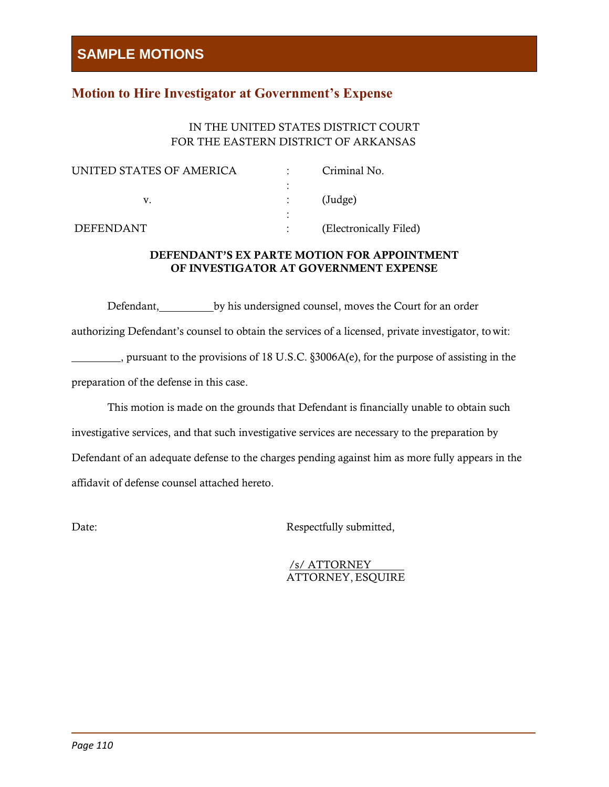### **Motion to Hire Investigator at Government's Expense**

#### IN THE UNITED STATES DISTRICT COURT FOR THE EASTERN DISTRICT OF ARKANSAS

| UNITED STATES OF AMERICA | Criminal No.           |
|--------------------------|------------------------|
|                          |                        |
|                          | $(\text{Judge})$       |
|                          |                        |
| <b>DEFENDANT</b>         | (Electronically Filed) |

#### DEFENDANT'S EX PARTE MOTION FOR APPOINTMENT OF INVESTIGATOR AT GOVERNMENT EXPENSE

Defendant, by his undersigned counsel, moves the Court for an order authorizing Defendant's counsel to obtain the services of a licensed, private investigator, towit: , pursuant to the provisions of 18 U.S.C. §3006A(e), for the purpose of assisting in the preparation of the defense in this case.

This motion is made on the grounds that Defendant is financially unable to obtain such investigative services, and that such investigative services are necessary to the preparation by Defendant of an adequate defense to the charges pending against him as more fully appears in the affidavit of defense counsel attached hereto.

Date: Respectfully submitted,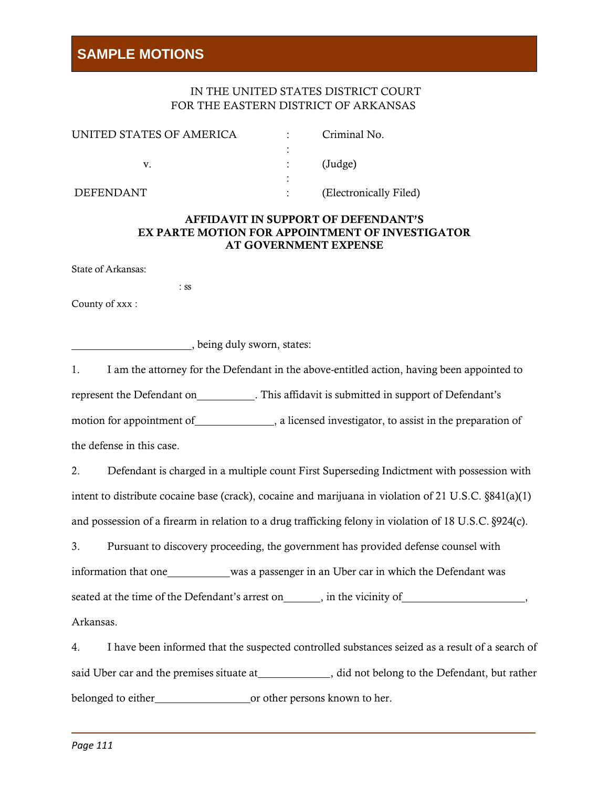#### IN THE UNITED STATES DISTRICT COURT FOR THE EASTERN DISTRICT OF ARKANSAS

| UNITED STATES OF AMERICA | Criminal No.           |
|--------------------------|------------------------|
|                          | (Judge)                |
| DEFENDANT                | (Electronically Filed) |

#### AFFIDAVIT IN SUPPORT OF DEFENDANT'S EX PARTE MOTION FOR APPOINTMENT OF INVESTIGATOR AT GOVERNMENT EXPENSE

State of Arkansas:

: ss

County of xxx :

, being duly sworn, states:

1. I am the attorney for the Defendant in the above-entitled action, having been appointed to represent the Defendant on . This affidavit is submitted in support of Defendant's motion for appointment of , a licensed investigator, to assist in the preparation of the defense in this case.

2. Defendant is charged in a multiple count First Superseding Indictment with possession with intent to distribute cocaine base (crack), cocaine and marijuana in violation of 21 U.S.C. §841(a)(1) and possession of a firearm in relation to a drug trafficking felony in violation of 18 U.S.C. §924(c).

3. Pursuant to discovery proceeding, the government has provided defense counsel with information that one was a passenger in an Uber car in which the Defendant was seated at the time of the Defendant's arrest on , in the vicinity of , Arkansas.

4. I have been informed that the suspected controlled substances seized as a result of a search of said Uber car and the premises situate at \_\_\_\_\_\_\_\_\_\_\_\_\_\_, did not belong to the Defendant, but rather belonged to either or other persons known to her.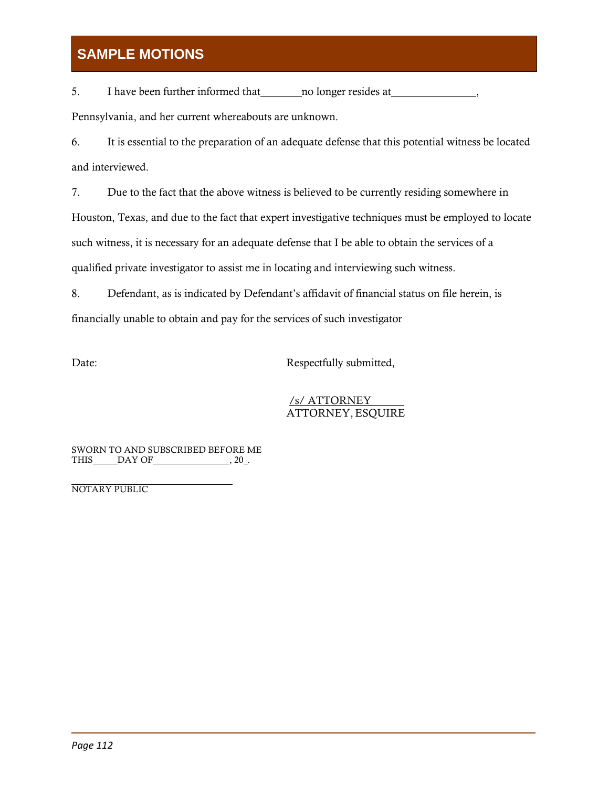5. I have been further informed that no longer resides at Pennsylvania, and her current whereabouts are unknown.

6. It is essential to the preparation of an adequate defense that this potential witness be located and interviewed.

7. Due to the fact that the above witness is believed to be currently residing somewhere in Houston, Texas, and due to the fact that expert investigative techniques must be employed to locate such witness, it is necessary for an adequate defense that I be able to obtain the services of a qualified private investigator to assist me in locating and interviewing such witness.

8. Defendant, as is indicated by Defendant's affidavit of financial status on file herein, is financially unable to obtain and pay for the services of such investigator

Date: Respectfully submitted,

#### /s/ ATTORNEY ATTORNEY,ESQUIRE

SWORN TO AND SUBSCRIBED BEFORE ME THIS DAY OF  $, 20$ .

NOTARY PUBLIC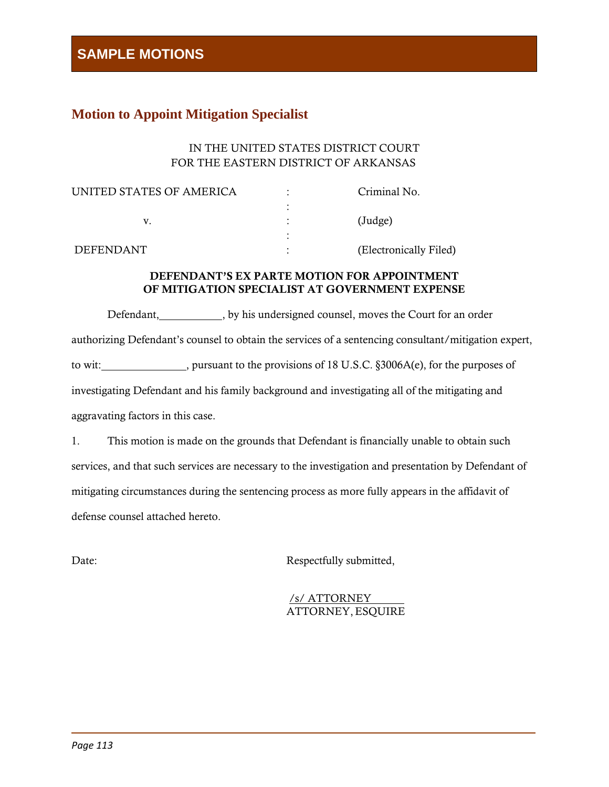### **Motion to Appoint Mitigation Specialist**

#### IN THE UNITED STATES DISTRICT COURT FOR THE EASTERN DISTRICT OF ARKANSAS

| Criminal No.           |
|------------------------|
|                        |
| (Judge)                |
|                        |
| (Electronically Filed) |
|                        |

#### DEFENDANT'S EX PARTE MOTION FOR APPOINTMENT OF MITIGATION SPECIALIST AT GOVERNMENT EXPENSE

Defendant, by his undersigned counsel, moves the Court for an order authorizing Defendant's counsel to obtain the services of a sentencing consultant/mitigation expert, to wit: notice, pursuant to the provisions of 18 U.S.C. §3006A(e), for the purposes of investigating Defendant and his family background and investigating all of the mitigating and aggravating factors in this case.

1. This motion is made on the grounds that Defendant is financially unable to obtain such services, and that such services are necessary to the investigation and presentation by Defendant of mitigating circumstances during the sentencing process as more fully appears in the affidavit of defense counsel attached hereto.

Date: Respectfully submitted,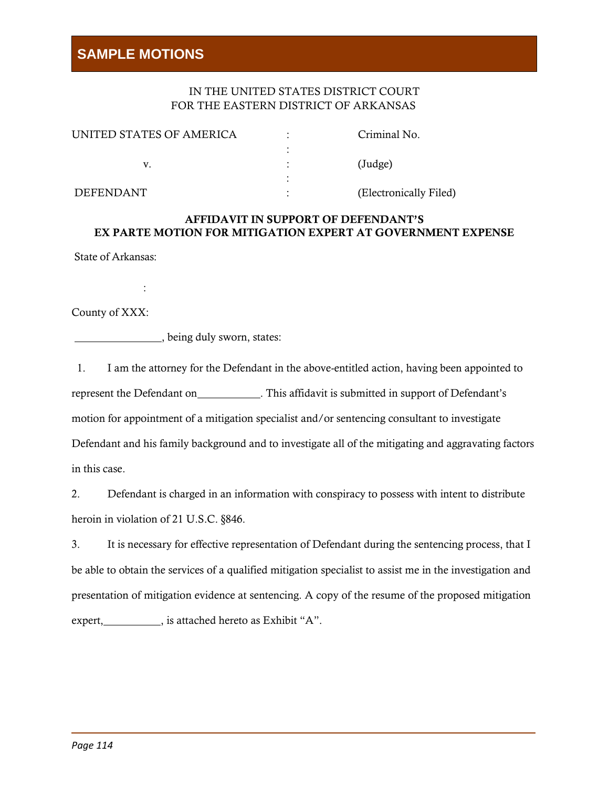#### IN THE UNITED STATES DISTRICT COURT FOR THE EASTERN DISTRICT OF ARKANSAS

| UNITED STATES OF AMERICA |   | Criminal No.           |
|--------------------------|---|------------------------|
|                          |   |                        |
|                          |   | $(\text{Judge})$       |
|                          | ٠ |                        |
| DEFENDANT                |   | (Electronically Filed) |

#### AFFIDAVIT IN SUPPORT OF DEFENDANT'S EX PARTE MOTION FOR MITIGATION EXPERT AT GOVERNMENT EXPENSE

State of Arkansas:

:

County of XXX:

, being duly sworn, states:

1. I am the attorney for the Defendant in the above-entitled action, having been appointed to represent the Defendant on . This affidavit is submitted in support of Defendant's motion for appointment of a mitigation specialist and/or sentencing consultant to investigate Defendant and his family background and to investigate all of the mitigating and aggravating factors in this case.

2. Defendant is charged in an information with conspiracy to possess with intent to distribute heroin in violation of 21 U.S.C. §846.

3. It is necessary for effective representation of Defendant during the sentencing process, that I be able to obtain the services of a qualified mitigation specialist to assist me in the investigation and presentation of mitigation evidence at sentencing. A copy of the resume of the proposed mitigation expert, is attached hereto as Exhibit "A".